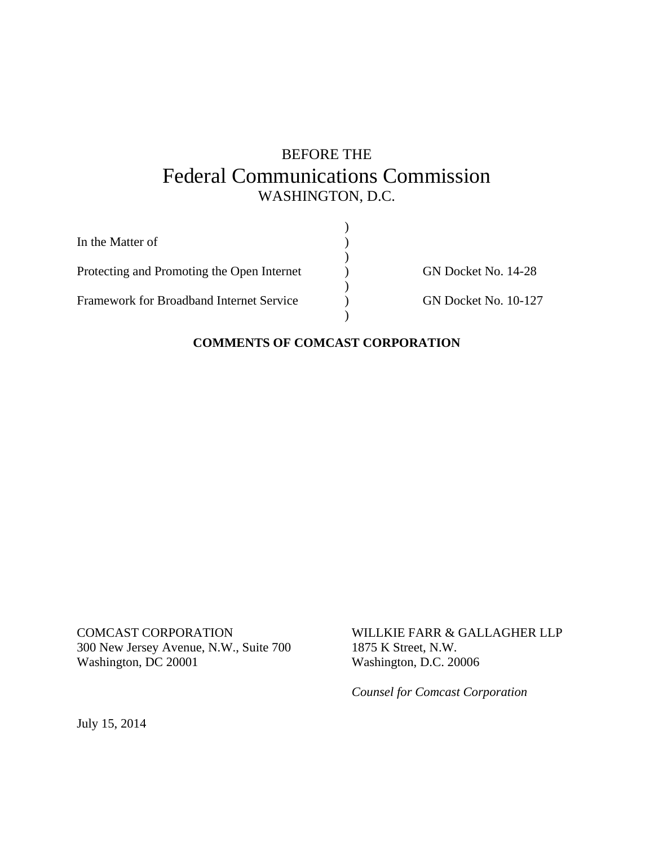# BEFORE THE Federal Communications Commission WASHINGTON, D.C.

| In the Matter of                           |                             |
|--------------------------------------------|-----------------------------|
|                                            |                             |
| Protecting and Promoting the Open Internet | GN Docket No. 14-28         |
|                                            |                             |
| Framework for Broadband Internet Service   | <b>GN Docket No. 10-127</b> |
|                                            |                             |

# **COMMENTS OF COMCAST CORPORATION**

COMCAST CORPORATION 300 New Jersey Avenue, N.W., Suite 700 Washington, DC 20001

WILLKIE FARR & GALLAGHER LLP 1875 K Street, N.W. Washington, D.C. 20006

*Counsel for Comcast Corporation*

July 15, 2014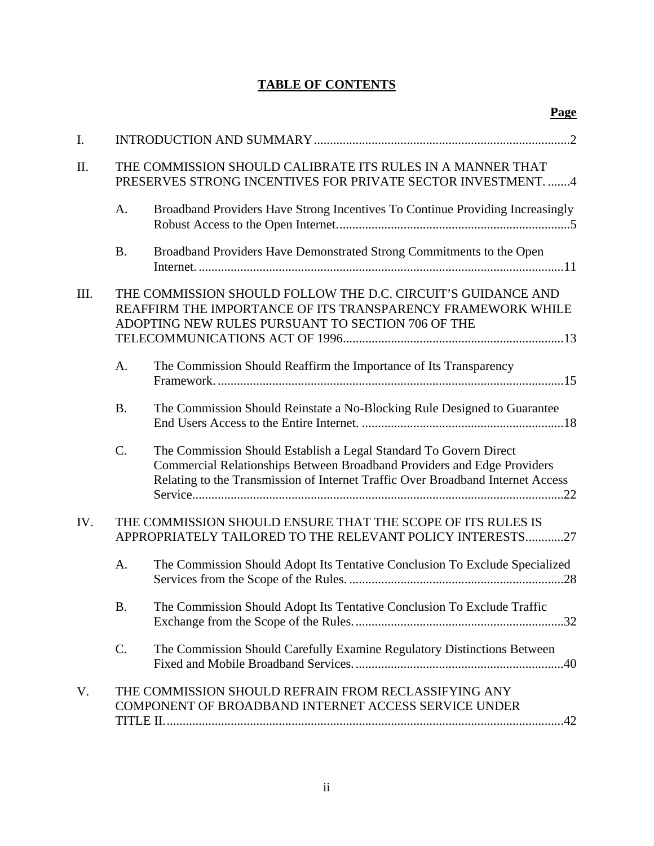# **TABLE OF CONTENTS**

|      |           | Page                                                                                                                                                                                                                            |
|------|-----------|---------------------------------------------------------------------------------------------------------------------------------------------------------------------------------------------------------------------------------|
| I.   |           |                                                                                                                                                                                                                                 |
| II.  |           | THE COMMISSION SHOULD CALIBRATE ITS RULES IN A MANNER THAT<br>PRESERVES STRONG INCENTIVES FOR PRIVATE SECTOR INVESTMENT4                                                                                                        |
|      | A.        | Broadband Providers Have Strong Incentives To Continue Providing Increasingly                                                                                                                                                   |
|      | <b>B.</b> | Broadband Providers Have Demonstrated Strong Commitments to the Open                                                                                                                                                            |
| III. |           | THE COMMISSION SHOULD FOLLOW THE D.C. CIRCUIT'S GUIDANCE AND<br>REAFFIRM THE IMPORTANCE OF ITS TRANSPARENCY FRAMEWORK WHILE<br>ADOPTING NEW RULES PURSUANT TO SECTION 706 OF THE                                                |
|      | A.        | The Commission Should Reaffirm the Importance of Its Transparency                                                                                                                                                               |
|      | <b>B.</b> | The Commission Should Reinstate a No-Blocking Rule Designed to Guarantee                                                                                                                                                        |
|      | C.        | The Commission Should Establish a Legal Standard To Govern Direct<br>Commercial Relationships Between Broadband Providers and Edge Providers<br>Relating to the Transmission of Internet Traffic Over Broadband Internet Access |
| IV.  |           | THE COMMISSION SHOULD ENSURE THAT THE SCOPE OF ITS RULES IS<br>APPROPRIATELY TAILORED TO THE RELEVANT POLICY INTERESTS27                                                                                                        |
|      | A.        | The Commission Should Adopt Its Tentative Conclusion To Exclude Specialized                                                                                                                                                     |
|      | <b>B.</b> | The Commission Should Adopt Its Tentative Conclusion To Exclude Traffic                                                                                                                                                         |
|      | C.        | The Commission Should Carefully Examine Regulatory Distinctions Between                                                                                                                                                         |
| V.   |           | THE COMMISSION SHOULD REFRAIN FROM RECLASSIFYING ANY<br>COMPONENT OF BROADBAND INTERNET ACCESS SERVICE UNDER                                                                                                                    |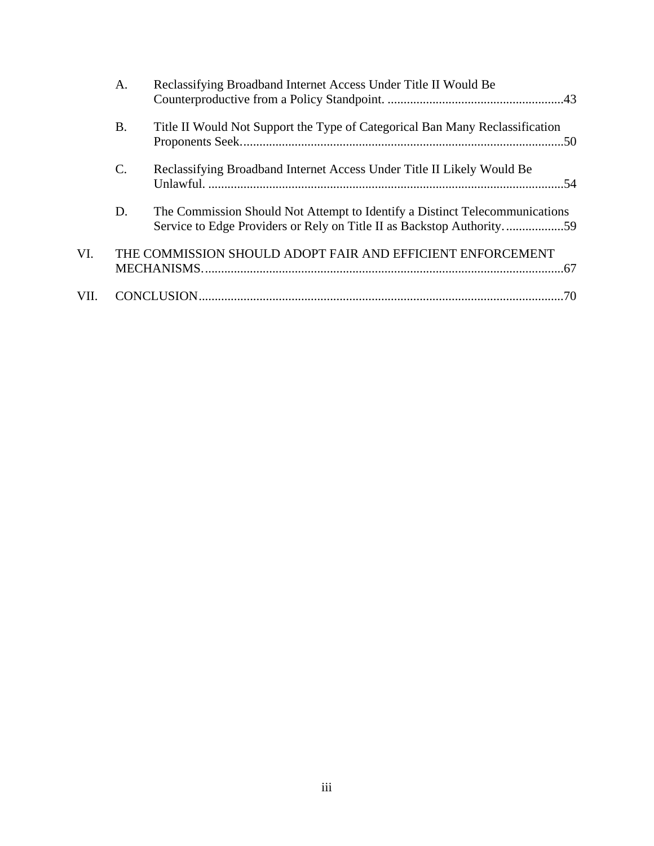|      | A.             | Reclassifying Broadband Internet Access Under Title II Would Be                                                                                      |     |
|------|----------------|------------------------------------------------------------------------------------------------------------------------------------------------------|-----|
|      | В.             | Title II Would Not Support the Type of Categorical Ban Many Reclassification                                                                         |     |
|      | $\mathbf{C}$ . | Reclassifying Broadband Internet Access Under Title II Likely Would Be                                                                               |     |
|      | D.             | The Commission Should Not Attempt to Identify a Distinct Telecommunications<br>Service to Edge Providers or Rely on Title II as Backstop Authority59 |     |
| VI.  |                | THE COMMISSION SHOULD ADOPT FAIR AND EFFICIENT ENFORCEMENT                                                                                           |     |
| VII. |                |                                                                                                                                                      | .70 |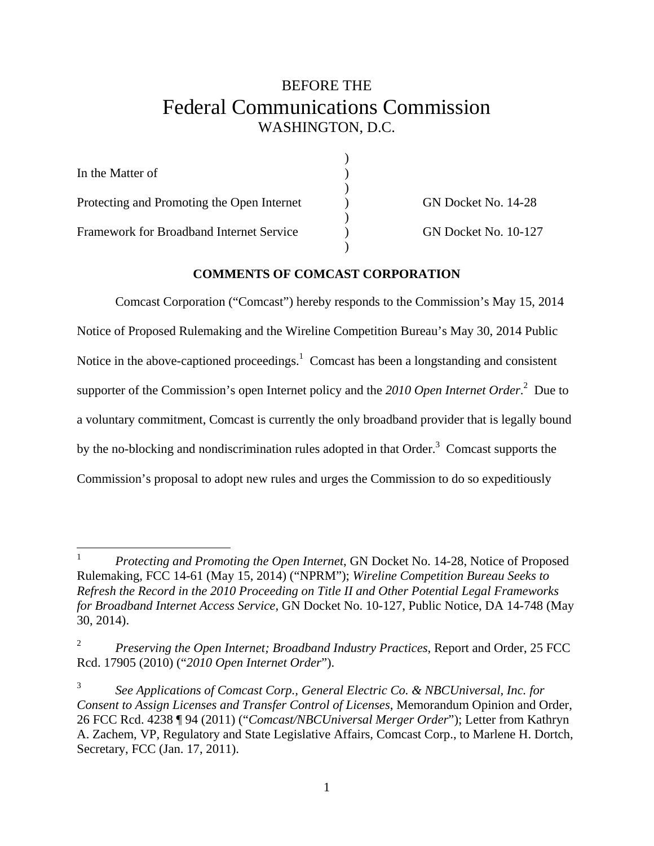# BEFORE THE Federal Communications Commission WASHINGTON, D.C.

| In the Matter of                           |                             |
|--------------------------------------------|-----------------------------|
|                                            |                             |
| Protecting and Promoting the Open Internet | GN Docket No. 14-28         |
|                                            |                             |
| Framework for Broadband Internet Service   | <b>GN Docket No. 10-127</b> |
|                                            |                             |

#### **COMMENTS OF COMCAST CORPORATION**

Comcast Corporation ("Comcast") hereby responds to the Commission's May 15, 2014 Notice of Proposed Rulemaking and the Wireline Competition Bureau's May 30, 2014 Public Notice in the above-captioned proceedings. $<sup>1</sup>$  Comcast has been a longstanding and consistent</sup> supporter of the Commission's open Internet policy and the 2010 Open Internet Order.<sup>2</sup> Due to a voluntary commitment, Comcast is currently the only broadband provider that is legally bound by the no-blocking and nondiscrimination rules adopted in that Order.<sup>3</sup> Comcast supports the Commission's proposal to adopt new rules and urges the Commission to do so expeditiously

 $\overline{a}$ 

<sup>1</sup> *Protecting and Promoting the Open Internet*, GN Docket No. 14-28, Notice of Proposed Rulemaking, FCC 14-61 (May 15, 2014) ("NPRM"); *Wireline Competition Bureau Seeks to Refresh the Record in the 2010 Proceeding on Title II and Other Potential Legal Frameworks for Broadband Internet Access Service*, GN Docket No. 10-127, Public Notice, DA 14-748 (May 30, 2014).

<sup>2</sup> *Preserving the Open Internet; Broadband Industry Practices*, Report and Order, 25 FCC Rcd. 17905 (2010) ("*2010 Open Internet Order*").

<sup>3</sup> *See Applications of Comcast Corp., General Electric Co. & NBCUniversal, Inc. for Consent to Assign Licenses and Transfer Control of Licenses*, Memorandum Opinion and Order, 26 FCC Rcd. 4238 ¶ 94 (2011) ("*Comcast/NBCUniversal Merger Order*"); Letter from Kathryn A. Zachem, VP, Regulatory and State Legislative Affairs, Comcast Corp., to Marlene H. Dortch, Secretary, FCC (Jan. 17, 2011).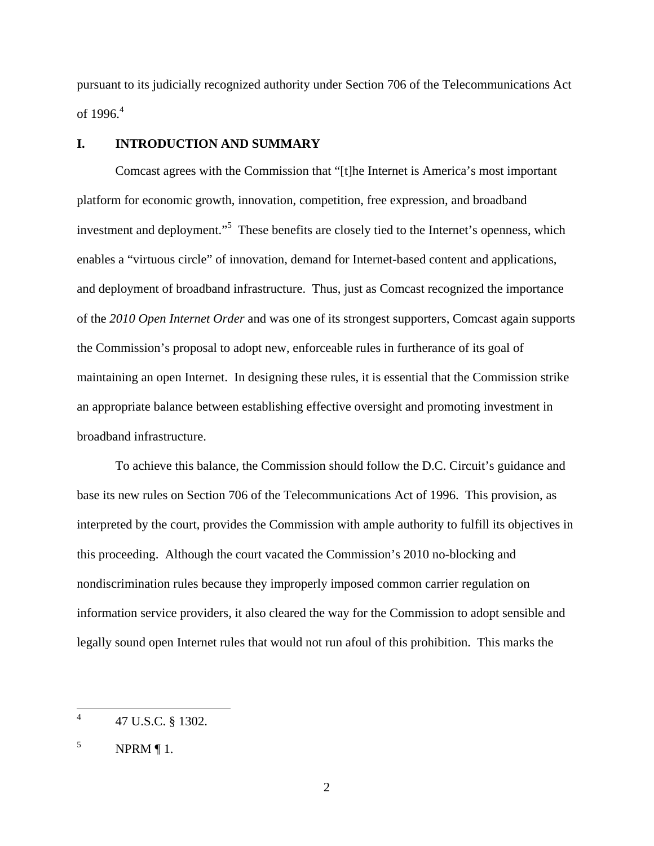pursuant to its judicially recognized authority under Section 706 of the Telecommunications Act of  $1996.<sup>4</sup>$ 

#### **I. INTRODUCTION AND SUMMARY**

Comcast agrees with the Commission that "[t]he Internet is America's most important platform for economic growth, innovation, competition, free expression, and broadband investment and deployment."<sup>5</sup> These benefits are closely tied to the Internet's openness, which enables a "virtuous circle" of innovation, demand for Internet-based content and applications, and deployment of broadband infrastructure. Thus, just as Comcast recognized the importance of the *2010 Open Internet Order* and was one of its strongest supporters, Comcast again supports the Commission's proposal to adopt new, enforceable rules in furtherance of its goal of maintaining an open Internet. In designing these rules, it is essential that the Commission strike an appropriate balance between establishing effective oversight and promoting investment in broadband infrastructure.

To achieve this balance, the Commission should follow the D.C. Circuit's guidance and base its new rules on Section 706 of the Telecommunications Act of 1996. This provision, as interpreted by the court, provides the Commission with ample authority to fulfill its objectives in this proceeding. Although the court vacated the Commission's 2010 no-blocking and nondiscrimination rules because they improperly imposed common carrier regulation on information service providers, it also cleared the way for the Commission to adopt sensible and legally sound open Internet rules that would not run afoul of this prohibition. This marks the

 $\frac{1}{4}$ 47 U.S.C. § 1302.

<sup>5</sup> NPRM ¶ 1.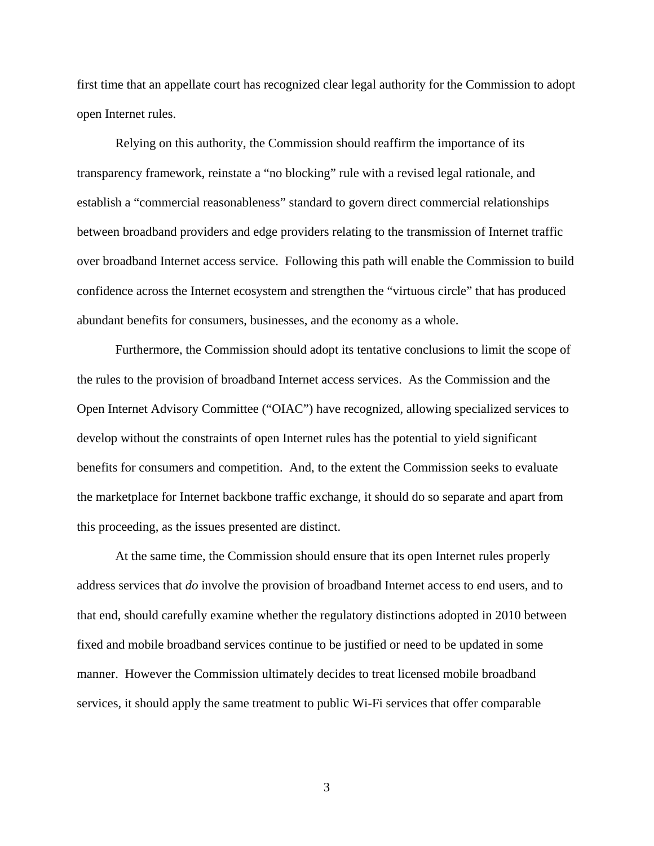first time that an appellate court has recognized clear legal authority for the Commission to adopt open Internet rules.

Relying on this authority, the Commission should reaffirm the importance of its transparency framework, reinstate a "no blocking" rule with a revised legal rationale, and establish a "commercial reasonableness" standard to govern direct commercial relationships between broadband providers and edge providers relating to the transmission of Internet traffic over broadband Internet access service. Following this path will enable the Commission to build confidence across the Internet ecosystem and strengthen the "virtuous circle" that has produced abundant benefits for consumers, businesses, and the economy as a whole.

Furthermore, the Commission should adopt its tentative conclusions to limit the scope of the rules to the provision of broadband Internet access services. As the Commission and the Open Internet Advisory Committee ("OIAC") have recognized, allowing specialized services to develop without the constraints of open Internet rules has the potential to yield significant benefits for consumers and competition. And, to the extent the Commission seeks to evaluate the marketplace for Internet backbone traffic exchange, it should do so separate and apart from this proceeding, as the issues presented are distinct.

At the same time, the Commission should ensure that its open Internet rules properly address services that *do* involve the provision of broadband Internet access to end users, and to that end, should carefully examine whether the regulatory distinctions adopted in 2010 between fixed and mobile broadband services continue to be justified or need to be updated in some manner. However the Commission ultimately decides to treat licensed mobile broadband services, it should apply the same treatment to public Wi-Fi services that offer comparable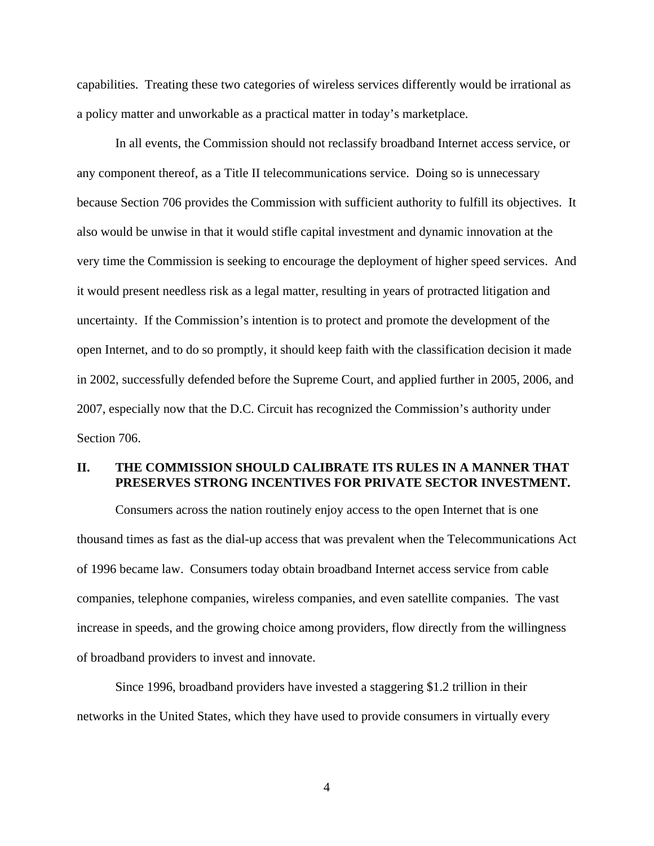capabilities. Treating these two categories of wireless services differently would be irrational as a policy matter and unworkable as a practical matter in today's marketplace.

In all events, the Commission should not reclassify broadband Internet access service, or any component thereof, as a Title II telecommunications service. Doing so is unnecessary because Section 706 provides the Commission with sufficient authority to fulfill its objectives. It also would be unwise in that it would stifle capital investment and dynamic innovation at the very time the Commission is seeking to encourage the deployment of higher speed services. And it would present needless risk as a legal matter, resulting in years of protracted litigation and uncertainty. If the Commission's intention is to protect and promote the development of the open Internet, and to do so promptly, it should keep faith with the classification decision it made in 2002, successfully defended before the Supreme Court, and applied further in 2005, 2006, and 2007, especially now that the D.C. Circuit has recognized the Commission's authority under Section 706.

# **II. THE COMMISSION SHOULD CALIBRATE ITS RULES IN A MANNER THAT PRESERVES STRONG INCENTIVES FOR PRIVATE SECTOR INVESTMENT.**

Consumers across the nation routinely enjoy access to the open Internet that is one thousand times as fast as the dial-up access that was prevalent when the Telecommunications Act of 1996 became law. Consumers today obtain broadband Internet access service from cable companies, telephone companies, wireless companies, and even satellite companies. The vast increase in speeds, and the growing choice among providers, flow directly from the willingness of broadband providers to invest and innovate.

Since 1996, broadband providers have invested a staggering \$1.2 trillion in their networks in the United States, which they have used to provide consumers in virtually every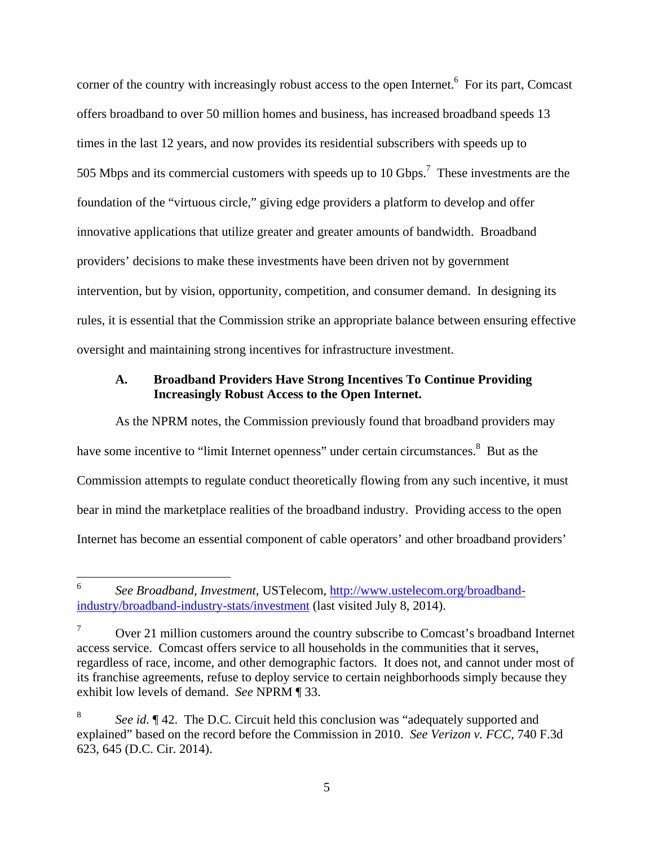corner of the country with increasingly robust access to the open Internet.<sup>6</sup> For its part, Comcast offers broadband to over 50 million homes and business, has increased broadband speeds 13 times in the last 12 years, and now provides its residential subscribers with speeds up to 505 Mbps and its commercial customers with speeds up to 10 Gbps.<sup>7</sup> These investments are the foundation of the "virtuous circle," giving edge providers a platform to develop and offer innovative applications that utilize greater and greater amounts of bandwidth. Broadband providers' decisions to make these investments have been driven not by government intervention, but by vision, opportunity, competition, and consumer demand. In designing its rules, it is essential that the Commission strike an appropriate balance between ensuring effective oversight and maintaining strong incentives for infrastructure investment.

#### **A. Broadband Providers Have Strong Incentives To Continue Providing Increasingly Robust Access to the Open Internet.**

As the NPRM notes, the Commission previously found that broadband providers may have some incentive to "limit Internet openness" under certain circumstances. <sup>8</sup> But as the Commission attempts to regulate conduct theoretically flowing from any such incentive, it must bear in mind the marketplace realities of the broadband industry. Providing access to the open Internet has become an essential component of cable operators' and other broadband providers'

 6 *See Broadband, Investment*, USTelecom, http://www.ustelecom.org/broadbandindustry/broadband-industry-stats/investment (last visited July 8, 2014).

<sup>7</sup> Over 21 million customers around the country subscribe to Comcast's broadband Internet access service. Comcast offers service to all households in the communities that it serves, regardless of race, income, and other demographic factors. It does not, and cannot under most of its franchise agreements, refuse to deploy service to certain neighborhoods simply because they exhibit low levels of demand. *See* NPRM ¶ 33.

<sup>8</sup> *See id.* ¶ 42. The D.C. Circuit held this conclusion was "adequately supported and explained" based on the record before the Commission in 2010. *See Verizon v. FCC*, 740 F.3d 623, 645 (D.C. Cir. 2014).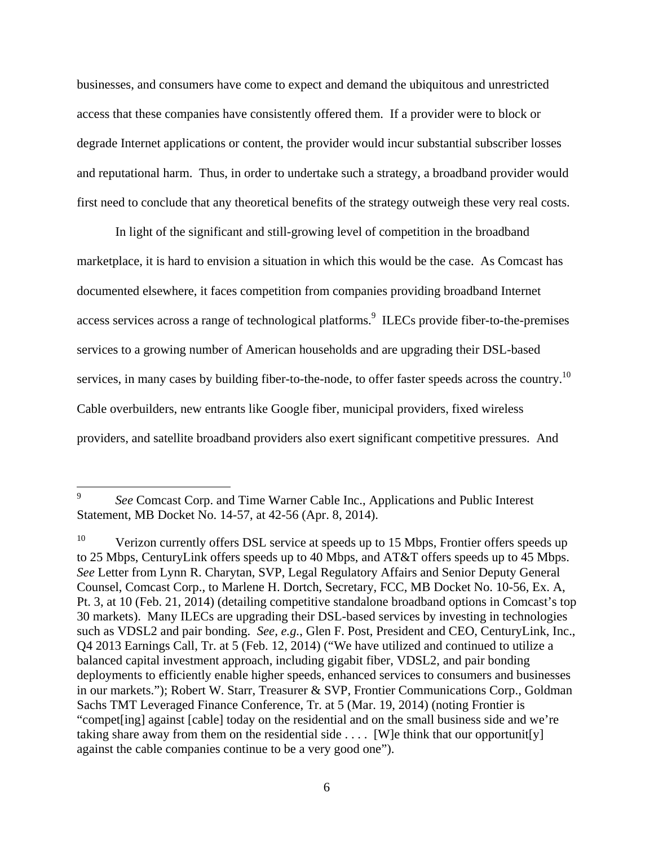businesses, and consumers have come to expect and demand the ubiquitous and unrestricted access that these companies have consistently offered them. If a provider were to block or degrade Internet applications or content, the provider would incur substantial subscriber losses and reputational harm. Thus, in order to undertake such a strategy, a broadband provider would first need to conclude that any theoretical benefits of the strategy outweigh these very real costs.

In light of the significant and still-growing level of competition in the broadband marketplace, it is hard to envision a situation in which this would be the case. As Comcast has documented elsewhere, it faces competition from companies providing broadband Internet access services across a range of technological platforms.<sup>9</sup> ILECs provide fiber-to-the-premises services to a growing number of American households and are upgrading their DSL-based services, in many cases by building fiber-to-the-node, to offer faster speeds across the country.<sup>10</sup> Cable overbuilders, new entrants like Google fiber, municipal providers, fixed wireless providers, and satellite broadband providers also exert significant competitive pressures. And

<sup>9</sup> *See* Comcast Corp. and Time Warner Cable Inc., Applications and Public Interest Statement, MB Docket No. 14-57, at 42-56 (Apr. 8, 2014).

<sup>&</sup>lt;sup>10</sup> Verizon currently offers DSL service at speeds up to 15 Mbps, Frontier offers speeds up to 25 Mbps, CenturyLink offers speeds up to 40 Mbps, and AT&T offers speeds up to 45 Mbps. *See* Letter from Lynn R. Charytan, SVP, Legal Regulatory Affairs and Senior Deputy General Counsel, Comcast Corp., to Marlene H. Dortch, Secretary, FCC, MB Docket No. 10-56, Ex. A, Pt. 3, at 10 (Feb. 21, 2014) (detailing competitive standalone broadband options in Comcast's top 30 markets).Many ILECs are upgrading their DSL-based services by investing in technologies such as VDSL2 and pair bonding. *See, e.g.*, Glen F. Post, President and CEO, CenturyLink, Inc., Q4 2013 Earnings Call, Tr. at 5 (Feb. 12, 2014) ("We have utilized and continued to utilize a balanced capital investment approach, including gigabit fiber, VDSL2, and pair bonding deployments to efficiently enable higher speeds, enhanced services to consumers and businesses in our markets."); Robert W. Starr, Treasurer & SVP, Frontier Communications Corp., Goldman Sachs TMT Leveraged Finance Conference, Tr. at 5 (Mar. 19, 2014) (noting Frontier is "compet[ing] against [cable] today on the residential and on the small business side and we're taking share away from them on the residential side  $\dots$  [W]e think that our opportunit[y] against the cable companies continue to be a very good one").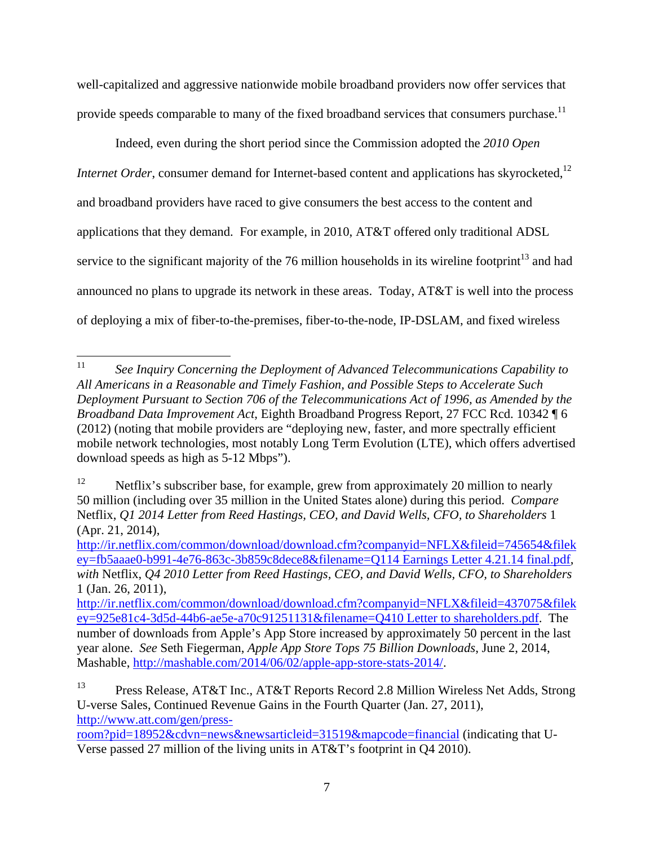well-capitalized and aggressive nationwide mobile broadband providers now offer services that provide speeds comparable to many of the fixed broadband services that consumers purchase.<sup>11</sup>

Indeed, even during the short period since the Commission adopted the *2010 Open Internet Order*, consumer demand for Internet-based content and applications has skyrocketed,<sup>12</sup> and broadband providers have raced to give consumers the best access to the content and applications that they demand. For example, in 2010, AT&T offered only traditional ADSL service to the significant majority of the 76 million households in its wireline footprint<sup>13</sup> and had announced no plans to upgrade its network in these areas. Today, AT&T is well into the process of deploying a mix of fiber-to-the-premises, fiber-to-the-node, IP-DSLAM, and fixed wireless

 $11$ 11 *See Inquiry Concerning the Deployment of Advanced Telecommunications Capability to All Americans in a Reasonable and Timely Fashion, and Possible Steps to Accelerate Such Deployment Pursuant to Section 706 of the Telecommunications Act of 1996, as Amended by the Broadband Data Improvement Act*, Eighth Broadband Progress Report, 27 FCC Rcd. 10342 ¶ 6 (2012) (noting that mobile providers are "deploying new, faster, and more spectrally efficient mobile network technologies, most notably Long Term Evolution (LTE), which offers advertised download speeds as high as 5-12 Mbps").

<sup>&</sup>lt;sup>12</sup> Netflix's subscriber base, for example, grew from approximately 20 million to nearly 50 million (including over 35 million in the United States alone) during this period. *Compare*  Netflix, *Q1 2014 Letter from Reed Hastings, CEO, and David Wells, CFO, to Shareholders* 1 (Apr. 21, 2014),

http://ir.netflix.com/common/download/download.cfm?companyid=NFLX&fileid=745654&filek ey=fb5aaae0-b991-4e76-863c-3b859c8dece8&filename=Q114 Earnings Letter 4.21.14 final.pdf, *with* Netflix, *Q4 2010 Letter from Reed Hastings, CEO, and David Wells, CFO, to Shareholders* 1 (Jan. 26, 2011),

http://ir.netflix.com/common/download/download.cfm?companyid=NFLX&fileid=437075&filek ey=925e81c4-3d5d-44b6-ae5e-a70c91251131&filename=Q410 Letter to shareholders.pdf. The number of downloads from Apple's App Store increased by approximately 50 percent in the last year alone. *See* Seth Fiegerman, *Apple App Store Tops 75 Billion Downloads*, June 2, 2014, Mashable, http://mashable.com/2014/06/02/apple-app-store-stats-2014/.

<sup>13</sup> Press Release, AT&T Inc., AT&T Reports Record 2.8 Million Wireless Net Adds, Strong U-verse Sales, Continued Revenue Gains in the Fourth Quarter (Jan. 27, 2011), http://www.att.com/gen/press-

room?pid=18952&cdvn=news&newsarticleid=31519&mapcode=financial (indicating that U-Verse passed 27 million of the living units in AT&T's footprint in Q4 2010).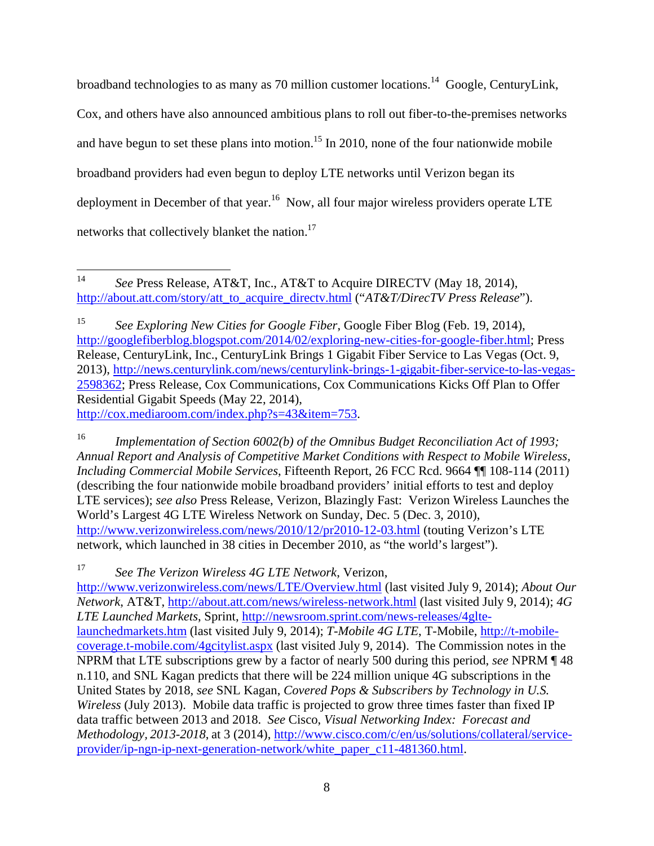broadband technologies to as many as 70 million customer locations.<sup>14</sup> Google, CenturyLink, Cox, and others have also announced ambitious plans to roll out fiber-to-the-premises networks and have begun to set these plans into motion.<sup>15</sup> In 2010, none of the four nationwide mobile broadband providers had even begun to deploy LTE networks until Verizon began its deployment in December of that year.<sup>16</sup> Now, all four major wireless providers operate LTE networks that collectively blanket the nation.<sup>17</sup>

16 *Implementation of Section 6002(b) of the Omnibus Budget Reconciliation Act of 1993; Annual Report and Analysis of Competitive Market Conditions with Respect to Mobile Wireless, Including Commercial Mobile Services*, Fifteenth Report, 26 FCC Rcd. 9664 ¶¶ 108-114 (2011) (describing the four nationwide mobile broadband providers' initial efforts to test and deploy LTE services); *see also* Press Release, Verizon, Blazingly Fast: Verizon Wireless Launches the World's Largest 4G LTE Wireless Network on Sunday, Dec. 5 (Dec. 3, 2010), http://www.verizonwireless.com/news/2010/12/pr2010-12-03.html (touting Verizon's LTE network, which launched in 38 cities in December 2010, as "the world's largest").

17 *See The Verizon Wireless 4G LTE Network*, Verizon,

http://www.verizonwireless.com/news/LTE/Overview.html (last visited July 9, 2014); *About Our Network*, AT&T, http://about.att.com/news/wireless-network.html (last visited July 9, 2014); *4G LTE Launched Markets*, Sprint, http://newsroom.sprint.com/news-releases/4gltelaunchedmarkets.htm (last visited July 9, 2014); *T-Mobile 4G LTE*, T-Mobile, http://t-mobilecoverage.t-mobile.com/4gcitylist.aspx (last visited July 9, 2014). The Commission notes in the NPRM that LTE subscriptions grew by a factor of nearly 500 during this period, *see* NPRM ¶ 48 n.110, and SNL Kagan predicts that there will be 224 million unique 4G subscriptions in the United States by 2018, *see* SNL Kagan, *Covered Pops & Subscribers by Technology in U.S. Wireless* (July 2013). Mobile data traffic is projected to grow three times faster than fixed IP data traffic between 2013 and 2018. *See* Cisco, *Visual Networking Index: Forecast and Methodology, 2013-2018*, at 3 (2014), http://www.cisco.com/c/en/us/solutions/collateral/serviceprovider/ip-ngn-ip-next-generation-network/white\_paper\_c11-481360.html.

 $14$ 14 *See* Press Release, AT&T, Inc., AT&T to Acquire DIRECTV (May 18, 2014), http://about.att.com/story/att\_to\_acquire\_directv.html ("*AT&T/DirecTV Press Release*").

<sup>15</sup> *See Exploring New Cities for Google Fiber*, Google Fiber Blog (Feb. 19, 2014), http://googlefiberblog.blogspot.com/2014/02/exploring-new-cities-for-google-fiber.html; Press Release, CenturyLink, Inc., CenturyLink Brings 1 Gigabit Fiber Service to Las Vegas (Oct. 9, 2013), http://news.centurylink.com/news/centurylink-brings-1-gigabit-fiber-service-to-las-vegas-2598362; Press Release, Cox Communications, Cox Communications Kicks Off Plan to Offer Residential Gigabit Speeds (May 22, 2014), http://cox.mediaroom.com/index.php?s=43&item=753.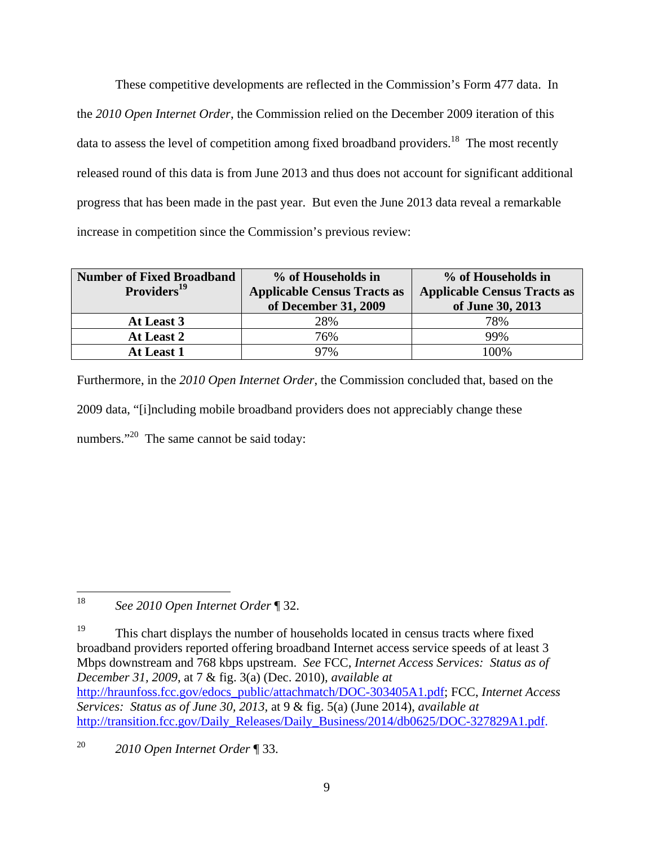These competitive developments are reflected in the Commission's Form 477 data. In the *2010 Open Internet Order*, the Commission relied on the December 2009 iteration of this data to assess the level of competition among fixed broadband providers.<sup>18</sup> The most recently released round of this data is from June 2013 and thus does not account for significant additional progress that has been made in the past year. But even the June 2013 data reveal a remarkable increase in competition since the Commission's previous review:

| <b>Number of Fixed Broadband</b><br>Providers <sup>19</sup> | % of Households in<br><b>Applicable Census Tracts as</b><br>of December 31, 2009 | % of Households in<br><b>Applicable Census Tracts as</b><br>of June 30, 2013 |
|-------------------------------------------------------------|----------------------------------------------------------------------------------|------------------------------------------------------------------------------|
| At Least 3                                                  | 28%                                                                              | 78%                                                                          |
| At Least 2                                                  | 76%                                                                              | 99%                                                                          |
| <b>At Least 1</b>                                           | 97%                                                                              | 100%                                                                         |

Furthermore, in the *2010 Open Internet Order*, the Commission concluded that, based on the 2009 data, "[i]ncluding mobile broadband providers does not appreciably change these numbers."<sup>20</sup> The same cannot be said today:

<sup>18</sup> 18 *See 2010 Open Internet Order* ¶ 32.

<sup>&</sup>lt;sup>19</sup> This chart displays the number of households located in census tracts where fixed broadband providers reported offering broadband Internet access service speeds of at least 3 Mbps downstream and 768 kbps upstream. *See* FCC, *Internet Access Services: Status as of December 31, 2009*, at 7 & fig. 3(a) (Dec. 2010), *available at*  http://hraunfoss.fcc.gov/edocs\_public/attachmatch/DOC-303405A1.pdf; FCC, *Internet Access Services: Status as of June 30, 2013*, at 9 & fig. 5(a) (June 2014), *available at* http://transition.fcc.gov/Daily\_Releases/Daily\_Business/2014/db0625/DOC-327829A1.pdf.

<sup>20</sup> *2010 Open Internet Order* ¶ 33.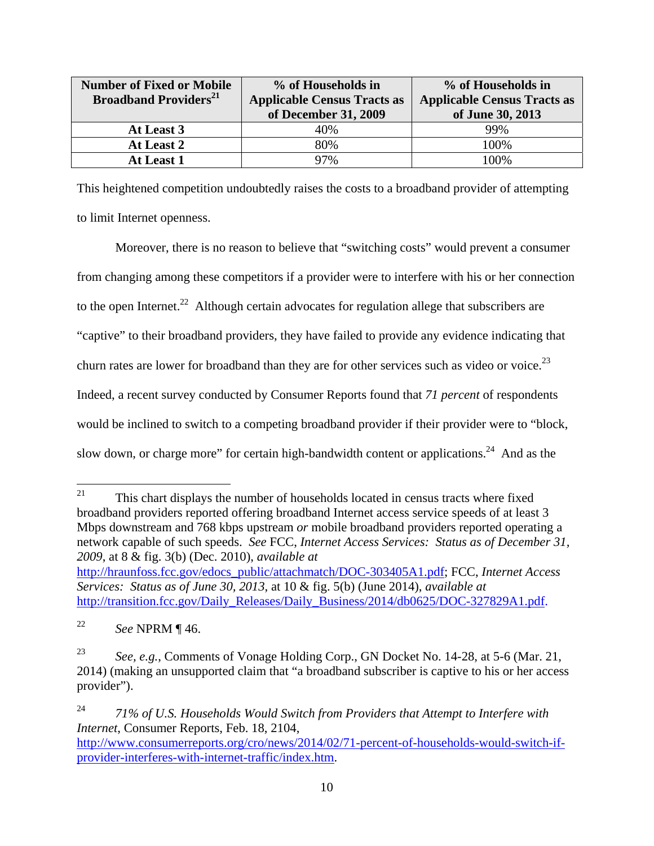| <b>Number of Fixed or Mobile</b><br><b>Broadband Providers</b> <sup>21</sup> | % of Households in<br><b>Applicable Census Tracts as</b><br>of December 31, 2009 | % of Households in<br><b>Applicable Census Tracts as</b><br>of June 30, 2013 |
|------------------------------------------------------------------------------|----------------------------------------------------------------------------------|------------------------------------------------------------------------------|
|                                                                              |                                                                                  |                                                                              |
| At Least 3                                                                   | 40%                                                                              | 99%                                                                          |
| At Least 2                                                                   | 80%                                                                              | 100%                                                                         |
| At Least 1                                                                   | 97%                                                                              | $00\%$                                                                       |

This heightened competition undoubtedly raises the costs to a broadband provider of attempting to limit Internet openness.

Moreover, there is no reason to believe that "switching costs" would prevent a consumer from changing among these competitors if a provider were to interfere with his or her connection to the open Internet.<sup>22</sup> Although certain advocates for regulation allege that subscribers are "captive" to their broadband providers, they have failed to provide any evidence indicating that churn rates are lower for broadband than they are for other services such as video or voice.<sup>23</sup> Indeed, a recent survey conducted by Consumer Reports found that *71 percent* of respondents would be inclined to switch to a competing broadband provider if their provider were to "block, slow down, or charge more" for certain high-bandwidth content or applications.<sup>24</sup> And as the

<sup>21</sup> This chart displays the number of households located in census tracts where fixed broadband providers reported offering broadband Internet access service speeds of at least 3 Mbps downstream and 768 kbps upstream *or* mobile broadband providers reported operating a network capable of such speeds. *See* FCC, *Internet Access Services: Status as of December 31, 2009*, at 8 & fig. 3(b) (Dec. 2010), *available at*  http://hraunfoss.fcc.gov/edocs\_public/attachmatch/DOC-303405A1.pdf; FCC, *Internet Access Services: Status as of June 30, 2013*, at 10 & fig. 5(b) (June 2014), *available at*  http://transition.fcc.gov/Daily\_Releases/Daily\_Business/2014/db0625/DOC-327829A1.pdf.

<sup>22</sup> *See* NPRM ¶ 46.

<sup>23</sup> *See, e.g.*, Comments of Vonage Holding Corp., GN Docket No. 14-28, at 5-6 (Mar. 21, 2014) (making an unsupported claim that "a broadband subscriber is captive to his or her access provider").

<sup>24</sup> *71% of U.S. Households Would Switch from Providers that Attempt to Interfere with Internet*, Consumer Reports, Feb. 18, 2104, http://www.consumerreports.org/cro/news/2014/02/71-percent-of-households-would-switch-ifprovider-interferes-with-internet-traffic/index.htm.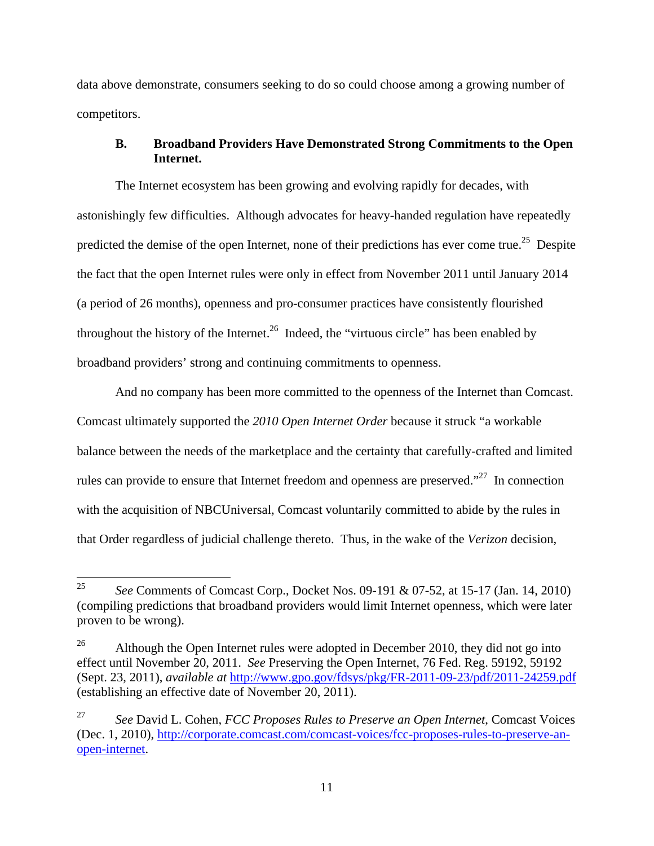data above demonstrate, consumers seeking to do so could choose among a growing number of competitors.

#### **B. Broadband Providers Have Demonstrated Strong Commitments to the Open Internet.**

The Internet ecosystem has been growing and evolving rapidly for decades, with astonishingly few difficulties. Although advocates for heavy-handed regulation have repeatedly predicted the demise of the open Internet, none of their predictions has ever come true.<sup>25</sup> Despite the fact that the open Internet rules were only in effect from November 2011 until January 2014 (a period of 26 months), openness and pro-consumer practices have consistently flourished throughout the history of the Internet.<sup>26</sup> Indeed, the "virtuous circle" has been enabled by broadband providers' strong and continuing commitments to openness.

And no company has been more committed to the openness of the Internet than Comcast. Comcast ultimately supported the *2010 Open Internet Order* because it struck "a workable balance between the needs of the marketplace and the certainty that carefully-crafted and limited rules can provide to ensure that Internet freedom and openness are preserved."<sup>27</sup> In connection with the acquisition of NBCUniversal, Comcast voluntarily committed to abide by the rules in that Order regardless of judicial challenge thereto. Thus, in the wake of the *Verizon* decision,

<sup>25</sup> 25 *See* Comments of Comcast Corp., Docket Nos. 09-191 & 07-52, at 15-17 (Jan. 14, 2010) (compiling predictions that broadband providers would limit Internet openness, which were later proven to be wrong).

<sup>&</sup>lt;sup>26</sup> Although the Open Internet rules were adopted in December 2010, they did not go into effect until November 20, 2011. *See* Preserving the Open Internet, 76 Fed. Reg. 59192, 59192 (Sept. 23, 2011), *available at* http://www.gpo.gov/fdsys/pkg/FR-2011-09-23/pdf/2011-24259.pdf (establishing an effective date of November 20, 2011).

<sup>27</sup> *See* David L. Cohen, *FCC Proposes Rules to Preserve an Open Internet*, Comcast Voices (Dec. 1, 2010), http://corporate.comcast.com/comcast-voices/fcc-proposes-rules-to-preserve-anopen-internet.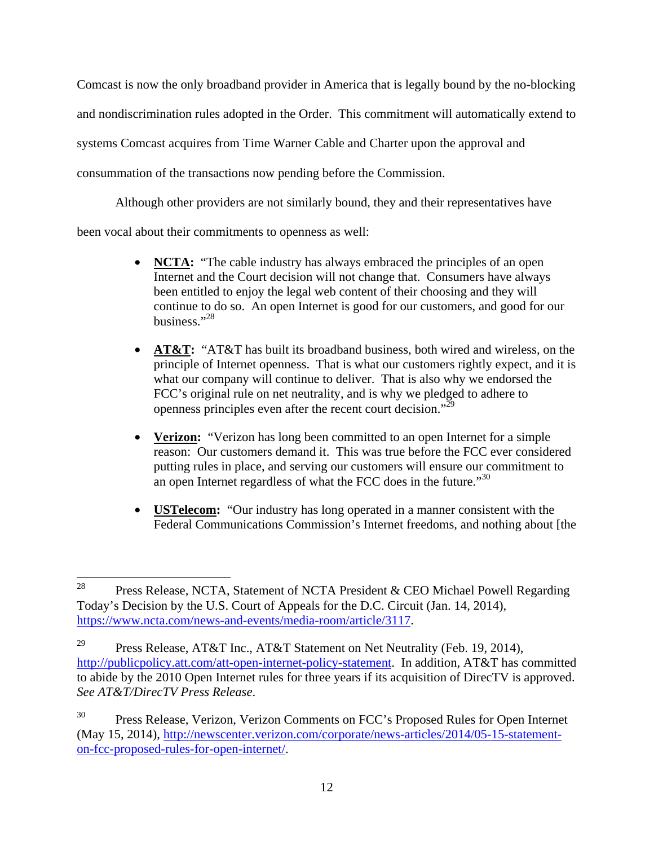Comcast is now the only broadband provider in America that is legally bound by the no-blocking and nondiscrimination rules adopted in the Order. This commitment will automatically extend to systems Comcast acquires from Time Warner Cable and Charter upon the approval and consummation of the transactions now pending before the Commission.

Although other providers are not similarly bound, they and their representatives have

been vocal about their commitments to openness as well:

- **NCTA:** "The cable industry has always embraced the principles of an open Internet and the Court decision will not change that. Consumers have always been entitled to enjoy the legal web content of their choosing and they will continue to do so. An open Internet is good for our customers, and good for our business."28
- **AT&T:** "AT&T has built its broadband business, both wired and wireless, on the principle of Internet openness. That is what our customers rightly expect, and it is what our company will continue to deliver. That is also why we endorsed the FCC's original rule on net neutrality, and is why we pledged to adhere to openness principles even after the recent court decision."29
- **Verizon:** "Verizon has long been committed to an open Internet for a simple reason: Our customers demand it. This was true before the FCC ever considered putting rules in place, and serving our customers will ensure our commitment to an open Internet regardless of what the FCC does in the future. $130$
- **USTelecom:** "Our industry has long operated in a manner consistent with the Federal Communications Commission's Internet freedoms, and nothing about [the

<sup>28</sup> 28 Press Release, NCTA, Statement of NCTA President & CEO Michael Powell Regarding Today's Decision by the U.S. Court of Appeals for the D.C. Circuit (Jan. 14, 2014), https://www.ncta.com/news-and-events/media-room/article/3117.

<sup>&</sup>lt;sup>29</sup> Press Release, AT&T Inc., AT&T Statement on Net Neutrality (Feb. 19, 2014), http://publicpolicy.att.com/att-open-internet-policy-statement. In addition, AT&T has committed to abide by the 2010 Open Internet rules for three years if its acquisition of DirecTV is approved. *See AT&T/DirecTV Press Release*.

Press Release, Verizon, Verizon Comments on FCC's Proposed Rules for Open Internet (May 15, 2014), http://newscenter.verizon.com/corporate/news-articles/2014/05-15-statementon-fcc-proposed-rules-for-open-internet/.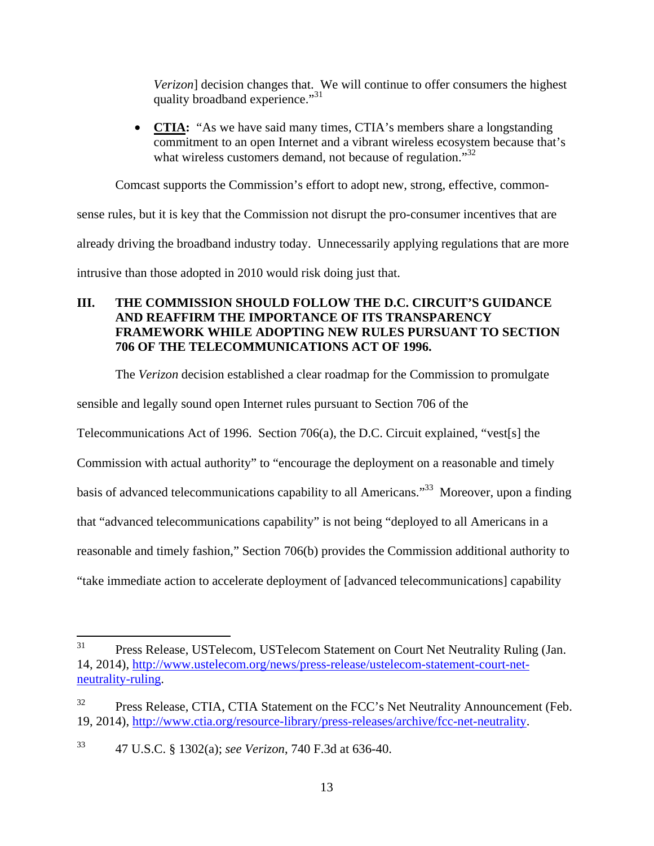*Verizon*] decision changes that. We will continue to offer consumers the highest quality broadband experience."31

• **CTIA:** "As we have said many times, CTIA's members share a longstanding commitment to an open Internet and a vibrant wireless ecosystem because that's what wireless customers demand, not because of regulation."<sup>32</sup>

Comcast supports the Commission's effort to adopt new, strong, effective, common-

sense rules, but it is key that the Commission not disrupt the pro-consumer incentives that are already driving the broadband industry today. Unnecessarily applying regulations that are more intrusive than those adopted in 2010 would risk doing just that.

# **III. THE COMMISSION SHOULD FOLLOW THE D.C. CIRCUIT'S GUIDANCE AND REAFFIRM THE IMPORTANCE OF ITS TRANSPARENCY FRAMEWORK WHILE ADOPTING NEW RULES PURSUANT TO SECTION 706 OF THE TELECOMMUNICATIONS ACT OF 1996.**

The *Verizon* decision established a clear roadmap for the Commission to promulgate

sensible and legally sound open Internet rules pursuant to Section 706 of the

Telecommunications Act of 1996. Section 706(a), the D.C. Circuit explained, "vest[s] the

Commission with actual authority" to "encourage the deployment on a reasonable and timely

basis of advanced telecommunications capability to all Americans."<sup>33</sup> Moreover, upon a finding

that "advanced telecommunications capability" is not being "deployed to all Americans in a

reasonable and timely fashion," Section 706(b) provides the Commission additional authority to

"take immediate action to accelerate deployment of [advanced telecommunications] capability

<sup>31</sup> 31 Press Release, USTelecom, USTelecom Statement on Court Net Neutrality Ruling (Jan. 14, 2014), http://www.ustelecom.org/news/press-release/ustelecom-statement-court-netneutrality-ruling.

<sup>&</sup>lt;sup>32</sup> Press Release, CTIA, CTIA Statement on the FCC's Net Neutrality Announcement (Feb. 19, 2014), http://www.ctia.org/resource-library/press-releases/archive/fcc-net-neutrality.

<sup>33 47</sup> U.S.C. § 1302(a); *see Verizon*, 740 F.3d at 636-40.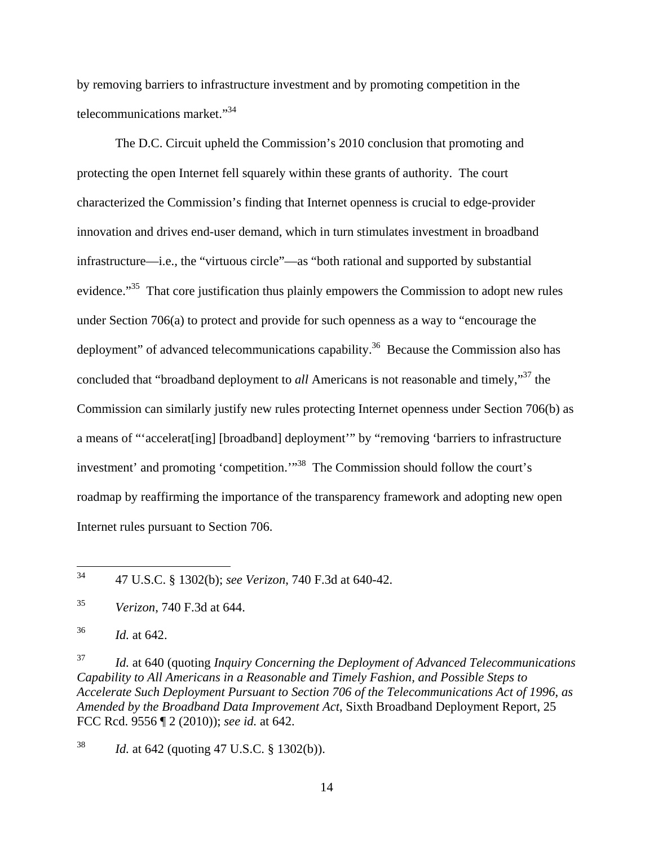by removing barriers to infrastructure investment and by promoting competition in the telecommunications market."34

The D.C. Circuit upheld the Commission's 2010 conclusion that promoting and protecting the open Internet fell squarely within these grants of authority. The court characterized the Commission's finding that Internet openness is crucial to edge-provider innovation and drives end-user demand, which in turn stimulates investment in broadband infrastructure—i.e.*,* the "virtuous circle"—as "both rational and supported by substantial evidence."<sup>35</sup> That core justification thus plainly empowers the Commission to adopt new rules under Section 706(a) to protect and provide for such openness as a way to "encourage the deployment" of advanced telecommunications capability.<sup>36</sup> Because the Commission also has concluded that "broadband deployment to *all* Americans is not reasonable and timely,"37 the Commission can similarly justify new rules protecting Internet openness under Section 706(b) as a means of "'accelerat[ing] [broadband] deployment'" by "removing 'barriers to infrastructure investment' and promoting 'competition.'"<sup>38</sup> The Commission should follow the court's roadmap by reaffirming the importance of the transparency framework and adopting new open Internet rules pursuant to Section 706.

37 *Id.* at 640 (quoting *Inquiry Concerning the Deployment of Advanced Telecommunications Capability to All Americans in a Reasonable and Timely Fashion, and Possible Steps to Accelerate Such Deployment Pursuant to Section 706 of the Telecommunications Act of 1996*, *as Amended by the Broadband Data Improvement Act*, Sixth Broadband Deployment Report, 25 FCC Rcd. 9556 ¶ 2 (2010)); *see id.* at 642.

38 *Id.* at 642 (quoting 47 U.S.C. § 1302(b)).

<sup>34</sup> 34 47 U.S.C. § 1302(b); *see Verizon*, 740 F.3d at 640-42.

<sup>35</sup> *Verizon*, 740 F.3d at 644.

<sup>36</sup> *Id.* at 642.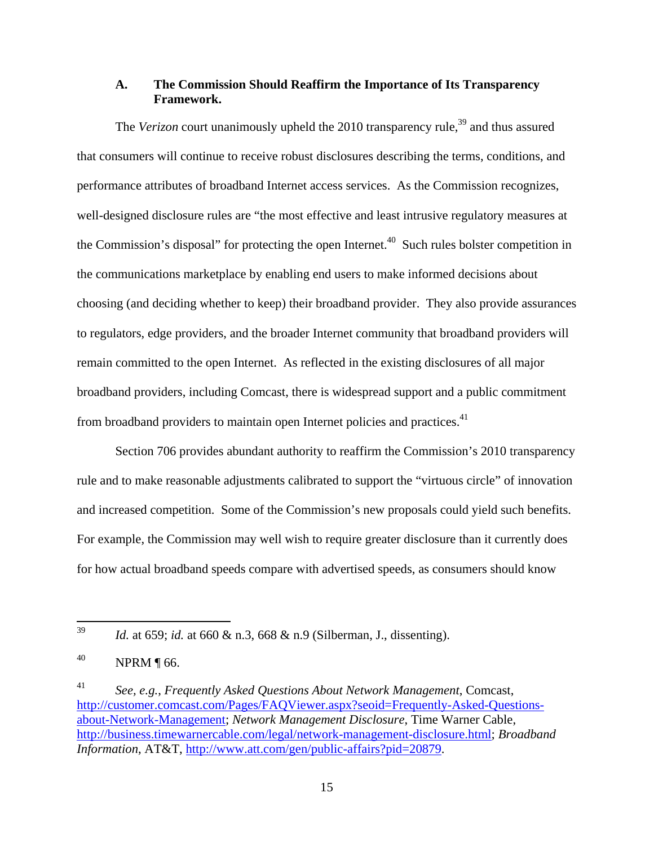#### **A. The Commission Should Reaffirm the Importance of Its Transparency Framework.**

The *Verizon* court unanimously upheld the 2010 transparency rule,<sup>39</sup> and thus assured that consumers will continue to receive robust disclosures describing the terms, conditions, and performance attributes of broadband Internet access services. As the Commission recognizes, well-designed disclosure rules are "the most effective and least intrusive regulatory measures at the Commission's disposal" for protecting the open Internet.<sup>40</sup> Such rules bolster competition in the communications marketplace by enabling end users to make informed decisions about choosing (and deciding whether to keep) their broadband provider. They also provide assurances to regulators, edge providers, and the broader Internet community that broadband providers will remain committed to the open Internet. As reflected in the existing disclosures of all major broadband providers, including Comcast, there is widespread support and a public commitment from broadband providers to maintain open Internet policies and practices.<sup>41</sup>

Section 706 provides abundant authority to reaffirm the Commission's 2010 transparency rule and to make reasonable adjustments calibrated to support the "virtuous circle" of innovation and increased competition. Some of the Commission's new proposals could yield such benefits. For example, the Commission may well wish to require greater disclosure than it currently does for how actual broadband speeds compare with advertised speeds, as consumers should know

<sup>39</sup> *Id.* at 659; *id.* at 660 & n.3, 668 & n.9 (Silberman, J., dissenting).

 $^{40}$  NPRM [ 66.

<sup>41</sup> *See, e.g.*, *Frequently Asked Questions About Network Management*, Comcast, http://customer.comcast.com/Pages/FAQViewer.aspx?seoid=Frequently-Asked-Questionsabout-Network-Management; *Network Management Disclosure*, Time Warner Cable, http://business.timewarnercable.com/legal/network-management-disclosure.html; *Broadband Information*, AT&T, http://www.att.com/gen/public-affairs?pid=20879.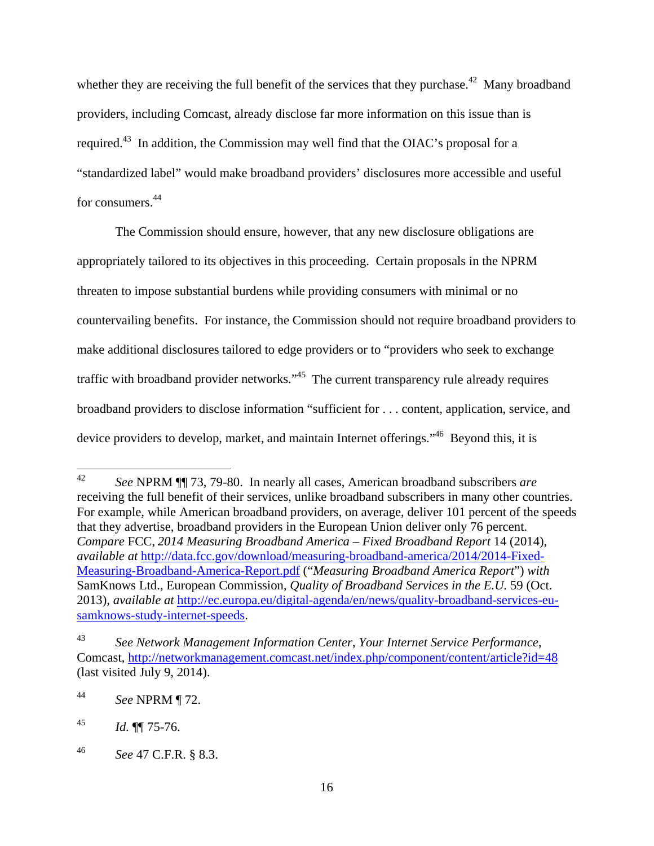whether they are receiving the full benefit of the services that they purchase.<sup>42</sup> Many broadband providers, including Comcast, already disclose far more information on this issue than is required.<sup>43</sup> In addition, the Commission may well find that the OIAC's proposal for a "standardized label" would make broadband providers' disclosures more accessible and useful for consumers<sup>44</sup>

The Commission should ensure, however, that any new disclosure obligations are appropriately tailored to its objectives in this proceeding. Certain proposals in the NPRM threaten to impose substantial burdens while providing consumers with minimal or no countervailing benefits. For instance, the Commission should not require broadband providers to make additional disclosures tailored to edge providers or to "providers who seek to exchange traffic with broadband provider networks."45 The current transparency rule already requires broadband providers to disclose information "sufficient for . . . content, application, service, and device providers to develop, market, and maintain Internet offerings."<sup>46</sup> Beyond this, it is

<sup>42</sup> 42 *See* NPRM ¶¶ 73, 79-80. In nearly all cases, American broadband subscribers *are*  receiving the full benefit of their services, unlike broadband subscribers in many other countries. For example, while American broadband providers, on average, deliver 101 percent of the speeds that they advertise, broadband providers in the European Union deliver only 76 percent. *Compare* FCC, *2014 Measuring Broadband America – Fixed Broadband Report* 14 (2014), *available at* http://data.fcc.gov/download/measuring-broadband-america/2014/2014-Fixed-Measuring-Broadband-America-Report.pdf ("*Measuring Broadband America Report*") *with* SamKnows Ltd., European Commission, *Quality of Broadband Services in the E.U.* 59 (Oct. 2013), *available at* http://ec.europa.eu/digital-agenda/en/news/quality-broadband-services-eusamknows-study-internet-speeds.

<sup>43</sup> *See Network Management Information Center*, *Your Internet Service Performance*, Comcast, http://networkmanagement.comcast.net/index.php/component/content/article?id=48 (last visited July 9, 2014).

<sup>44</sup> *See* NPRM ¶ 72.

<sup>45</sup> *Id.* ¶¶ 75-76.

<sup>46</sup> *See* 47 C.F.R. § 8.3.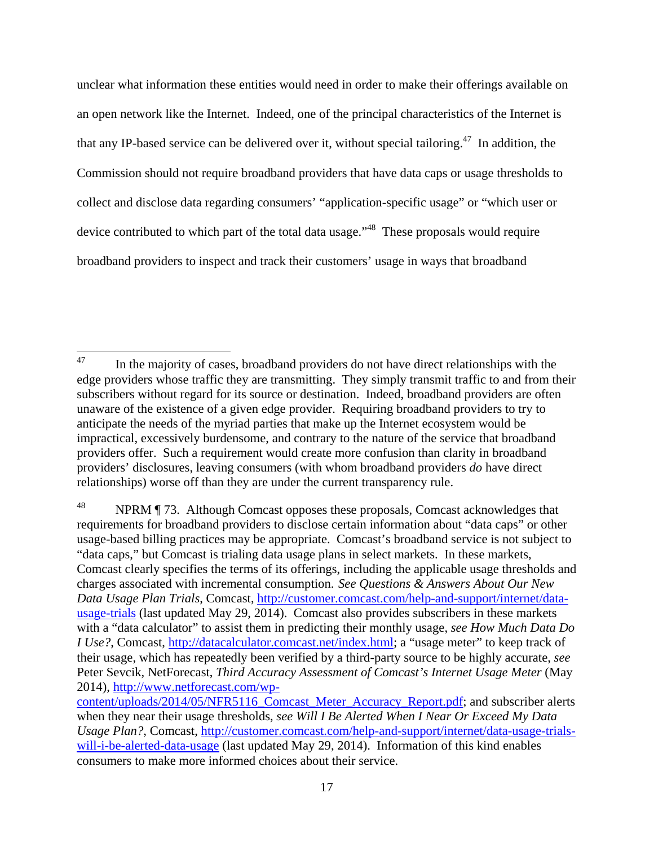unclear what information these entities would need in order to make their offerings available on an open network like the Internet. Indeed, one of the principal characteristics of the Internet is that any IP-based service can be delivered over it, without special tailoring.<sup>47</sup> In addition, the Commission should not require broadband providers that have data caps or usage thresholds to collect and disclose data regarding consumers' "application-specific usage" or "which user or device contributed to which part of the total data usage."<sup>48</sup> These proposals would require broadband providers to inspect and track their customers' usage in ways that broadband

<sup>47</sup> In the majority of cases, broadband providers do not have direct relationships with the edge providers whose traffic they are transmitting. They simply transmit traffic to and from their subscribers without regard for its source or destination. Indeed, broadband providers are often unaware of the existence of a given edge provider. Requiring broadband providers to try to anticipate the needs of the myriad parties that make up the Internet ecosystem would be impractical, excessively burdensome, and contrary to the nature of the service that broadband providers offer. Such a requirement would create more confusion than clarity in broadband providers' disclosures, leaving consumers (with whom broadband providers *do* have direct relationships) worse off than they are under the current transparency rule.

<sup>&</sup>lt;sup>48</sup> NPRM ¶ 73. Although Comcast opposes these proposals, Comcast acknowledges that requirements for broadband providers to disclose certain information about "data caps" or other usage-based billing practices may be appropriate. Comcast's broadband service is not subject to "data caps," but Comcast is trialing data usage plans in select markets. In these markets, Comcast clearly specifies the terms of its offerings, including the applicable usage thresholds and charges associated with incremental consumption. *See Questions & Answers About Our New Data Usage Plan Trials*, Comcast, http://customer.comcast.com/help-and-support/internet/datausage-trials (last updated May 29, 2014). Comcast also provides subscribers in these markets with a "data calculator" to assist them in predicting their monthly usage, *see How Much Data Do I Use?*, Comcast, http://datacalculator.comcast.net/index.html; a "usage meter" to keep track of their usage, which has repeatedly been verified by a third-party source to be highly accurate, *see*  Peter Sevcik, NetForecast, *Third Accuracy Assessment of Comcast's Internet Usage Meter* (May 2014), http://www.netforecast.com/wp-

content/uploads/2014/05/NFR5116 Comcast Meter Accuracy Report.pdf; and subscriber alerts when they near their usage thresholds, *see Will I Be Alerted When I Near Or Exceed My Data Usage Plan?*, Comcast, http://customer.comcast.com/help-and-support/internet/data-usage-trialswill-i-be-alerted-data-usage (last updated May 29, 2014). Information of this kind enables consumers to make more informed choices about their service.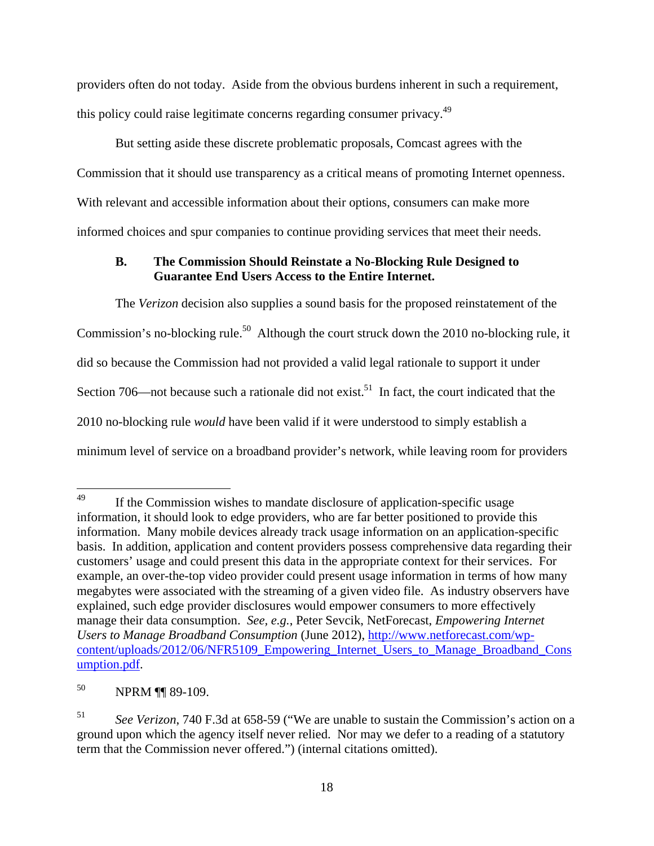providers often do not today. Aside from the obvious burdens inherent in such a requirement, this policy could raise legitimate concerns regarding consumer privacy.<sup>49</sup>

But setting aside these discrete problematic proposals, Comcast agrees with the Commission that it should use transparency as a critical means of promoting Internet openness. With relevant and accessible information about their options, consumers can make more informed choices and spur companies to continue providing services that meet their needs.

# **B. The Commission Should Reinstate a No-Blocking Rule Designed to Guarantee End Users Access to the Entire Internet.**

The *Verizon* decision also supplies a sound basis for the proposed reinstatement of the Commission's no-blocking rule.<sup>50</sup> Although the court struck down the 2010 no-blocking rule, it did so because the Commission had not provided a valid legal rationale to support it under Section 706—not because such a rationale did not exist.<sup>51</sup> In fact, the court indicated that the 2010 no-blocking rule *would* have been valid if it were understood to simply establish a minimum level of service on a broadband provider's network, while leaving room for providers

<sup>49</sup> If the Commission wishes to mandate disclosure of application-specific usage information, it should look to edge providers, who are far better positioned to provide this information. Many mobile devices already track usage information on an application-specific basis. In addition, application and content providers possess comprehensive data regarding their customers' usage and could present this data in the appropriate context for their services. For example, an over-the-top video provider could present usage information in terms of how many megabytes were associated with the streaming of a given video file. As industry observers have explained, such edge provider disclosures would empower consumers to more effectively manage their data consumption. *See, e.g.*, Peter Sevcik, NetForecast, *Empowering Internet Users to Manage Broadband Consumption* (June 2012), http://www.netforecast.com/wpcontent/uploads/2012/06/NFR5109\_Empowering\_Internet\_Users\_to\_Manage\_Broadband\_Cons umption.pdf.

<sup>50</sup> NPRM ¶¶ 89-109.

<sup>51</sup> *See Verizon*, 740 F.3d at 658-59 ("We are unable to sustain the Commission's action on a ground upon which the agency itself never relied. Nor may we defer to a reading of a statutory term that the Commission never offered.") (internal citations omitted).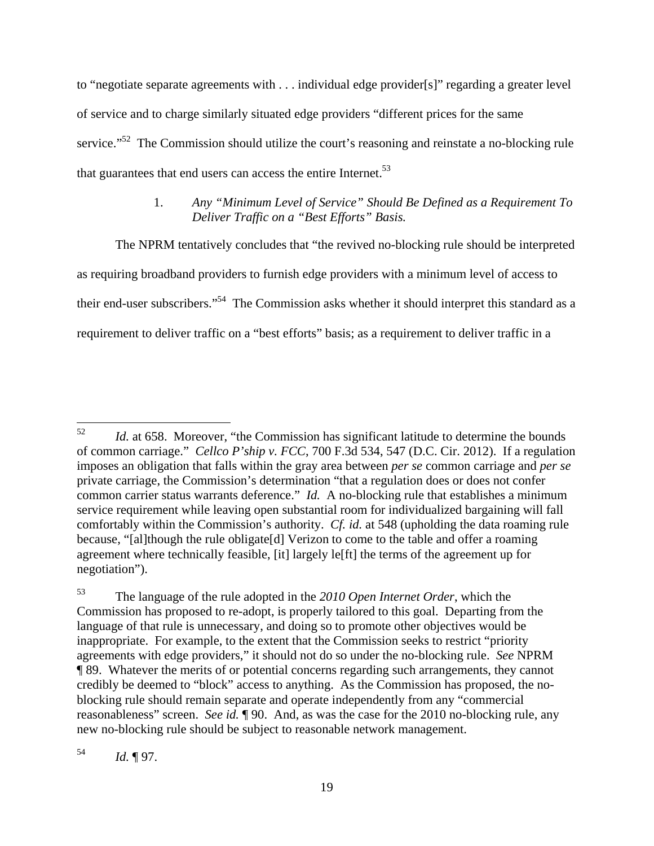to "negotiate separate agreements with . . . individual edge provider[s]" regarding a greater level of service and to charge similarly situated edge providers "different prices for the same service."<sup>52</sup> The Commission should utilize the court's reasoning and reinstate a no-blocking rule that guarantees that end users can access the entire Internet.<sup>53</sup>

# 1. *Any "Minimum Level of Service" Should Be Defined as a Requirement To Deliver Traffic on a "Best Efforts" Basis.*

The NPRM tentatively concludes that "the revived no-blocking rule should be interpreted as requiring broadband providers to furnish edge providers with a minimum level of access to their end-user subscribers."54 The Commission asks whether it should interpret this standard as a requirement to deliver traffic on a "best efforts" basis; as a requirement to deliver traffic in a

 $^{54}$  *Id.* ¶ 97.

<sup>52</sup> Id. at 658. Moreover, "the Commission has significant latitude to determine the bounds of common carriage." *Cellco P'ship v. FCC*, 700 F.3d 534, 547 (D.C. Cir. 2012). If a regulation imposes an obligation that falls within the gray area between *per se* common carriage and *per se*  private carriage, the Commission's determination "that a regulation does or does not confer common carrier status warrants deference." *Id.* A no-blocking rule that establishes a minimum service requirement while leaving open substantial room for individualized bargaining will fall comfortably within the Commission's authority. *Cf. id.* at 548 (upholding the data roaming rule because, "[al]though the rule obligate[d] Verizon to come to the table and offer a roaming agreement where technically feasible, [it] largely le[ft] the terms of the agreement up for negotiation").

<sup>53</sup> The language of the rule adopted in the *2010 Open Internet Order*, which the Commission has proposed to re-adopt, is properly tailored to this goal. Departing from the language of that rule is unnecessary, and doing so to promote other objectives would be inappropriate. For example, to the extent that the Commission seeks to restrict "priority agreements with edge providers," it should not do so under the no-blocking rule. *See* NPRM ¶ 89. Whatever the merits of or potential concerns regarding such arrangements, they cannot credibly be deemed to "block" access to anything. As the Commission has proposed, the noblocking rule should remain separate and operate independently from any "commercial reasonableness" screen. *See id.* ¶ 90. And, as was the case for the 2010 no-blocking rule, any new no-blocking rule should be subject to reasonable network management.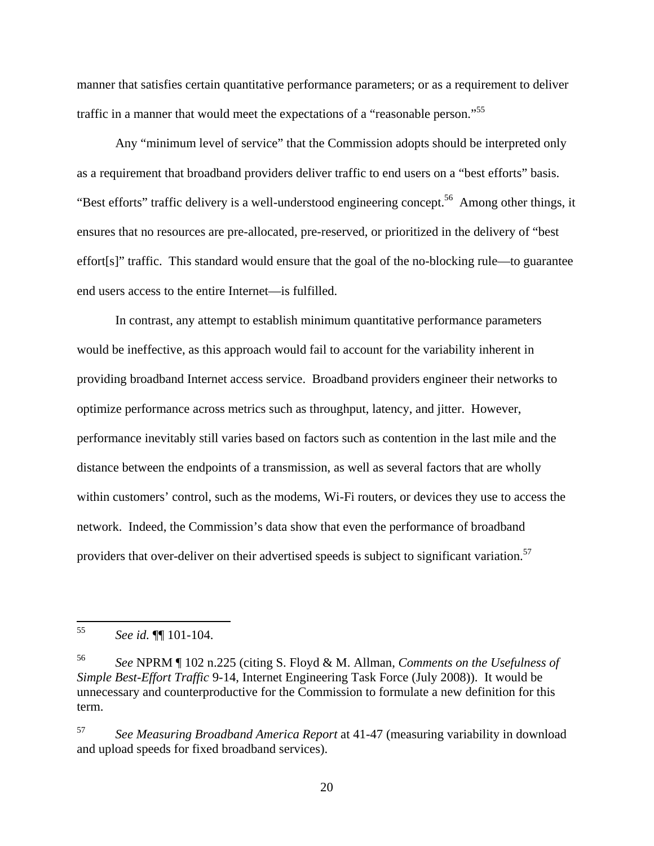manner that satisfies certain quantitative performance parameters; or as a requirement to deliver traffic in a manner that would meet the expectations of a "reasonable person."55

Any "minimum level of service" that the Commission adopts should be interpreted only as a requirement that broadband providers deliver traffic to end users on a "best efforts" basis. "Best efforts" traffic delivery is a well-understood engineering concept.<sup>56</sup> Among other things, it ensures that no resources are pre-allocated, pre-reserved, or prioritized in the delivery of "best effort[s]" traffic. This standard would ensure that the goal of the no-blocking rule—to guarantee end users access to the entire Internet—is fulfilled.

In contrast, any attempt to establish minimum quantitative performance parameters would be ineffective, as this approach would fail to account for the variability inherent in providing broadband Internet access service. Broadband providers engineer their networks to optimize performance across metrics such as throughput, latency, and jitter. However, performance inevitably still varies based on factors such as contention in the last mile and the distance between the endpoints of a transmission, as well as several factors that are wholly within customers' control, such as the modems, Wi-Fi routers, or devices they use to access the network. Indeed, the Commission's data show that even the performance of broadband providers that over-deliver on their advertised speeds is subject to significant variation.<sup>57</sup>

<sup>57</sup> *See Measuring Broadband America Report* at 41-47 (measuring variability in download and upload speeds for fixed broadband services).

<sup>55</sup> 55 *See id.* ¶¶ 101-104.

<sup>56</sup> *See* NPRM ¶ 102 n.225 (citing S. Floyd & M. Allman, *Comments on the Usefulness of Simple Best-Effort Traffic* 9-14, Internet Engineering Task Force (July 2008)). It would be unnecessary and counterproductive for the Commission to formulate a new definition for this term.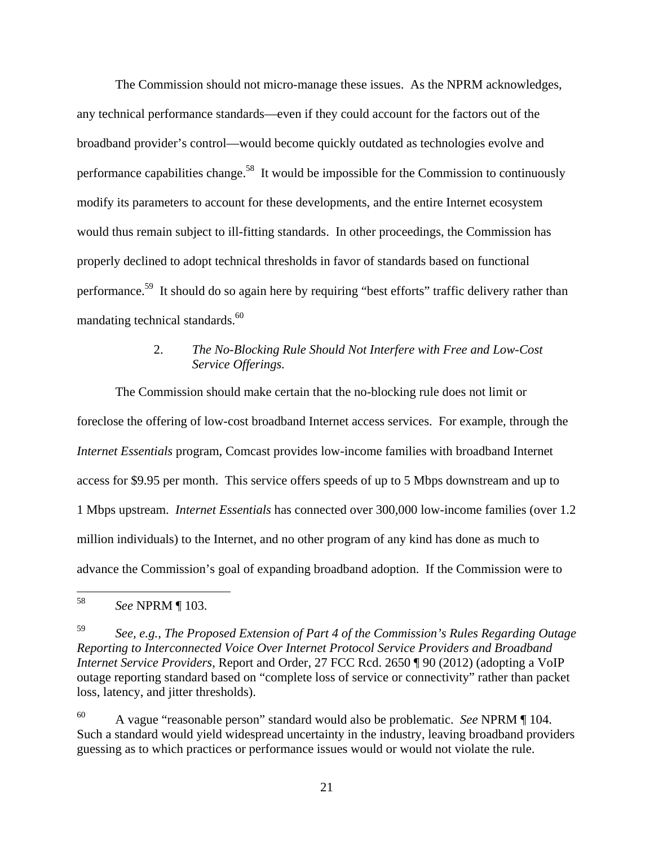The Commission should not micro-manage these issues. As the NPRM acknowledges, any technical performance standards—even if they could account for the factors out of the broadband provider's control—would become quickly outdated as technologies evolve and performance capabilities change.<sup>58</sup> It would be impossible for the Commission to continuously modify its parameters to account for these developments, and the entire Internet ecosystem would thus remain subject to ill-fitting standards. In other proceedings, the Commission has properly declined to adopt technical thresholds in favor of standards based on functional performance.<sup>59</sup> It should do so again here by requiring "best efforts" traffic delivery rather than mandating technical standards.<sup>60</sup>

#### 2. *The No-Blocking Rule Should Not Interfere with Free and Low-Cost Service Offerings.*

The Commission should make certain that the no-blocking rule does not limit or foreclose the offering of low-cost broadband Internet access services. For example, through the *Internet Essentials* program, Comcast provides low-income families with broadband Internet access for \$9.95 per month. This service offers speeds of up to 5 Mbps downstream and up to 1 Mbps upstream. *Internet Essentials* has connected over 300,000 low-income families (over 1.2 million individuals) to the Internet, and no other program of any kind has done as much to advance the Commission's goal of expanding broadband adoption. If the Commission were to

58 58 *See* NPRM ¶ 103.

59 *See, e.g.*, *The Proposed Extension of Part 4 of the Commission's Rules Regarding Outage Reporting to Interconnected Voice Over Internet Protocol Service Providers and Broadband Internet Service Providers*, Report and Order, 27 FCC Rcd. 2650 ¶ 90 (2012) (adopting a VoIP outage reporting standard based on "complete loss of service or connectivity" rather than packet loss, latency, and jitter thresholds).

60 A vague "reasonable person" standard would also be problematic. *See* NPRM ¶ 104. Such a standard would yield widespread uncertainty in the industry, leaving broadband providers guessing as to which practices or performance issues would or would not violate the rule.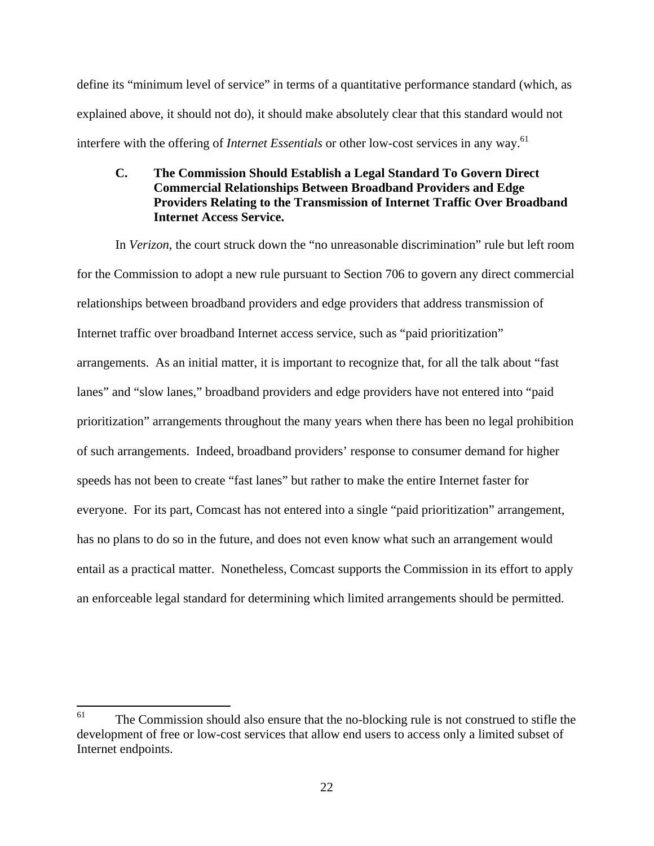define its "minimum level of service" in terms of a quantitative performance standard (which, as explained above, it should not do), it should make absolutely clear that this standard would not interfere with the offering of *Internet Essentials* or other low-cost services in any way.<sup>61</sup>

# **C. The Commission Should Establish a Legal Standard To Govern Direct Commercial Relationships Between Broadband Providers and Edge Providers Relating to the Transmission of Internet Traffic Over Broadband Internet Access Service.**

In *Verizon*, the court struck down the "no unreasonable discrimination" rule but left room for the Commission to adopt a new rule pursuant to Section 706 to govern any direct commercial relationships between broadband providers and edge providers that address transmission of Internet traffic over broadband Internet access service, such as "paid prioritization" arrangements. As an initial matter, it is important to recognize that, for all the talk about "fast lanes" and "slow lanes," broadband providers and edge providers have not entered into "paid prioritization" arrangements throughout the many years when there has been no legal prohibition of such arrangements. Indeed, broadband providers' response to consumer demand for higher speeds has not been to create "fast lanes" but rather to make the entire Internet faster for everyone. For its part, Comcast has not entered into a single "paid prioritization" arrangement, has no plans to do so in the future, and does not even know what such an arrangement would entail as a practical matter. Nonetheless, Comcast supports the Commission in its effort to apply an enforceable legal standard for determining which limited arrangements should be permitted.

<sup>61</sup> The Commission should also ensure that the no-blocking rule is not construed to stifle the development of free or low-cost services that allow end users to access only a limited subset of Internet endpoints.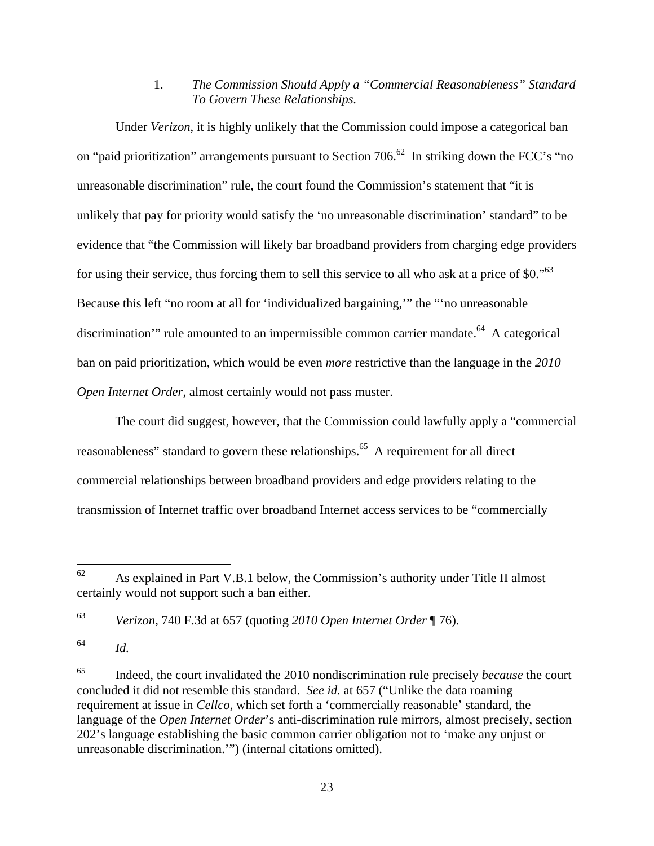1. *The Commission Should Apply a "Commercial Reasonableness" Standard To Govern These Relationships.* 

Under *Verizon*, it is highly unlikely that the Commission could impose a categorical ban on "paid prioritization" arrangements pursuant to Section  $706<sup>62</sup>$  In striking down the FCC's "no unreasonable discrimination" rule, the court found the Commission's statement that "it is unlikely that pay for priority would satisfy the 'no unreasonable discrimination' standard" to be evidence that "the Commission will likely bar broadband providers from charging edge providers for using their service, thus forcing them to sell this service to all who ask at a price of \$0."<sup>63</sup> Because this left "no room at all for 'individualized bargaining,'" the "'no unreasonable discrimination'" rule amounted to an impermissible common carrier mandate.<sup>64</sup> A categorical ban on paid prioritization, which would be even *more* restrictive than the language in the *2010 Open Internet Order*, almost certainly would not pass muster.

The court did suggest, however, that the Commission could lawfully apply a "commercial reasonableness" standard to govern these relationships.<sup>65</sup> A requirement for all direct commercial relationships between broadband providers and edge providers relating to the transmission of Internet traffic over broadband Internet access services to be "commercially

<sup>62</sup> 62 As explained in Part V.B.1 below, the Commission's authority under Title II almost certainly would not support such a ban either.

<sup>63</sup> *Verizon*, 740 F.3d at 657 (quoting *2010 Open Internet Order* ¶ 76).

<sup>64</sup> *Id.*

<sup>65</sup> Indeed, the court invalidated the 2010 nondiscrimination rule precisely *because* the court concluded it did not resemble this standard. *See id.* at 657 ("Unlike the data roaming requirement at issue in *Cellco*, which set forth a 'commercially reasonable' standard, the language of the *Open Internet Order*'s anti-discrimination rule mirrors, almost precisely, section 202's language establishing the basic common carrier obligation not to 'make any unjust or unreasonable discrimination.'") (internal citations omitted).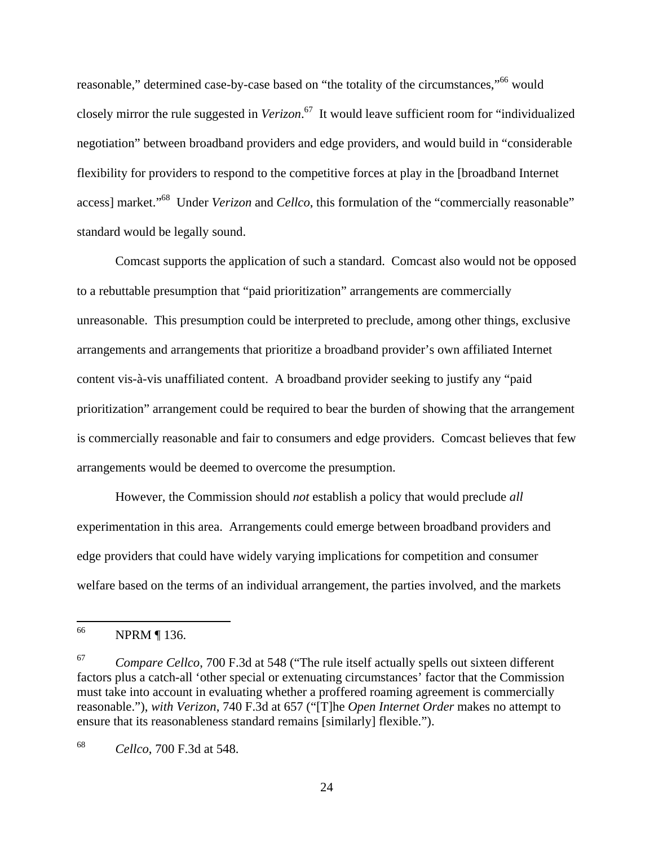reasonable," determined case-by-case based on "the totality of the circumstances,"<sup>66</sup> would closely mirror the rule suggested in *Verizon*. 67 It would leave sufficient room for "individualized negotiation" between broadband providers and edge providers, and would build in "considerable flexibility for providers to respond to the competitive forces at play in the [broadband Internet access] market."<sup>68</sup> Under *Verizon* and *Cellco*, this formulation of the "commercially reasonable" standard would be legally sound.

Comcast supports the application of such a standard. Comcast also would not be opposed to a rebuttable presumption that "paid prioritization" arrangements are commercially unreasonable. This presumption could be interpreted to preclude, among other things, exclusive arrangements and arrangements that prioritize a broadband provider's own affiliated Internet content vis-à-vis unaffiliated content. A broadband provider seeking to justify any "paid prioritization" arrangement could be required to bear the burden of showing that the arrangement is commercially reasonable and fair to consumers and edge providers. Comcast believes that few arrangements would be deemed to overcome the presumption.

However, the Commission should *not* establish a policy that would preclude *all* experimentation in this area. Arrangements could emerge between broadband providers and edge providers that could have widely varying implications for competition and consumer welfare based on the terms of an individual arrangement, the parties involved, and the markets

<sup>66</sup> NPRM ¶ 136.

<sup>67</sup> *Compare Cellco*, 700 F.3d at 548 ("The rule itself actually spells out sixteen different factors plus a catch-all 'other special or extenuating circumstances' factor that the Commission must take into account in evaluating whether a proffered roaming agreement is commercially reasonable."), *with Verizon*, 740 F.3d at 657 ("[T]he *Open Internet Order* makes no attempt to ensure that its reasonableness standard remains [similarly] flexible.").

<sup>68</sup> *Cellco*, 700 F.3d at 548.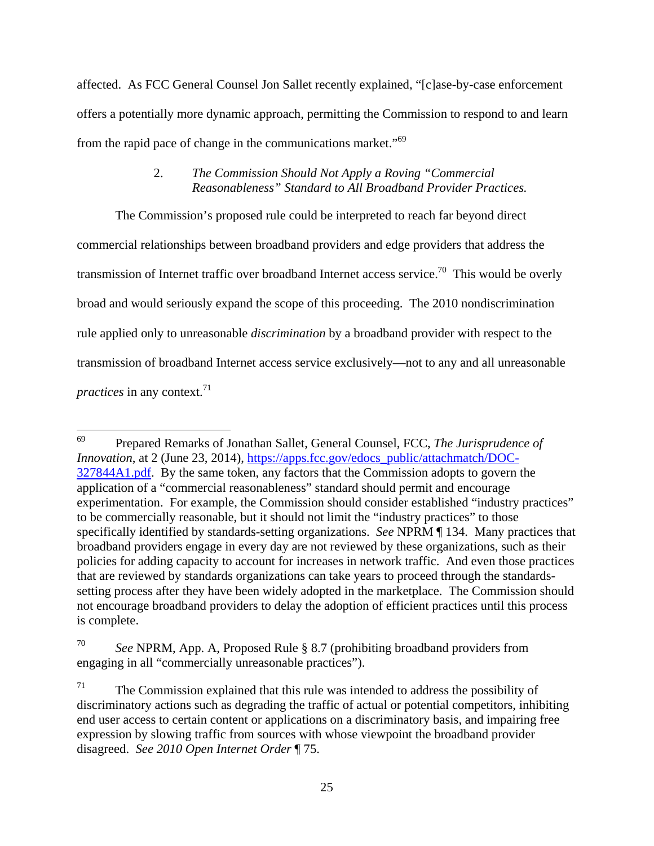affected. As FCC General Counsel Jon Sallet recently explained, "[c]ase-by-case enforcement offers a potentially more dynamic approach, permitting the Commission to respond to and learn from the rapid pace of change in the communications market."69

# 2. *The Commission Should Not Apply a Roving "Commercial Reasonableness" Standard to All Broadband Provider Practices.*

The Commission's proposed rule could be interpreted to reach far beyond direct commercial relationships between broadband providers and edge providers that address the transmission of Internet traffic over broadband Internet access service.<sup>70</sup> This would be overly broad and would seriously expand the scope of this proceeding. The 2010 nondiscrimination rule applied only to unreasonable *discrimination* by a broadband provider with respect to the transmission of broadband Internet access service exclusively—not to any and all unreasonable *practices* in any context.<sup>71</sup>

<sup>69</sup> 69 Prepared Remarks of Jonathan Sallet, General Counsel, FCC, *The Jurisprudence of Innovation*, at 2 (June 23, 2014), https://apps.fcc.gov/edocs\_public/attachmatch/DOC-327844A1.pdf. By the same token, any factors that the Commission adopts to govern the application of a "commercial reasonableness" standard should permit and encourage experimentation. For example, the Commission should consider established "industry practices" to be commercially reasonable, but it should not limit the "industry practices" to those specifically identified by standards-setting organizations. *See* NPRM ¶ 134. Many practices that broadband providers engage in every day are not reviewed by these organizations, such as their policies for adding capacity to account for increases in network traffic. And even those practices that are reviewed by standards organizations can take years to proceed through the standardssetting process after they have been widely adopted in the marketplace. The Commission should not encourage broadband providers to delay the adoption of efficient practices until this process is complete.

<sup>70</sup> *See* NPRM, App. A, Proposed Rule § 8.7 (prohibiting broadband providers from engaging in all "commercially unreasonable practices").

 $71$  The Commission explained that this rule was intended to address the possibility of discriminatory actions such as degrading the traffic of actual or potential competitors, inhibiting end user access to certain content or applications on a discriminatory basis, and impairing free expression by slowing traffic from sources with whose viewpoint the broadband provider disagreed. *See 2010 Open Internet Order* ¶ 75.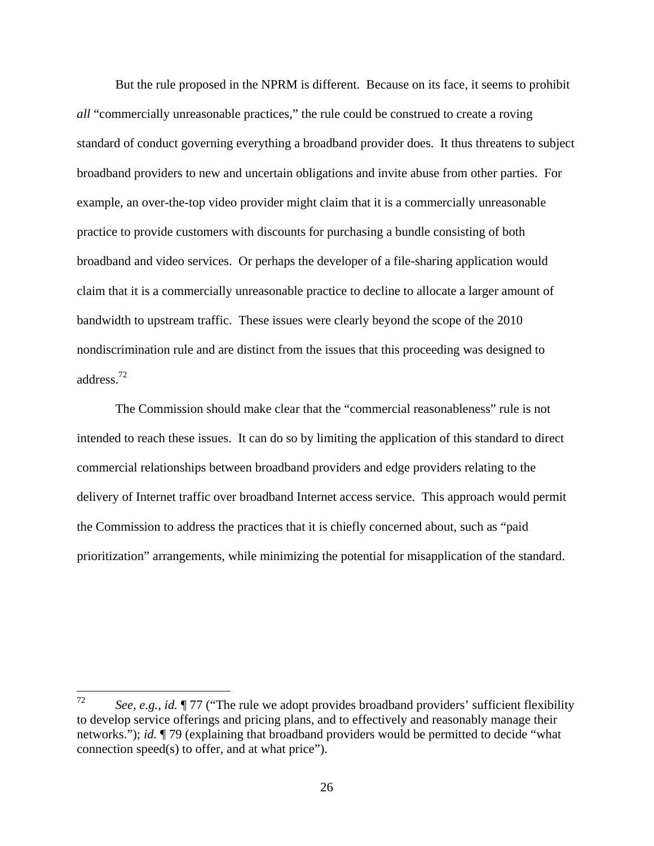But the rule proposed in the NPRM is different. Because on its face, it seems to prohibit *all* "commercially unreasonable practices," the rule could be construed to create a roving standard of conduct governing everything a broadband provider does. It thus threatens to subject broadband providers to new and uncertain obligations and invite abuse from other parties. For example, an over-the-top video provider might claim that it is a commercially unreasonable practice to provide customers with discounts for purchasing a bundle consisting of both broadband and video services. Or perhaps the developer of a file-sharing application would claim that it is a commercially unreasonable practice to decline to allocate a larger amount of bandwidth to upstream traffic. These issues were clearly beyond the scope of the 2010 nondiscrimination rule and are distinct from the issues that this proceeding was designed to address.72

The Commission should make clear that the "commercial reasonableness" rule is not intended to reach these issues. It can do so by limiting the application of this standard to direct commercial relationships between broadband providers and edge providers relating to the delivery of Internet traffic over broadband Internet access service. This approach would permit the Commission to address the practices that it is chiefly concerned about, such as "paid prioritization" arrangements, while minimizing the potential for misapplication of the standard.

<sup>72</sup> 72 *See, e.g.*, *id.* ¶ 77 ("The rule we adopt provides broadband providers' sufficient flexibility to develop service offerings and pricing plans, and to effectively and reasonably manage their networks."); *id.* ¶ 79 (explaining that broadband providers would be permitted to decide "what connection speed(s) to offer, and at what price").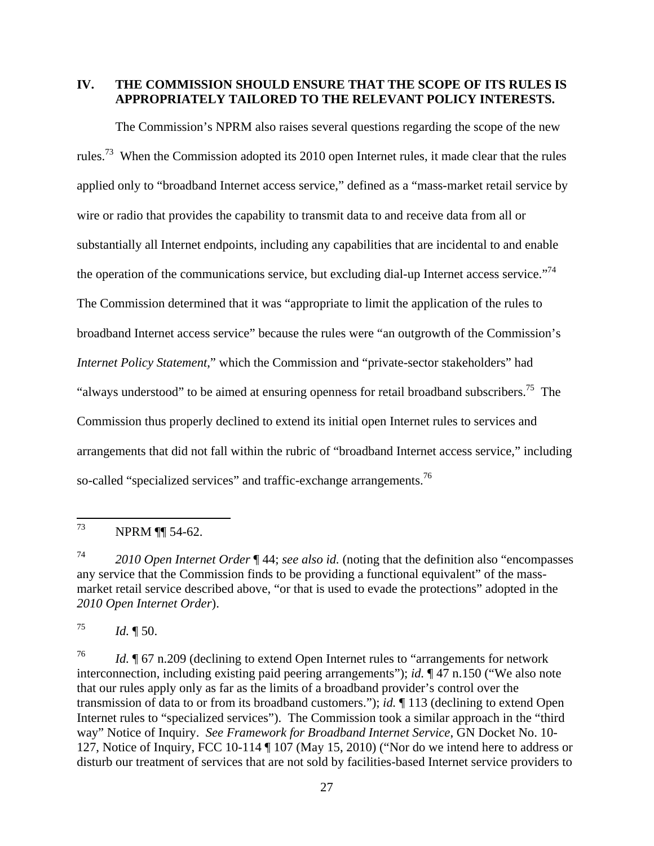## **IV. THE COMMISSION SHOULD ENSURE THAT THE SCOPE OF ITS RULES IS APPROPRIATELY TAILORED TO THE RELEVANT POLICY INTERESTS.**

 The Commission's NPRM also raises several questions regarding the scope of the new rules.<sup>73</sup> When the Commission adopted its 2010 open Internet rules, it made clear that the rules applied only to "broadband Internet access service," defined as a "mass-market retail service by wire or radio that provides the capability to transmit data to and receive data from all or substantially all Internet endpoints, including any capabilities that are incidental to and enable the operation of the communications service, but excluding dial-up Internet access service."<sup>74</sup> The Commission determined that it was "appropriate to limit the application of the rules to broadband Internet access service" because the rules were "an outgrowth of the Commission's *Internet Policy Statement*," which the Commission and "private-sector stakeholders" had "always understood" to be aimed at ensuring openness for retail broadband subscribers.<sup>75</sup> The Commission thus properly declined to extend its initial open Internet rules to services and arrangements that did not fall within the rubric of "broadband Internet access service," including so-called "specialized services" and traffic-exchange arrangements.<sup>76</sup>

73 NPRM ¶ 54-62.

 $1d. \P 50.$ 

<sup>74</sup> *2010 Open Internet Order* ¶ 44; *see also id.* (noting that the definition also "encompasses any service that the Commission finds to be providing a functional equivalent" of the massmarket retail service described above, "or that is used to evade the protections" adopted in the *2010 Open Internet Order*).

<sup>76</sup> *Id.* ¶ 67 n.209 (declining to extend Open Internet rules to "arrangements for network interconnection, including existing paid peering arrangements"); *id.* ¶ 47 n.150 ("We also note that our rules apply only as far as the limits of a broadband provider's control over the transmission of data to or from its broadband customers."); *id.* ¶ 113 (declining to extend Open Internet rules to "specialized services"). The Commission took a similar approach in the "third way" Notice of Inquiry. *See Framework for Broadband Internet Service*, GN Docket No. 10- 127, Notice of Inquiry, FCC 10-114 ¶ 107 (May 15, 2010) ("Nor do we intend here to address or disturb our treatment of services that are not sold by facilities-based Internet service providers to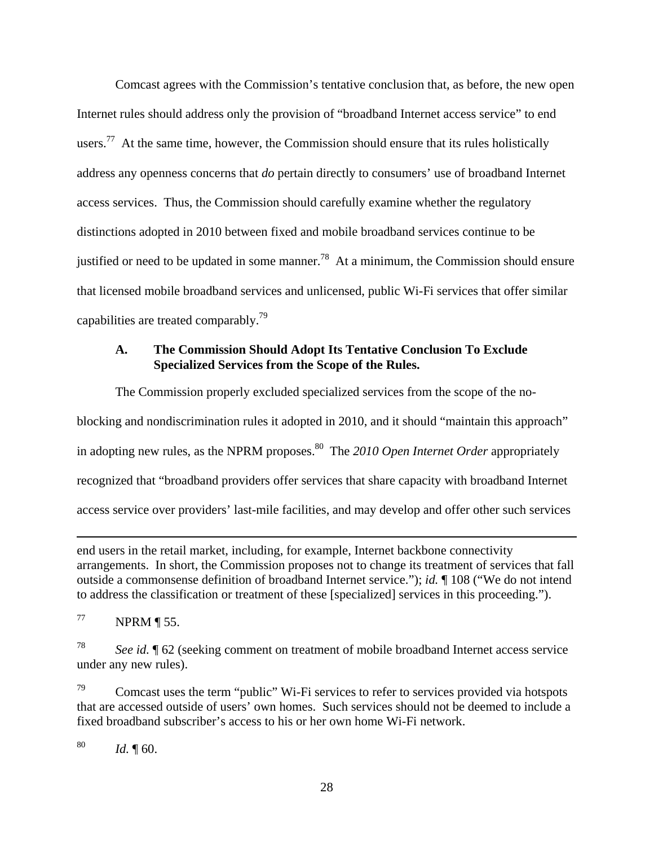Comcast agrees with the Commission's tentative conclusion that, as before, the new open Internet rules should address only the provision of "broadband Internet access service" to end users.<sup>77</sup> At the same time, however, the Commission should ensure that its rules holistically address any openness concerns that *do* pertain directly to consumers' use of broadband Internet access services. Thus, the Commission should carefully examine whether the regulatory distinctions adopted in 2010 between fixed and mobile broadband services continue to be justified or need to be updated in some manner.<sup>78</sup> At a minimum, the Commission should ensure that licensed mobile broadband services and unlicensed, public Wi-Fi services that offer similar capabilities are treated comparably.79

# **A. The Commission Should Adopt Its Tentative Conclusion To Exclude Specialized Services from the Scope of the Rules.**

 The Commission properly excluded specialized services from the scope of the noblocking and nondiscrimination rules it adopted in 2010, and it should "maintain this approach" in adopting new rules, as the NPRM proposes.<sup>80</sup> The 2010 Open Internet Order appropriately recognized that "broadband providers offer services that share capacity with broadband Internet access service over providers' last-mile facilities, and may develop and offer other such services

end users in the retail market, including, for example, Internet backbone connectivity arrangements. In short, the Commission proposes not to change its treatment of services that fall outside a commonsense definition of broadband Internet service."); *id.* ¶ 108 ("We do not intend to address the classification or treatment of these [specialized] services in this proceeding.").

 $^{77}$  NPRM ¶ 55.

 $\overline{a}$ 

78 *See id.* ¶ 62 (seeking comment on treatment of mobile broadband Internet access service under any new rules).

 $^{79}$  Comcast uses the term "public" Wi-Fi services to refer to services provided via hotspots that are accessed outside of users' own homes. Such services should not be deemed to include a fixed broadband subscriber's access to his or her own home Wi-Fi network.

 $1d. \P 60.$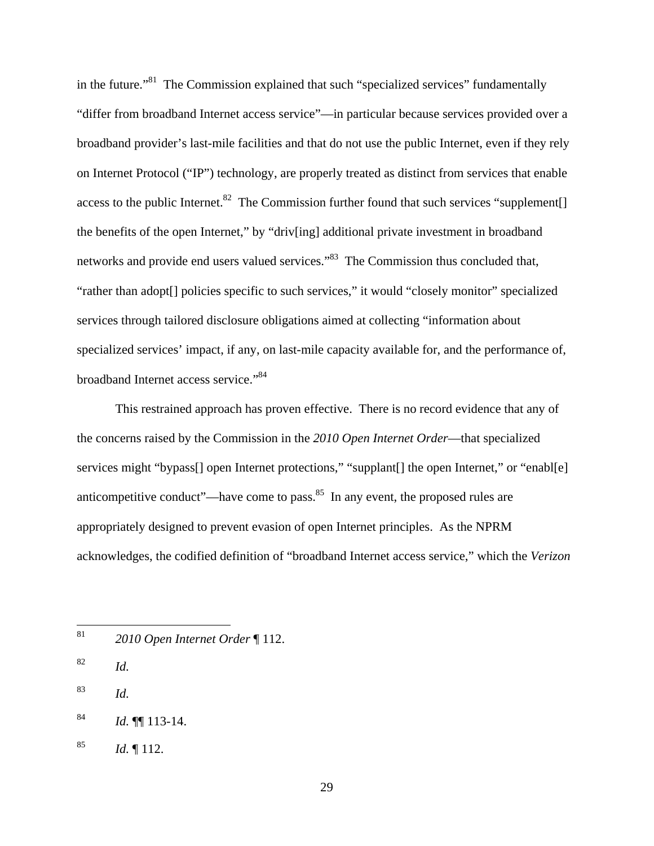in the future."81 The Commission explained that such "specialized services" fundamentally "differ from broadband Internet access service"—in particular because services provided over a broadband provider's last-mile facilities and that do not use the public Internet, even if they rely on Internet Protocol ("IP") technology, are properly treated as distinct from services that enable access to the public Internet.<sup>82</sup> The Commission further found that such services "supplement<sup>[]</sup> the benefits of the open Internet," by "driv[ing] additional private investment in broadband networks and provide end users valued services."83 The Commission thus concluded that, "rather than adopt[] policies specific to such services," it would "closely monitor" specialized services through tailored disclosure obligations aimed at collecting "information about specialized services' impact, if any, on last-mile capacity available for, and the performance of, broadband Internet access service."84

 This restrained approach has proven effective. There is no record evidence that any of the concerns raised by the Commission in the *2010 Open Internet Order*—that specialized services might "bypass<sup>[]</sup> open Internet protections," "supplant<sup>[]</sup> the open Internet," or "enabl<sup>[e]</sup> anticompetitive conduct"—have come to pass. $85$  In any event, the proposed rules are appropriately designed to prevent evasion of open Internet principles. As the NPRM acknowledges, the codified definition of "broadband Internet access service," which the *Verizon* 

- 82 *Id.*
- 83 *Id.*
- $^{84}$  *Id.*  $\P\P$  113-14.
- 85 *Id.* ¶ 112.

<sup>81</sup> 81 *2010 Open Internet Order* ¶ 112.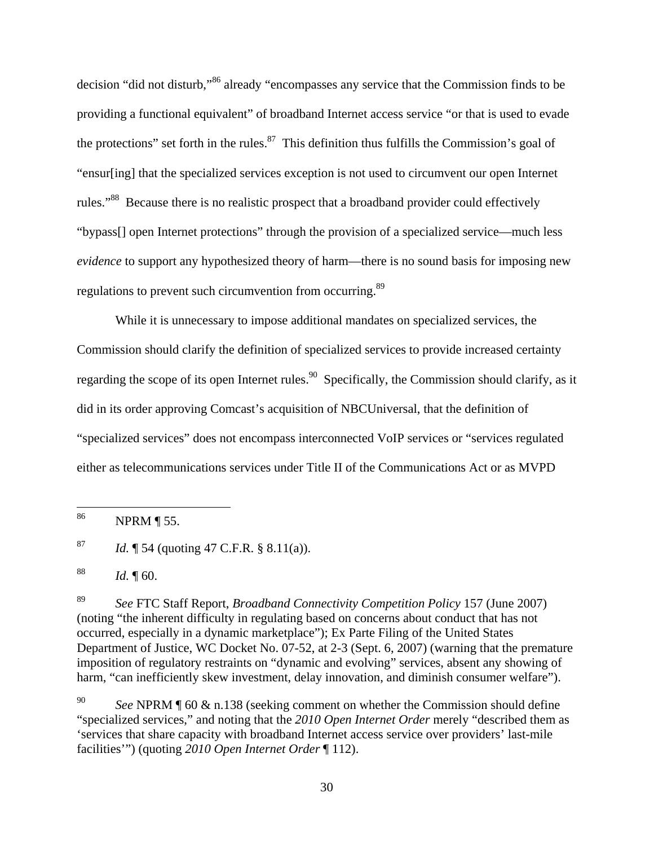decision "did not disturb,"86 already "encompasses any service that the Commission finds to be providing a functional equivalent" of broadband Internet access service "or that is used to evade the protections" set forth in the rules. $87$  This definition thus fulfills the Commission's goal of "ensur[ing] that the specialized services exception is not used to circumvent our open Internet rules."88 Because there is no realistic prospect that a broadband provider could effectively "bypass[] open Internet protections" through the provision of a specialized service—much less *evidence* to support any hypothesized theory of harm—there is no sound basis for imposing new regulations to prevent such circumvention from occurring.<sup>89</sup>

 While it is unnecessary to impose additional mandates on specialized services, the Commission should clarify the definition of specialized services to provide increased certainty regarding the scope of its open Internet rules.<sup>90</sup> Specifically, the Commission should clarify, as it did in its order approving Comcast's acquisition of NBCUniversal, that the definition of "specialized services" does not encompass interconnected VoIP services or "services regulated either as telecommunications services under Title II of the Communications Act or as MVPD

86 NPRM  $\P$  55.

87 *Id.* ¶ 54 (quoting 47 C.F.R. § 8.11(a)).

 $1d. \P 60.$ 

89 *See* FTC Staff Report, *Broadband Connectivity Competition Policy* 157 (June 2007) (noting "the inherent difficulty in regulating based on concerns about conduct that has not occurred, especially in a dynamic marketplace"); Ex Parte Filing of the United States Department of Justice, WC Docket No. 07-52, at 2-3 (Sept. 6, 2007) (warning that the premature imposition of regulatory restraints on "dynamic and evolving" services, absent any showing of harm, "can inefficiently skew investment, delay innovation, and diminish consumer welfare").

90 *See* NPRM ¶ 60 & n.138 (seeking comment on whether the Commission should define "specialized services," and noting that the *2010 Open Internet Order* merely "described them as 'services that share capacity with broadband Internet access service over providers' last-mile facilities'") (quoting *2010 Open Internet Order* ¶ 112).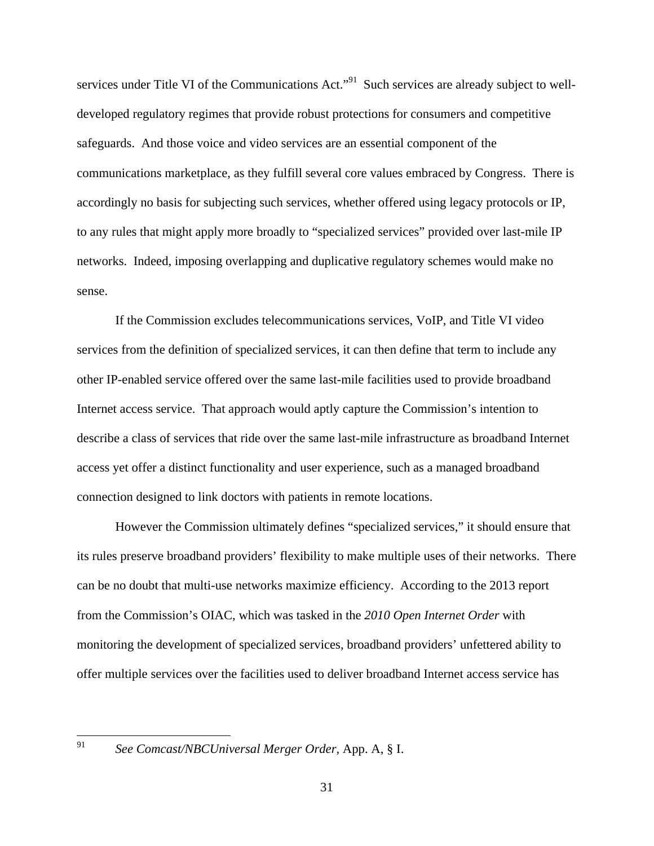services under Title VI of the Communications Act."<sup>91</sup> Such services are already subject to welldeveloped regulatory regimes that provide robust protections for consumers and competitive safeguards. And those voice and video services are an essential component of the communications marketplace, as they fulfill several core values embraced by Congress. There is accordingly no basis for subjecting such services, whether offered using legacy protocols or IP, to any rules that might apply more broadly to "specialized services" provided over last-mile IP networks. Indeed, imposing overlapping and duplicative regulatory schemes would make no sense.

 If the Commission excludes telecommunications services, VoIP, and Title VI video services from the definition of specialized services, it can then define that term to include any other IP-enabled service offered over the same last-mile facilities used to provide broadband Internet access service. That approach would aptly capture the Commission's intention to describe a class of services that ride over the same last-mile infrastructure as broadband Internet access yet offer a distinct functionality and user experience, such as a managed broadband connection designed to link doctors with patients in remote locations.

 However the Commission ultimately defines "specialized services," it should ensure that its rules preserve broadband providers' flexibility to make multiple uses of their networks. There can be no doubt that multi-use networks maximize efficiency. According to the 2013 report from the Commission's OIAC, which was tasked in the *2010 Open Internet Order* with monitoring the development of specialized services, broadband providers' unfettered ability to offer multiple services over the facilities used to deliver broadband Internet access service has

<sup>91</sup> *See Comcast/NBCUniversal Merger Order*, App. A, § I.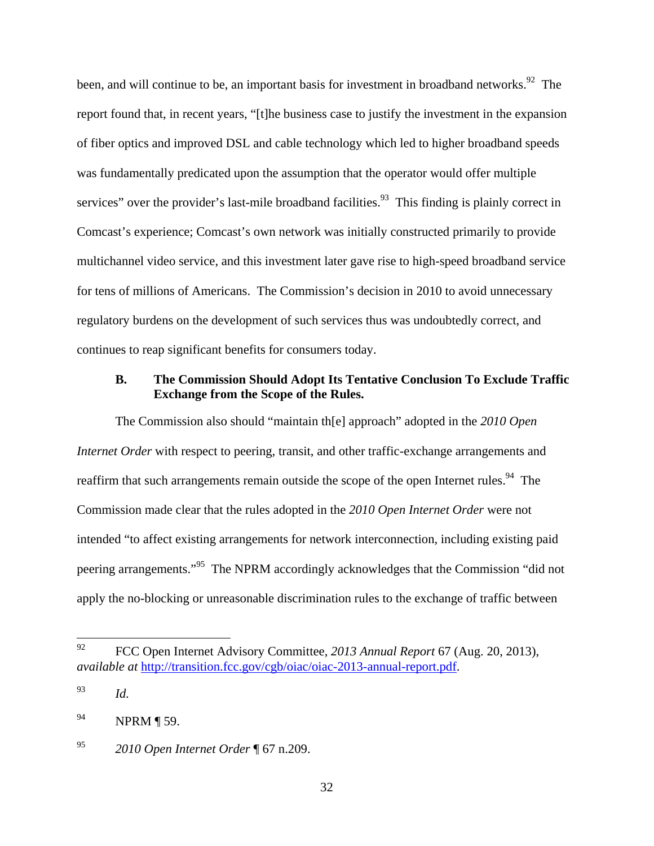been, and will continue to be, an important basis for investment in broadband networks.<sup>92</sup> The report found that, in recent years, "[t]he business case to justify the investment in the expansion of fiber optics and improved DSL and cable technology which led to higher broadband speeds was fundamentally predicated upon the assumption that the operator would offer multiple services" over the provider's last-mile broadband facilities.<sup>93</sup> This finding is plainly correct in Comcast's experience; Comcast's own network was initially constructed primarily to provide multichannel video service, and this investment later gave rise to high-speed broadband service for tens of millions of Americans. The Commission's decision in 2010 to avoid unnecessary regulatory burdens on the development of such services thus was undoubtedly correct, and continues to reap significant benefits for consumers today.

#### **B. The Commission Should Adopt Its Tentative Conclusion To Exclude Traffic Exchange from the Scope of the Rules.**

 The Commission also should "maintain th[e] approach" adopted in the *2010 Open Internet Order* with respect to peering, transit, and other traffic-exchange arrangements and reaffirm that such arrangements remain outside the scope of the open Internet rules.<sup>94</sup> The Commission made clear that the rules adopted in the *2010 Open Internet Order* were not intended "to affect existing arrangements for network interconnection, including existing paid peering arrangements."95 The NPRM accordingly acknowledges that the Commission "did not apply the no-blocking or unreasonable discrimination rules to the exchange of traffic between

 $92$ 92 FCC Open Internet Advisory Committee, *2013 Annual Report* 67 (Aug. 20, 2013), *available at* http://transition.fcc.gov/cgb/oiac/oiac-2013-annual-report.pdf.

<sup>93</sup> *Id.*

<sup>94</sup> NPRM ¶ 59.

<sup>95</sup> *2010 Open Internet Order* ¶ 67 n.209.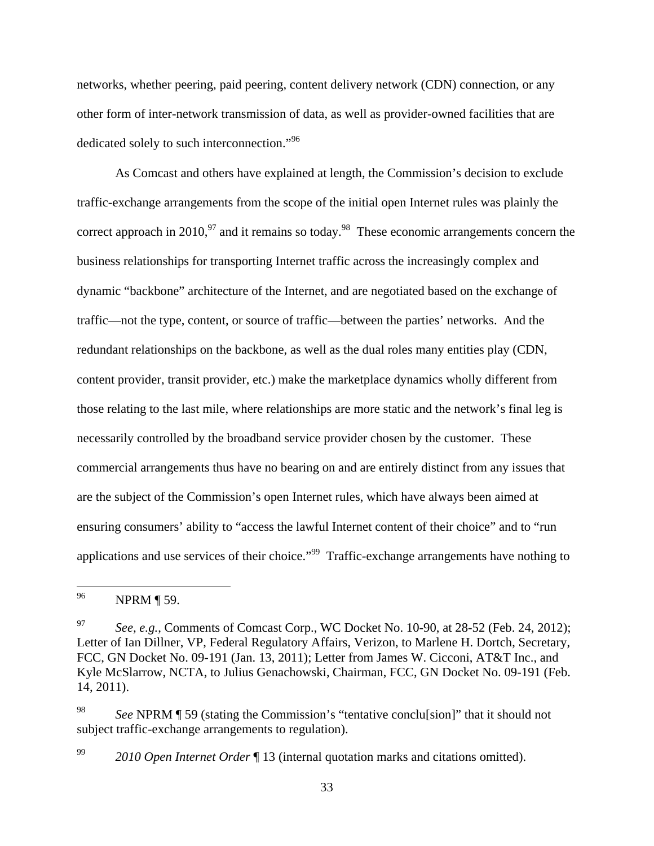networks, whether peering, paid peering, content delivery network (CDN) connection, or any other form of inter-network transmission of data, as well as provider-owned facilities that are dedicated solely to such interconnection."<sup>96</sup>

 As Comcast and others have explained at length, the Commission's decision to exclude traffic-exchange arrangements from the scope of the initial open Internet rules was plainly the correct approach in 2010,  $97$  and it remains so today.<sup>98</sup> These economic arrangements concern the business relationships for transporting Internet traffic across the increasingly complex and dynamic "backbone" architecture of the Internet, and are negotiated based on the exchange of traffic—not the type, content, or source of traffic—between the parties' networks. And the redundant relationships on the backbone, as well as the dual roles many entities play (CDN, content provider, transit provider, etc.) make the marketplace dynamics wholly different from those relating to the last mile, where relationships are more static and the network's final leg is necessarily controlled by the broadband service provider chosen by the customer. These commercial arrangements thus have no bearing on and are entirely distinct from any issues that are the subject of the Commission's open Internet rules, which have always been aimed at ensuring consumers' ability to "access the lawful Internet content of their choice" and to "run applications and use services of their choice."99 Traffic-exchange arrangements have nothing to

<sup>96</sup> NPRM  $\P$  59.

<sup>97</sup> *See, e.g.*, Comments of Comcast Corp., WC Docket No. 10-90, at 28-52 (Feb. 24, 2012); Letter of Ian Dillner, VP, Federal Regulatory Affairs, Verizon, to Marlene H. Dortch, Secretary, FCC, GN Docket No. 09-191 (Jan. 13, 2011); Letter from James W. Cicconi, AT&T Inc., and Kyle McSlarrow, NCTA, to Julius Genachowski, Chairman, FCC, GN Docket No. 09-191 (Feb. 14, 2011).

<sup>98</sup> *See* NPRM ¶ 59 (stating the Commission's "tentative conclu[sion]" that it should not subject traffic-exchange arrangements to regulation).

<sup>99</sup> *2010 Open Internet Order* ¶ 13 (internal quotation marks and citations omitted).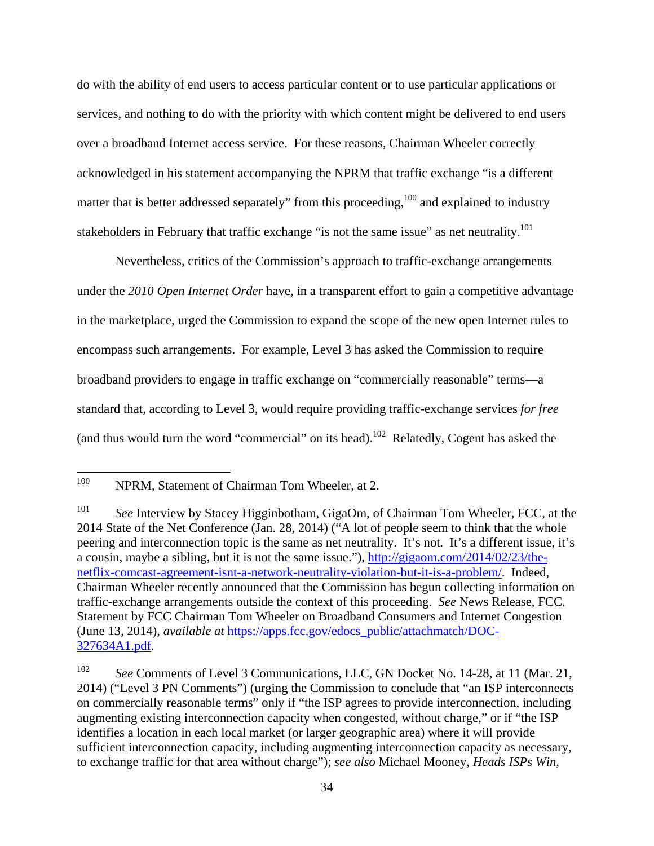do with the ability of end users to access particular content or to use particular applications or services, and nothing to do with the priority with which content might be delivered to end users over a broadband Internet access service. For these reasons, Chairman Wheeler correctly acknowledged in his statement accompanying the NPRM that traffic exchange "is a different matter that is better addressed separately" from this proceeding,  $100$  and explained to industry stakeholders in February that traffic exchange "is not the same issue" as net neutrality.<sup>101</sup>

 Nevertheless, critics of the Commission's approach to traffic-exchange arrangements under the *2010 Open Internet Order* have, in a transparent effort to gain a competitive advantage in the marketplace, urged the Commission to expand the scope of the new open Internet rules to encompass such arrangements. For example, Level 3 has asked the Commission to require broadband providers to engage in traffic exchange on "commercially reasonable" terms—a standard that, according to Level 3, would require providing traffic-exchange services *for free* (and thus would turn the word "commercial" on its head).<sup>102</sup> Relatedly, Cogent has asked the

<sup>100</sup> NPRM, Statement of Chairman Tom Wheeler, at 2.

<sup>&</sup>lt;sup>101</sup> *See Interview by Stacey Higginbotham, GigaOm, of Chairman Tom Wheeler, FCC, at the* 2014 State of the Net Conference (Jan. 28, 2014) ("A lot of people seem to think that the whole peering and interconnection topic is the same as net neutrality. It's not. It's a different issue, it's a cousin, maybe a sibling, but it is not the same issue."), http://gigaom.com/2014/02/23/thenetflix-comcast-agreement-isnt-a-network-neutrality-violation-but-it-is-a-problem/. Indeed, Chairman Wheeler recently announced that the Commission has begun collecting information on traffic-exchange arrangements outside the context of this proceeding. *See* News Release, FCC, Statement by FCC Chairman Tom Wheeler on Broadband Consumers and Internet Congestion (June 13, 2014), *available at* https://apps.fcc.gov/edocs\_public/attachmatch/DOC-327634A1.pdf.

<sup>102</sup> *See* Comments of Level 3 Communications, LLC, GN Docket No. 14-28, at 11 (Mar. 21, 2014) ("Level 3 PN Comments") (urging the Commission to conclude that "an ISP interconnects on commercially reasonable terms" only if "the ISP agrees to provide interconnection, including augmenting existing interconnection capacity when congested, without charge," or if "the ISP identifies a location in each local market (or larger geographic area) where it will provide sufficient interconnection capacity, including augmenting interconnection capacity as necessary, to exchange traffic for that area without charge"); *see also* Michael Mooney, *Heads ISPs Win,*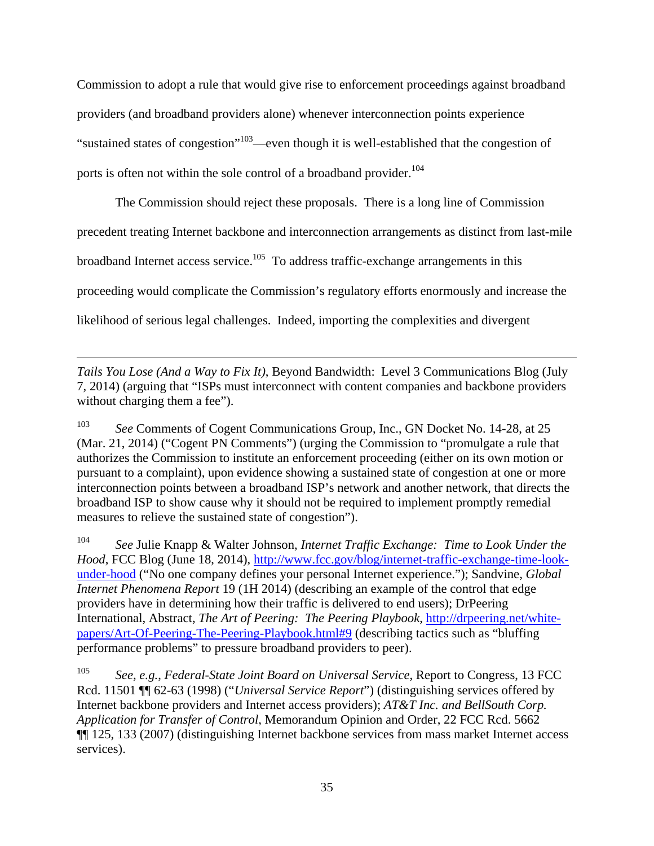Commission to adopt a rule that would give rise to enforcement proceedings against broadband providers (and broadband providers alone) whenever interconnection points experience "sustained states of congestion"<sup>103</sup>—even though it is well-established that the congestion of ports is often not within the sole control of a broadband provider.<sup>104</sup>

 The Commission should reject these proposals. There is a long line of Commission precedent treating Internet backbone and interconnection arrangements as distinct from last-mile broadband Internet access service.<sup>105</sup> To address traffic-exchange arrangements in this proceeding would complicate the Commission's regulatory efforts enormously and increase the likelihood of serious legal challenges. Indeed, importing the complexities and divergent

 $\overline{a}$ *Tails You Lose (And a Way to Fix It)*, Beyond Bandwidth: Level 3 Communications Blog (July 7, 2014) (arguing that "ISPs must interconnect with content companies and backbone providers without charging them a fee").

103 *See* Comments of Cogent Communications Group, Inc., GN Docket No. 14-28, at 25 (Mar. 21, 2014) ("Cogent PN Comments") (urging the Commission to "promulgate a rule that authorizes the Commission to institute an enforcement proceeding (either on its own motion or pursuant to a complaint), upon evidence showing a sustained state of congestion at one or more interconnection points between a broadband ISP's network and another network, that directs the broadband ISP to show cause why it should not be required to implement promptly remedial measures to relieve the sustained state of congestion").

104 *See* Julie Knapp & Walter Johnson, *Internet Traffic Exchange: Time to Look Under the Hood*, FCC Blog (June 18, 2014), http://www.fcc.gov/blog/internet-traffic-exchange-time-lookunder-hood ("No one company defines your personal Internet experience."); Sandvine, *Global Internet Phenomena Report* 19 (1H 2014) (describing an example of the control that edge providers have in determining how their traffic is delivered to end users); DrPeering International, Abstract, *The Art of Peering: The Peering Playbook*, http://drpeering.net/whitepapers/Art-Of-Peering-The-Peering-Playbook.html#9 (describing tactics such as "bluffing performance problems" to pressure broadband providers to peer).

105 *See, e.g.*, *Federal-State Joint Board on Universal Service*, Report to Congress, 13 FCC Rcd. 11501 ¶¶ 62-63 (1998) ("*Universal Service Report*") (distinguishing services offered by Internet backbone providers and Internet access providers); *AT&T Inc. and BellSouth Corp. Application for Transfer of Control*, Memorandum Opinion and Order, 22 FCC Rcd. 5662 ¶¶ 125, 133 (2007) (distinguishing Internet backbone services from mass market Internet access services).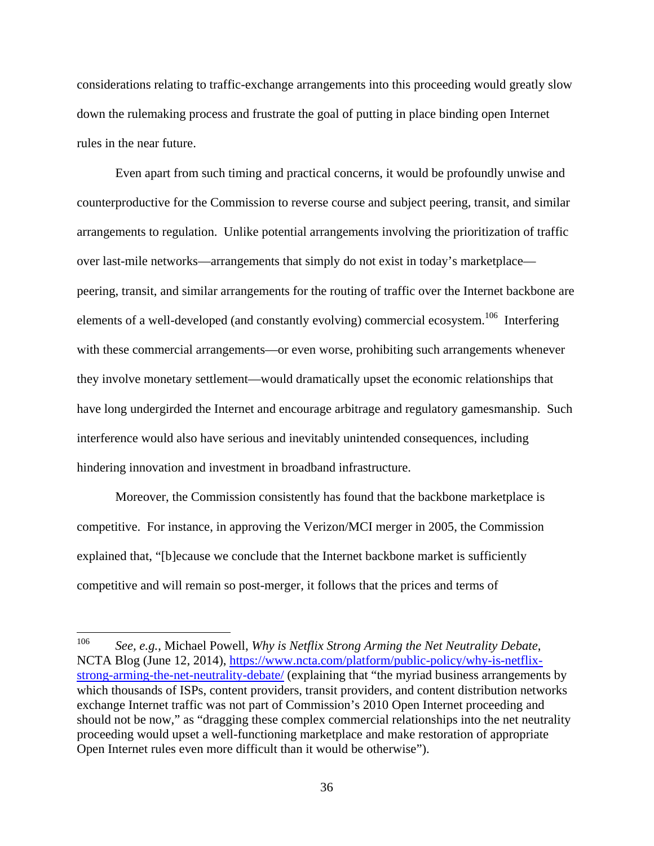considerations relating to traffic-exchange arrangements into this proceeding would greatly slow down the rulemaking process and frustrate the goal of putting in place binding open Internet rules in the near future.

 Even apart from such timing and practical concerns, it would be profoundly unwise and counterproductive for the Commission to reverse course and subject peering, transit, and similar arrangements to regulation. Unlike potential arrangements involving the prioritization of traffic over last-mile networks—arrangements that simply do not exist in today's marketplace peering, transit, and similar arrangements for the routing of traffic over the Internet backbone are elements of a well-developed (and constantly evolving) commercial ecosystem.<sup>106</sup> Interfering with these commercial arrangements—or even worse, prohibiting such arrangements whenever they involve monetary settlement—would dramatically upset the economic relationships that have long undergirded the Internet and encourage arbitrage and regulatory gamesmanship. Such interference would also have serious and inevitably unintended consequences, including hindering innovation and investment in broadband infrastructure.

 Moreover, the Commission consistently has found that the backbone marketplace is competitive. For instance, in approving the Verizon/MCI merger in 2005, the Commission explained that, "[b]ecause we conclude that the Internet backbone market is sufficiently competitive and will remain so post-merger, it follows that the prices and terms of

<sup>106</sup> 106 *See, e.g.*, Michael Powell, *Why is Netflix Strong Arming the Net Neutrality Debate*, NCTA Blog (June 12, 2014), https://www.ncta.com/platform/public-policy/why-is-netflixstrong-arming-the-net-neutrality-debate/ (explaining that "the myriad business arrangements by which thousands of ISPs, content providers, transit providers, and content distribution networks exchange Internet traffic was not part of Commission's 2010 Open Internet proceeding and should not be now," as "dragging these complex commercial relationships into the net neutrality proceeding would upset a well-functioning marketplace and make restoration of appropriate Open Internet rules even more difficult than it would be otherwise").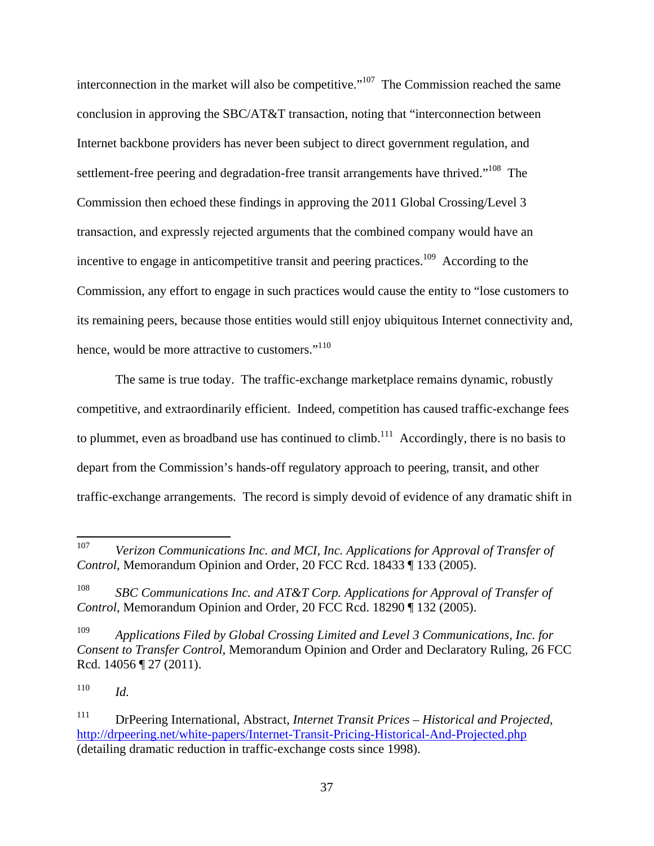interconnection in the market will also be competitive."<sup>107</sup> The Commission reached the same conclusion in approving the SBC/AT&T transaction, noting that "interconnection between Internet backbone providers has never been subject to direct government regulation, and settlement-free peering and degradation-free transit arrangements have thrived."<sup>108</sup> The Commission then echoed these findings in approving the 2011 Global Crossing/Level 3 transaction, and expressly rejected arguments that the combined company would have an incentive to engage in anticompetitive transit and peering practices.<sup>109</sup> According to the Commission, any effort to engage in such practices would cause the entity to "lose customers to its remaining peers, because those entities would still enjoy ubiquitous Internet connectivity and, hence, would be more attractive to customers."<sup>110</sup>

 The same is true today. The traffic-exchange marketplace remains dynamic, robustly competitive, and extraordinarily efficient. Indeed, competition has caused traffic-exchange fees to plummet, even as broadband use has continued to climb.<sup>111</sup> Accordingly, there is no basis to depart from the Commission's hands-off regulatory approach to peering, transit, and other traffic-exchange arrangements. The record is simply devoid of evidence of any dramatic shift in

110 *Id.*

<sup>107</sup> 107 *Verizon Communications Inc. and MCI, Inc. Applications for Approval of Transfer of Control*, Memorandum Opinion and Order, 20 FCC Rcd. 18433 ¶ 133 (2005).

<sup>&</sup>lt;sup>108</sup> SBC Communications Inc. and AT&T Corp. Applications for Approval of Transfer of *Control*, Memorandum Opinion and Order, 20 FCC Rcd. 18290 ¶ 132 (2005).

<sup>109</sup> *Applications Filed by Global Crossing Limited and Level 3 Communications, Inc. for Consent to Transfer Control*, Memorandum Opinion and Order and Declaratory Ruling, 26 FCC Rcd. 14056 ¶ 27 (2011).

<sup>111</sup> DrPeering International, Abstract, *Internet Transit Prices – Historical and Projected*, http://drpeering.net/white-papers/Internet-Transit-Pricing-Historical-And-Projected.php (detailing dramatic reduction in traffic-exchange costs since 1998).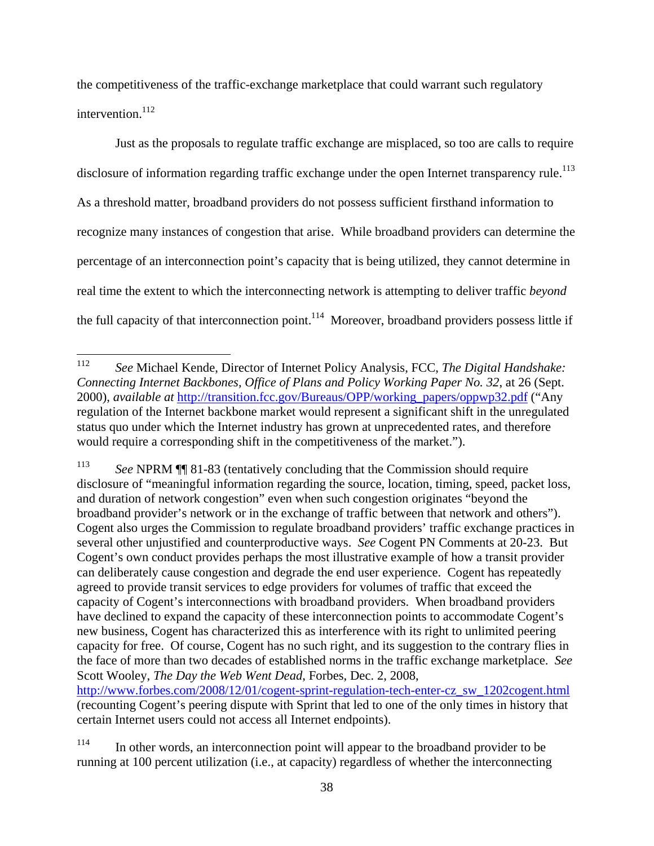the competitiveness of the traffic-exchange marketplace that could warrant such regulatory intervention.<sup>112</sup>

Just as the proposals to regulate traffic exchange are misplaced, so too are calls to require disclosure of information regarding traffic exchange under the open Internet transparency rule.<sup>113</sup> As a threshold matter, broadband providers do not possess sufficient firsthand information to recognize many instances of congestion that arise. While broadband providers can determine the percentage of an interconnection point's capacity that is being utilized, they cannot determine in real time the extent to which the interconnecting network is attempting to deliver traffic *beyond*  the full capacity of that interconnection point.<sup>114</sup> Moreover, broadband providers possess little if

http://www.forbes.com/2008/12/01/cogent-sprint-regulation-tech-enter-cz\_sw\_1202cogent.html (recounting Cogent's peering dispute with Sprint that led to one of the only times in history that certain Internet users could not access all Internet endpoints).

<sup>112</sup> 112 *See* Michael Kende, Director of Internet Policy Analysis, FCC, *The Digital Handshake: Connecting Internet Backbones, Office of Plans and Policy Working Paper No. 32*, at 26 (Sept. 2000), *available at* http://transition.fcc.gov/Bureaus/OPP/working\_papers/oppwp32.pdf ("Any regulation of the Internet backbone market would represent a significant shift in the unregulated status quo under which the Internet industry has grown at unprecedented rates, and therefore would require a corresponding shift in the competitiveness of the market.").

<sup>113</sup> *See* NPRM ¶¶ 81-83 (tentatively concluding that the Commission should require disclosure of "meaningful information regarding the source, location, timing, speed, packet loss, and duration of network congestion" even when such congestion originates "beyond the broadband provider's network or in the exchange of traffic between that network and others"). Cogent also urges the Commission to regulate broadband providers' traffic exchange practices in several other unjustified and counterproductive ways. *See* Cogent PN Comments at 20-23. But Cogent's own conduct provides perhaps the most illustrative example of how a transit provider can deliberately cause congestion and degrade the end user experience. Cogent has repeatedly agreed to provide transit services to edge providers for volumes of traffic that exceed the capacity of Cogent's interconnections with broadband providers. When broadband providers have declined to expand the capacity of these interconnection points to accommodate Cogent's new business, Cogent has characterized this as interference with its right to unlimited peering capacity for free. Of course, Cogent has no such right, and its suggestion to the contrary flies in the face of more than two decades of established norms in the traffic exchange marketplace. *See* Scott Wooley, *The Day the Web Went Dead*, Forbes, Dec. 2, 2008,

<sup>&</sup>lt;sup>114</sup> In other words, an interconnection point will appear to the broadband provider to be running at 100 percent utilization (i.e., at capacity) regardless of whether the interconnecting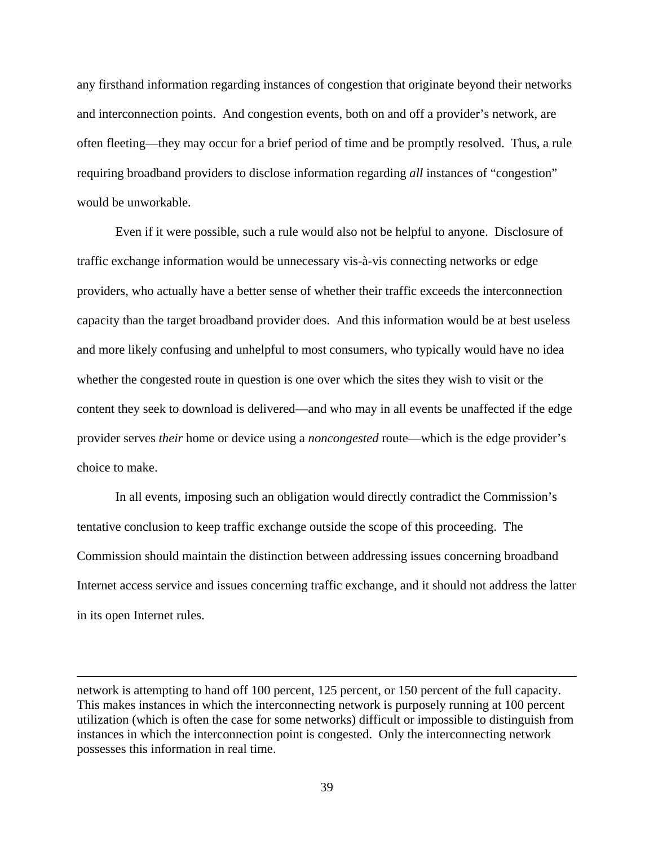any firsthand information regarding instances of congestion that originate beyond their networks and interconnection points. And congestion events, both on and off a provider's network, are often fleeting—they may occur for a brief period of time and be promptly resolved. Thus, a rule requiring broadband providers to disclose information regarding *all* instances of "congestion" would be unworkable.

Even if it were possible, such a rule would also not be helpful to anyone. Disclosure of traffic exchange information would be unnecessary vis-à-vis connecting networks or edge providers, who actually have a better sense of whether their traffic exceeds the interconnection capacity than the target broadband provider does. And this information would be at best useless and more likely confusing and unhelpful to most consumers, who typically would have no idea whether the congested route in question is one over which the sites they wish to visit or the content they seek to download is delivered—and who may in all events be unaffected if the edge provider serves *their* home or device using a *noncongested* route—which is the edge provider's choice to make.

In all events, imposing such an obligation would directly contradict the Commission's tentative conclusion to keep traffic exchange outside the scope of this proceeding. The Commission should maintain the distinction between addressing issues concerning broadband Internet access service and issues concerning traffic exchange, and it should not address the latter in its open Internet rules.

 $\overline{a}$ 

network is attempting to hand off 100 percent, 125 percent, or 150 percent of the full capacity. This makes instances in which the interconnecting network is purposely running at 100 percent utilization (which is often the case for some networks) difficult or impossible to distinguish from instances in which the interconnection point is congested. Only the interconnecting network possesses this information in real time.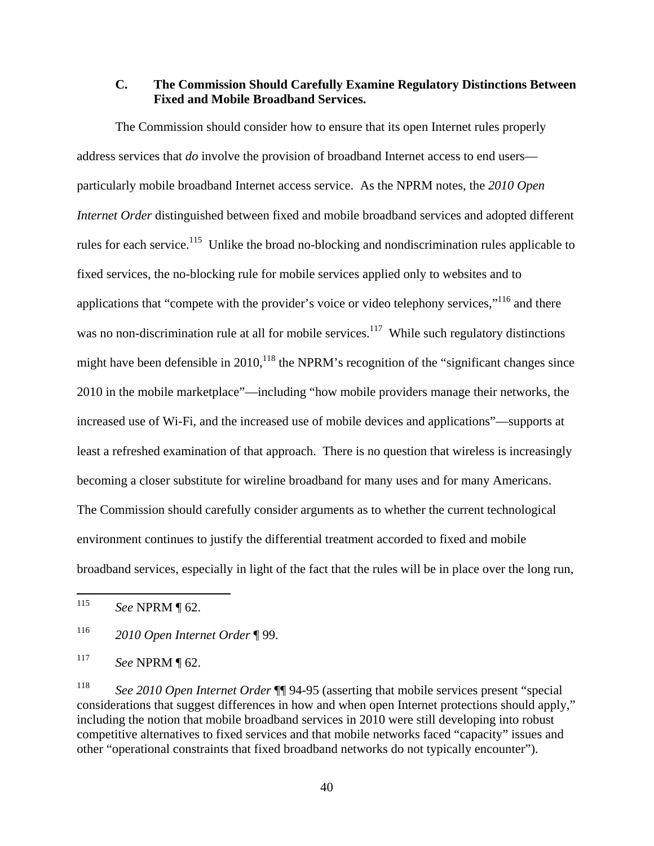#### **C. The Commission Should Carefully Examine Regulatory Distinctions Between Fixed and Mobile Broadband Services.**

 The Commission should consider how to ensure that its open Internet rules properly address services that *do* involve the provision of broadband Internet access to end users particularly mobile broadband Internet access service. As the NPRM notes, the *2010 Open Internet Order* distinguished between fixed and mobile broadband services and adopted different rules for each service.<sup>115</sup> Unlike the broad no-blocking and nondiscrimination rules applicable to fixed services, the no-blocking rule for mobile services applied only to websites and to applications that "compete with the provider's voice or video telephony services,"<sup>116</sup> and there was no non-discrimination rule at all for mobile services.<sup>117</sup> While such regulatory distinctions might have been defensible in  $2010$ ,  $^{118}$  the NPRM's recognition of the "significant changes since 2010 in the mobile marketplace"—including "how mobile providers manage their networks, the increased use of Wi-Fi, and the increased use of mobile devices and applications"—supports at least a refreshed examination of that approach. There is no question that wireless is increasingly becoming a closer substitute for wireline broadband for many uses and for many Americans. The Commission should carefully consider arguments as to whether the current technological environment continues to justify the differential treatment accorded to fixed and mobile broadband services, especially in light of the fact that the rules will be in place over the long run,

115 115 *See* NPRM ¶ 62.

116 *2010 Open Internet Order* ¶ 99.

118 *See 2010 Open Internet Order* ¶¶ 94-95 (asserting that mobile services present "special considerations that suggest differences in how and when open Internet protections should apply," including the notion that mobile broadband services in 2010 were still developing into robust competitive alternatives to fixed services and that mobile networks faced "capacity" issues and other "operational constraints that fixed broadband networks do not typically encounter").

<sup>117</sup> *See* NPRM ¶ 62.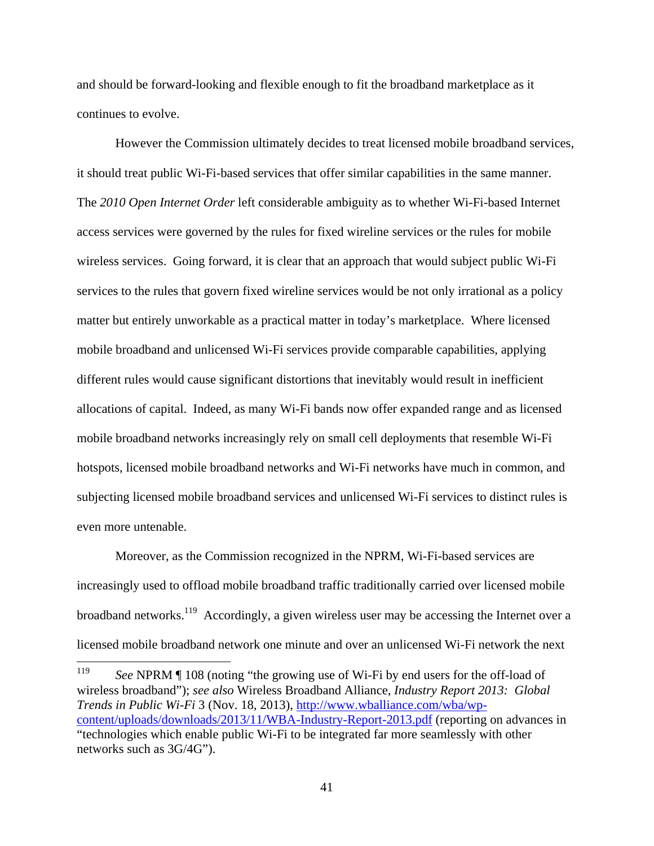and should be forward-looking and flexible enough to fit the broadband marketplace as it continues to evolve.

 However the Commission ultimately decides to treat licensed mobile broadband services, it should treat public Wi-Fi-based services that offer similar capabilities in the same manner. The *2010 Open Internet Order* left considerable ambiguity as to whether Wi-Fi-based Internet access services were governed by the rules for fixed wireline services or the rules for mobile wireless services. Going forward, it is clear that an approach that would subject public Wi-Fi services to the rules that govern fixed wireline services would be not only irrational as a policy matter but entirely unworkable as a practical matter in today's marketplace. Where licensed mobile broadband and unlicensed Wi-Fi services provide comparable capabilities, applying different rules would cause significant distortions that inevitably would result in inefficient allocations of capital. Indeed, as many Wi-Fi bands now offer expanded range and as licensed mobile broadband networks increasingly rely on small cell deployments that resemble Wi-Fi hotspots, licensed mobile broadband networks and Wi-Fi networks have much in common, and subjecting licensed mobile broadband services and unlicensed Wi-Fi services to distinct rules is even more untenable.

Moreover, as the Commission recognized in the NPRM, Wi-Fi-based services are increasingly used to offload mobile broadband traffic traditionally carried over licensed mobile broadband networks.<sup>119</sup> Accordingly, a given wireless user may be accessing the Internet over a licensed mobile broadband network one minute and over an unlicensed Wi-Fi network the next

<sup>119</sup> See NPRM  $\P$  108 (noting "the growing use of Wi-Fi by end users for the off-load of wireless broadband"); *see also* Wireless Broadband Alliance, *Industry Report 2013: Global Trends in Public Wi-Fi* 3 (Nov. 18, 2013), http://www.wballiance.com/wba/wpcontent/uploads/downloads/2013/11/WBA-Industry-Report-2013.pdf (reporting on advances in "technologies which enable public Wi-Fi to be integrated far more seamlessly with other networks such as 3G/4G").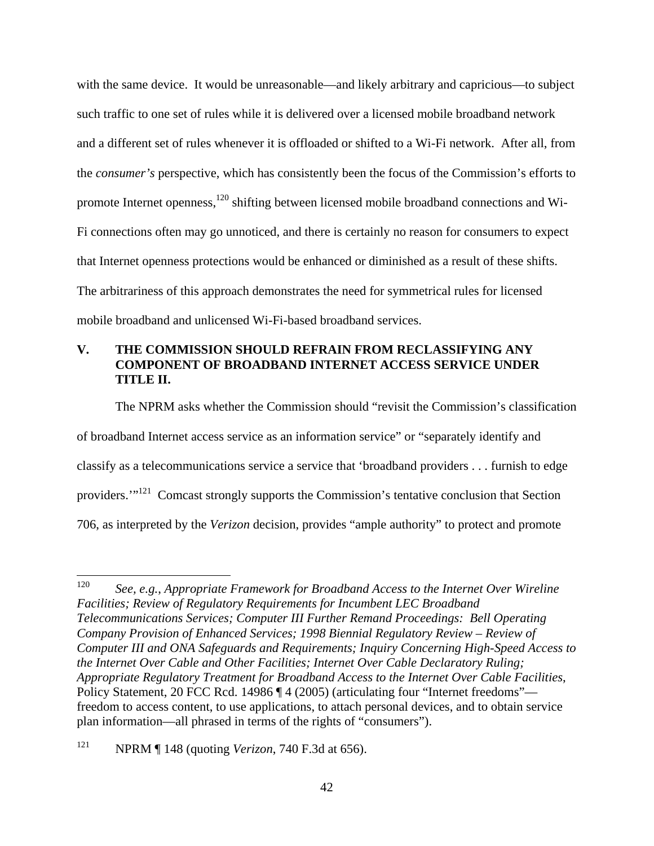with the same device. It would be unreasonable—and likely arbitrary and capricious—to subject such traffic to one set of rules while it is delivered over a licensed mobile broadband network and a different set of rules whenever it is offloaded or shifted to a Wi-Fi network. After all, from the *consumer's* perspective, which has consistently been the focus of the Commission's efforts to promote Internet openness, $^{120}$  shifting between licensed mobile broadband connections and Wi-Fi connections often may go unnoticed, and there is certainly no reason for consumers to expect that Internet openness protections would be enhanced or diminished as a result of these shifts. The arbitrariness of this approach demonstrates the need for symmetrical rules for licensed mobile broadband and unlicensed Wi-Fi-based broadband services.

# **V. THE COMMISSION SHOULD REFRAIN FROM RECLASSIFYING ANY COMPONENT OF BROADBAND INTERNET ACCESS SERVICE UNDER TITLE II.**

The NPRM asks whether the Commission should "revisit the Commission's classification of broadband Internet access service as an information service" or "separately identify and classify as a telecommunications service a service that 'broadband providers . . . furnish to edge providers."<sup>121</sup> Comcast strongly supports the Commission's tentative conclusion that Section 706, as interpreted by the *Verizon* decision, provides "ample authority" to protect and promote

<sup>120</sup> 120 *See, e.g.*, *Appropriate Framework for Broadband Access to the Internet Over Wireline Facilities; Review of Regulatory Requirements for Incumbent LEC Broadband Telecommunications Services; Computer III Further Remand Proceedings: Bell Operating Company Provision of Enhanced Services; 1998 Biennial Regulatory Review – Review of Computer III and ONA Safeguards and Requirements; Inquiry Concerning High-Speed Access to the Internet Over Cable and Other Facilities; Internet Over Cable Declaratory Ruling; Appropriate Regulatory Treatment for Broadband Access to the Internet Over Cable Facilities*, Policy Statement, 20 FCC Rcd. 14986 ¶ 4 (2005) (articulating four "Internet freedoms" freedom to access content, to use applications, to attach personal devices, and to obtain service plan information—all phrased in terms of the rights of "consumers").

<sup>121</sup> NPRM ¶ 148 (quoting *Verizon*, 740 F.3d at 656).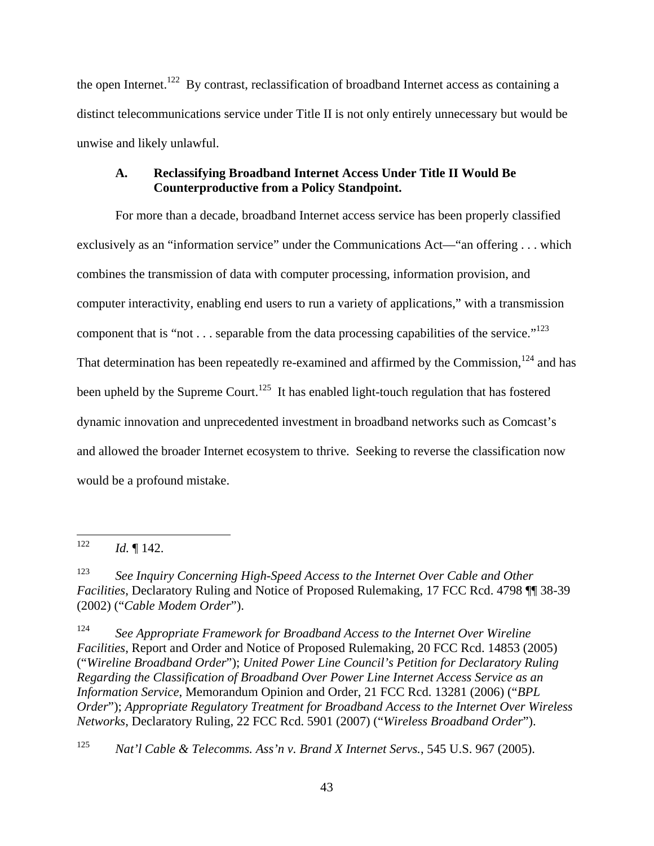the open Internet.<sup>122</sup> By contrast, reclassification of broadband Internet access as containing a distinct telecommunications service under Title II is not only entirely unnecessary but would be unwise and likely unlawful.

# **A. Reclassifying Broadband Internet Access Under Title II Would Be Counterproductive from a Policy Standpoint.**

For more than a decade, broadband Internet access service has been properly classified exclusively as an "information service" under the Communications Act—"an offering . . . which combines the transmission of data with computer processing, information provision, and computer interactivity, enabling end users to run a variety of applications," with a transmission component that is "not  $\dots$  separable from the data processing capabilities of the service."<sup>123</sup> That determination has been repeatedly re-examined and affirmed by the Commission, $^{124}$  and has been upheld by the Supreme Court.<sup>125</sup> It has enabled light-touch regulation that has fostered dynamic innovation and unprecedented investment in broadband networks such as Comcast's and allowed the broader Internet ecosystem to thrive. Seeking to reverse the classification now would be a profound mistake.

124 *See Appropriate Framework for Broadband Access to the Internet Over Wireline Facilities*, Report and Order and Notice of Proposed Rulemaking, 20 FCC Rcd. 14853 (2005) ("*Wireline Broadband Order*"); *United Power Line Council's Petition for Declaratory Ruling Regarding the Classification of Broadband Over Power Line Internet Access Service as an Information Service*, Memorandum Opinion and Order, 21 FCC Rcd. 13281 (2006) ("*BPL Order*"); *Appropriate Regulatory Treatment for Broadband Access to the Internet Over Wireless Networks*, Declaratory Ruling, 22 FCC Rcd. 5901 (2007) ("*Wireless Broadband Order*").

125 *Nat'l Cable & Telecomms. Ass'n v. Brand X Internet Servs.*, 545 U.S. 967 (2005).

<sup>122</sup> *Id.* 142.

<sup>123</sup> *See Inquiry Concerning High-Speed Access to the Internet Over Cable and Other Facilities*, Declaratory Ruling and Notice of Proposed Rulemaking, 17 FCC Rcd. 4798 ¶¶ 38-39 (2002) ("*Cable Modem Order*").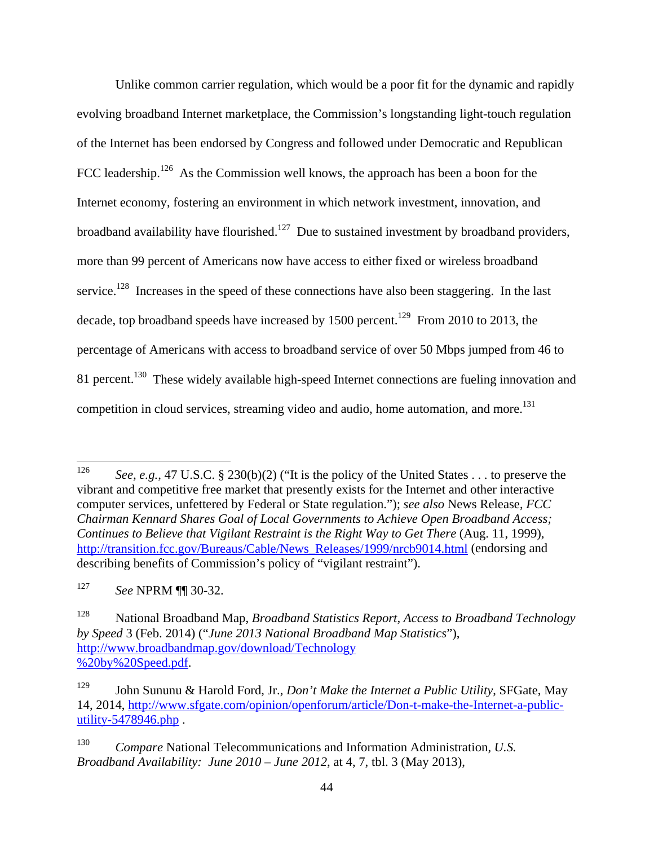Unlike common carrier regulation, which would be a poor fit for the dynamic and rapidly evolving broadband Internet marketplace, the Commission's longstanding light-touch regulation of the Internet has been endorsed by Congress and followed under Democratic and Republican FCC leadership.<sup>126</sup> As the Commission well knows, the approach has been a boon for the Internet economy, fostering an environment in which network investment, innovation, and broadband availability have flourished.<sup>127</sup> Due to sustained investment by broadband providers, more than 99 percent of Americans now have access to either fixed or wireless broadband service.<sup>128</sup> Increases in the speed of these connections have also been staggering. In the last decade, top broadband speeds have increased by  $1500$  percent.<sup>129</sup> From 2010 to 2013, the percentage of Americans with access to broadband service of over 50 Mbps jumped from 46 to 81 percent.<sup>130</sup> These widely available high-speed Internet connections are fueling innovation and competition in cloud services, streaming video and audio, home automation, and more.<sup>131</sup>

<sup>126</sup> See, e.g., 47 U.S.C. § 230(b)(2) ("It is the policy of the United States . . . to preserve the vibrant and competitive free market that presently exists for the Internet and other interactive computer services, unfettered by Federal or State regulation."); *see also* News Release, *FCC Chairman Kennard Shares Goal of Local Governments to Achieve Open Broadband Access; Continues to Believe that Vigilant Restraint is the Right Way to Get There (Aug. 11, 1999),* http://transition.fcc.gov/Bureaus/Cable/News\_Releases/1999/nrcb9014.html (endorsing and describing benefits of Commission's policy of "vigilant restraint").

<sup>127</sup> *See* NPRM ¶¶ 30-32.

<sup>128</sup> National Broadband Map, *Broadband Statistics Report, Access to Broadband Technology by Speed* 3 (Feb. 2014) ("*June 2013 National Broadband Map Statistics*"), http://www.broadbandmap.gov/download/Technology %20by%20Speed.pdf.

<sup>129</sup> John Sununu & Harold Ford, Jr., *Don't Make the Internet a Public Utility*, SFGate, May 14, 2014, http://www.sfgate.com/opinion/openforum/article/Don-t-make-the-Internet-a-publicutility-5478946.php .

<sup>130</sup> *Compare* National Telecommunications and Information Administration, *U.S. Broadband Availability: June 2010 – June 2012*, at 4, 7, tbl. 3 (May 2013),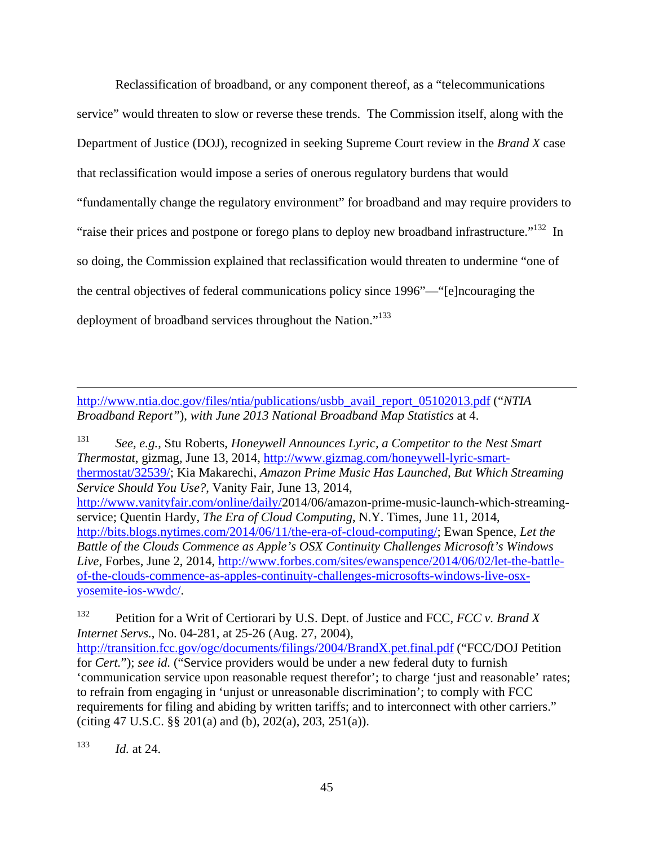Reclassification of broadband, or any component thereof, as a "telecommunications service" would threaten to slow or reverse these trends. The Commission itself, along with the Department of Justice (DOJ), recognized in seeking Supreme Court review in the *Brand X* case that reclassification would impose a series of onerous regulatory burdens that would "fundamentally change the regulatory environment" for broadband and may require providers to "raise their prices and postpone or forego plans to deploy new broadband infrastructure."132 In so doing, the Commission explained that reclassification would threaten to undermine "one of the central objectives of federal communications policy since 1996"—"[e]ncouraging the deployment of broadband services throughout the Nation."<sup>133</sup>

http://www.ntia.doc.gov/files/ntia/publications/usbb\_avail\_report\_05102013.pdf ("*NTIA Broadband Report"*), *with June 2013 National Broadband Map Statistics* at 4.

131 *See, e.g.*, Stu Roberts, *Honeywell Announces Lyric, a Competitor to the Nest Smart Thermostat*, gizmag, June 13, 2014, http://www.gizmag.com/honeywell-lyric-smartthermostat/32539/; Kia Makarechi, *Amazon Prime Music Has Launched, But Which Streaming Service Should You Use?*, Vanity Fair, June 13, 2014, http://www.vanityfair.com/online/daily/2014/06/amazon-prime-music-launch-which-streamingservice; Quentin Hardy, *The Era of Cloud Computing*, N.Y. Times, June 11, 2014, http://bits.blogs.nytimes.com/2014/06/11/the-era-of-cloud-computing/; Ewan Spence, *Let the Battle of the Clouds Commence as Apple's OSX Continuity Challenges Microsoft's Windows Live*, Forbes, June 2, 2014, http://www.forbes.com/sites/ewanspence/2014/06/02/let-the-battleof-the-clouds-commence-as-apples-continuity-challenges-microsofts-windows-live-osxyosemite-ios-wwdc/.

132 Petition for a Writ of Certiorari by U.S. Dept. of Justice and FCC, *FCC v. Brand X Internet Servs.*, No. 04-281, at 25-26 (Aug. 27, 2004), http://transition.fcc.gov/ogc/documents/filings/2004/BrandX.pet.final.pdf ("FCC/DOJ Petition for *Cert.*"); *see id.* ("Service providers would be under a new federal duty to furnish 'communication service upon reasonable request therefor'; to charge 'just and reasonable' rates; to refrain from engaging in 'unjust or unreasonable discrimination'; to comply with FCC requirements for filing and abiding by written tariffs; and to interconnect with other carriers." (citing 47 U.S.C. §§ 201(a) and (b), 202(a), 203, 251(a)).

<sup>133</sup> *Id.* at 24.

 $\overline{a}$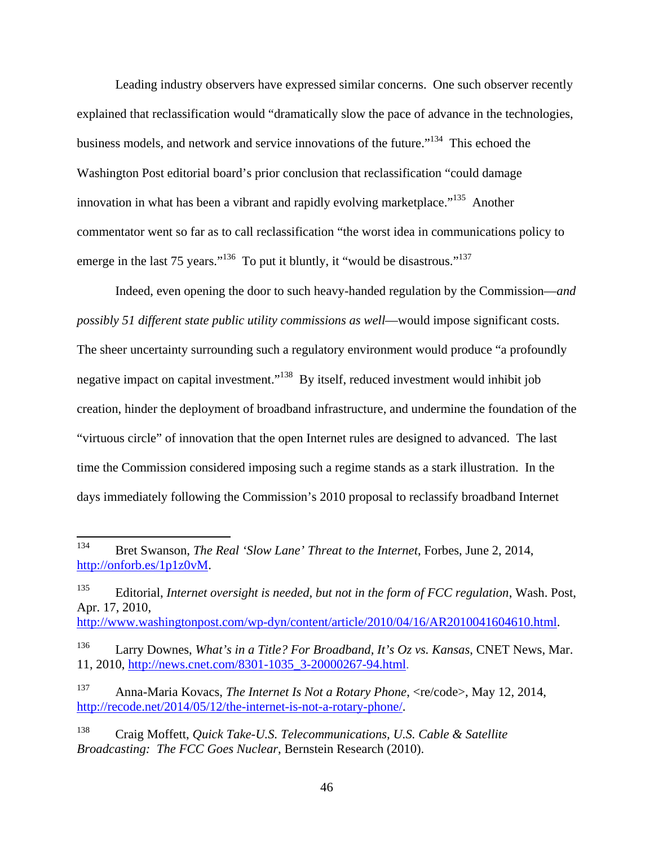Leading industry observers have expressed similar concerns. One such observer recently explained that reclassification would "dramatically slow the pace of advance in the technologies, business models, and network and service innovations of the future.<sup>"134</sup> This echoed the Washington Post editorial board's prior conclusion that reclassification "could damage innovation in what has been a vibrant and rapidly evolving marketplace.<sup> $135$ </sup> Another commentator went so far as to call reclassification "the worst idea in communications policy to emerge in the last 75 years."<sup>136</sup> To put it bluntly, it "would be disastrous."<sup>137</sup>

Indeed, even opening the door to such heavy-handed regulation by the Commission—*and possibly 51 different state public utility commissions as well—would impose significant costs.* The sheer uncertainty surrounding such a regulatory environment would produce "a profoundly negative impact on capital investment."<sup>138</sup> By itself, reduced investment would inhibit job creation, hinder the deployment of broadband infrastructure, and undermine the foundation of the "virtuous circle" of innovation that the open Internet rules are designed to advanced. The last time the Commission considered imposing such a regime stands as a stark illustration. In the days immediately following the Commission's 2010 proposal to reclassify broadband Internet

http://www.washingtonpost.com/wp-dyn/content/article/2010/04/16/AR2010041604610.html.

<sup>134</sup> 134 Bret Swanson, *The Real 'Slow Lane' Threat to the Internet*, Forbes, June 2, 2014, http://onforb.es/1p1z0vM.

<sup>135</sup> Editorial, *Internet oversight is needed, but not in the form of FCC regulation*, Wash. Post, Apr. 17, 2010,

<sup>136</sup> Larry Downes, *What's in a Title? For Broadband, It's Oz vs. Kansas*, CNET News, Mar. 11, 2010, http://news.cnet.com/8301-1035\_3-20000267-94.html.

<sup>137</sup> Anna-Maria Kovacs, *The Internet Is Not a Rotary Phone*, <re/code>, May 12, 2014, http://recode.net/2014/05/12/the-internet-is-not-a-rotary-phone/.

<sup>138</sup> Craig Moffett, *Quick Take-U.S. Telecommunications, U.S. Cable & Satellite Broadcasting: The FCC Goes Nuclear*, Bernstein Research (2010).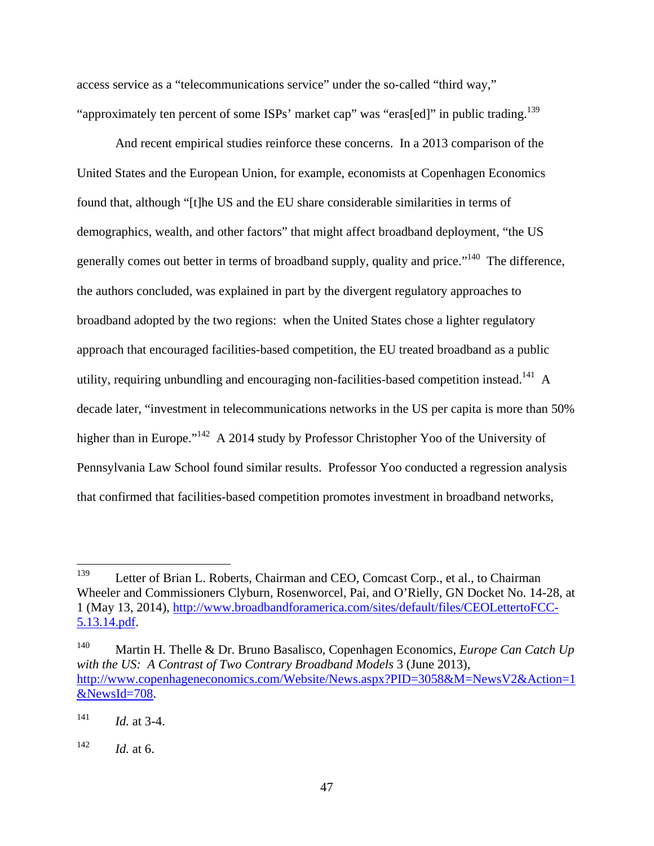access service as a "telecommunications service" under the so-called "third way," "approximately ten percent of some ISPs' market cap" was "eras[ed]" in public trading.<sup>139</sup>

And recent empirical studies reinforce these concerns. In a 2013 comparison of the United States and the European Union, for example, economists at Copenhagen Economics found that, although "[t]he US and the EU share considerable similarities in terms of demographics, wealth, and other factors" that might affect broadband deployment, "the US generally comes out better in terms of broadband supply, quality and price."<sup>140</sup> The difference, the authors concluded, was explained in part by the divergent regulatory approaches to broadband adopted by the two regions: when the United States chose a lighter regulatory approach that encouraged facilities-based competition, the EU treated broadband as a public utility, requiring unbundling and encouraging non-facilities-based competition instead.<sup>141</sup> A decade later, "investment in telecommunications networks in the US per capita is more than 50% higher than in Europe."<sup>142</sup> A 2014 study by Professor Christopher Yoo of the University of Pennsylvania Law School found similar results. Professor Yoo conducted a regression analysis that confirmed that facilities-based competition promotes investment in broadband networks,

<sup>139</sup> Letter of Brian L. Roberts, Chairman and CEO, Comcast Corp., et al., to Chairman Wheeler and Commissioners Clyburn, Rosenworcel, Pai, and O'Rielly, GN Docket No. 14-28, at 1 (May 13, 2014), http://www.broadbandforamerica.com/sites/default/files/CEOLettertoFCC-5.13.14.pdf.

<sup>140</sup> Martin H. Thelle & Dr. Bruno Basalisco, Copenhagen Economics, *Europe Can Catch Up with the US: A Contrast of Two Contrary Broadband Models* 3 (June 2013), http://www.copenhageneconomics.com/Website/News.aspx?PID=3058&M=NewsV2&Action=1 &NewsId=708.

 $141$  *Id.* at 3-4.

 $142$  *Id.* at 6.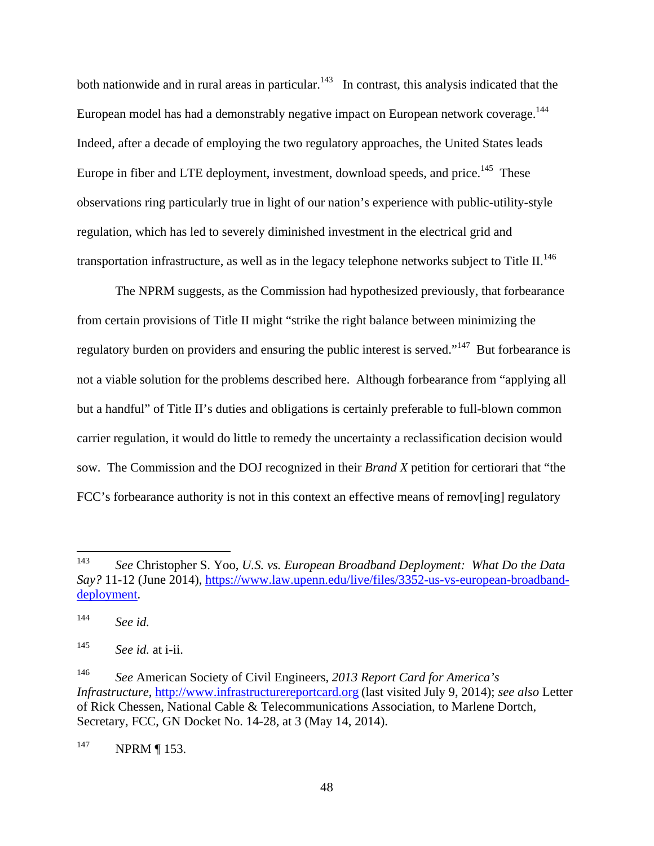both nationwide and in rural areas in particular.<sup>143</sup> In contrast, this analysis indicated that the European model has had a demonstrably negative impact on European network coverage.<sup>144</sup> Indeed, after a decade of employing the two regulatory approaches, the United States leads Europe in fiber and LTE deployment, investment, download speeds, and price.<sup>145</sup> These observations ring particularly true in light of our nation's experience with public-utility-style regulation, which has led to severely diminished investment in the electrical grid and transportation infrastructure, as well as in the legacy telephone networks subject to Title  $II$ .<sup>146</sup>

The NPRM suggests, as the Commission had hypothesized previously, that forbearance from certain provisions of Title II might "strike the right balance between minimizing the regulatory burden on providers and ensuring the public interest is served."<sup>147</sup> But forbearance is not a viable solution for the problems described here. Although forbearance from "applying all but a handful" of Title II's duties and obligations is certainly preferable to full-blown common carrier regulation, it would do little to remedy the uncertainty a reclassification decision would sow. The Commission and the DOJ recognized in their *Brand X* petition for certiorari that "the FCC's forbearance authority is not in this context an effective means of remov[ing] regulatory

<sup>143</sup> 143 *See* Christopher S. Yoo, *U.S. vs. European Broadband Deployment: What Do the Data Say?* 11-12 (June 2014), https://www.law.upenn.edu/live/files/3352-us-vs-european-broadbanddeployment.

<sup>144</sup> *See id.* 

<sup>145</sup> *See id.* at i-ii.

<sup>146</sup> *See* American Society of Civil Engineers, *2013 Report Card for America's Infrastructure*, http://www.infrastructurereportcard.org (last visited July 9, 2014); *see also* Letter of Rick Chessen, National Cable & Telecommunications Association, to Marlene Dortch, Secretary, FCC, GN Docket No. 14-28, at 3 (May 14, 2014).

<sup>147</sup> NPRM | 153.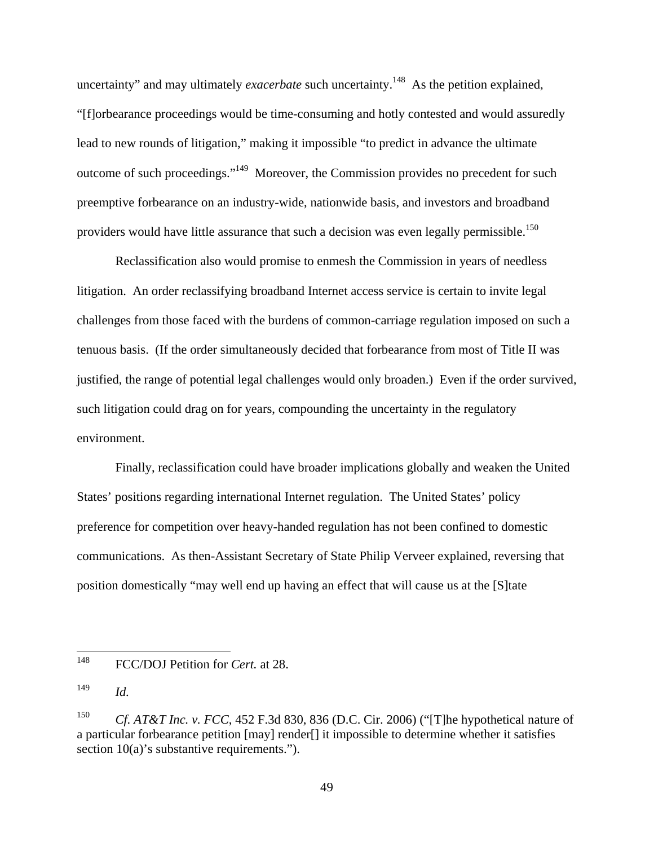uncertainty" and may ultimately *exacerbate* such uncertainty.<sup>148</sup> As the petition explained, "[f]orbearance proceedings would be time-consuming and hotly contested and would assuredly lead to new rounds of litigation," making it impossible "to predict in advance the ultimate outcome of such proceedings."149 Moreover, the Commission provides no precedent for such preemptive forbearance on an industry-wide, nationwide basis, and investors and broadband providers would have little assurance that such a decision was even legally permissible.<sup>150</sup>

Reclassification also would promise to enmesh the Commission in years of needless litigation. An order reclassifying broadband Internet access service is certain to invite legal challenges from those faced with the burdens of common-carriage regulation imposed on such a tenuous basis. (If the order simultaneously decided that forbearance from most of Title II was justified, the range of potential legal challenges would only broaden.) Even if the order survived, such litigation could drag on for years, compounding the uncertainty in the regulatory environment.

Finally, reclassification could have broader implications globally and weaken the United States' positions regarding international Internet regulation. The United States' policy preference for competition over heavy-handed regulation has not been confined to domestic communications. As then-Assistant Secretary of State Philip Verveer explained, reversing that position domestically "may well end up having an effect that will cause us at the [S]tate

<sup>148</sup> 148 FCC/DOJ Petition for *Cert.* at 28.

<sup>149</sup> *Id.*

<sup>&</sup>lt;sup>150</sup> *Cf. AT&T Inc. v. FCC*, 452 F.3d 830, 836 (D.C. Cir. 2006) ("[T]he hypothetical nature of a particular forbearance petition [may] render[] it impossible to determine whether it satisfies section 10(a)'s substantive requirements.").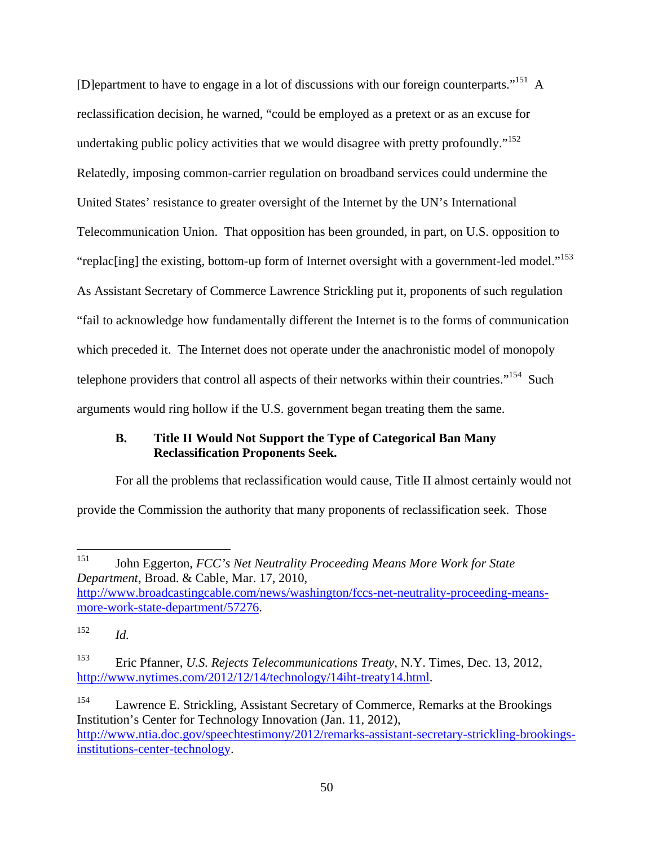[D]epartment to have to engage in a lot of discussions with our foreign counterparts."<sup>151</sup> A reclassification decision, he warned, "could be employed as a pretext or as an excuse for undertaking public policy activities that we would disagree with pretty profoundly."<sup>152</sup> Relatedly, imposing common-carrier regulation on broadband services could undermine the United States' resistance to greater oversight of the Internet by the UN's International Telecommunication Union. That opposition has been grounded, in part, on U.S. opposition to "replac[ing] the existing, bottom-up form of Internet oversight with a government-led model."<sup>153</sup> As Assistant Secretary of Commerce Lawrence Strickling put it, proponents of such regulation "fail to acknowledge how fundamentally different the Internet is to the forms of communication which preceded it. The Internet does not operate under the anachronistic model of monopoly telephone providers that control all aspects of their networks within their countries."<sup>154</sup> Such arguments would ring hollow if the U.S. government began treating them the same.

# **B. Title II Would Not Support the Type of Categorical Ban Many Reclassification Proponents Seek.**

For all the problems that reclassification would cause, Title II almost certainly would not provide the Commission the authority that many proponents of reclassification seek. Those

<sup>151</sup> 151 John Eggerton, *FCC's Net Neutrality Proceeding Means More Work for State Department*, Broad. & Cable, Mar. 17, 2010, http://www.broadcastingcable.com/news/washington/fccs-net-neutrality-proceeding-means-

more-work-state-department/57276.

<sup>152</sup> *Id.*

<sup>153</sup> Eric Pfanner, *U.S. Rejects Telecommunications Treaty*, N.Y. Times, Dec. 13, 2012, http://www.nytimes.com/2012/12/14/technology/14iht-treaty14.html.

<sup>154</sup> Lawrence E. Strickling, Assistant Secretary of Commerce, Remarks at the Brookings Institution's Center for Technology Innovation (Jan. 11, 2012), http://www.ntia.doc.gov/speechtestimony/2012/remarks-assistant-secretary-strickling-brookingsinstitutions-center-technology.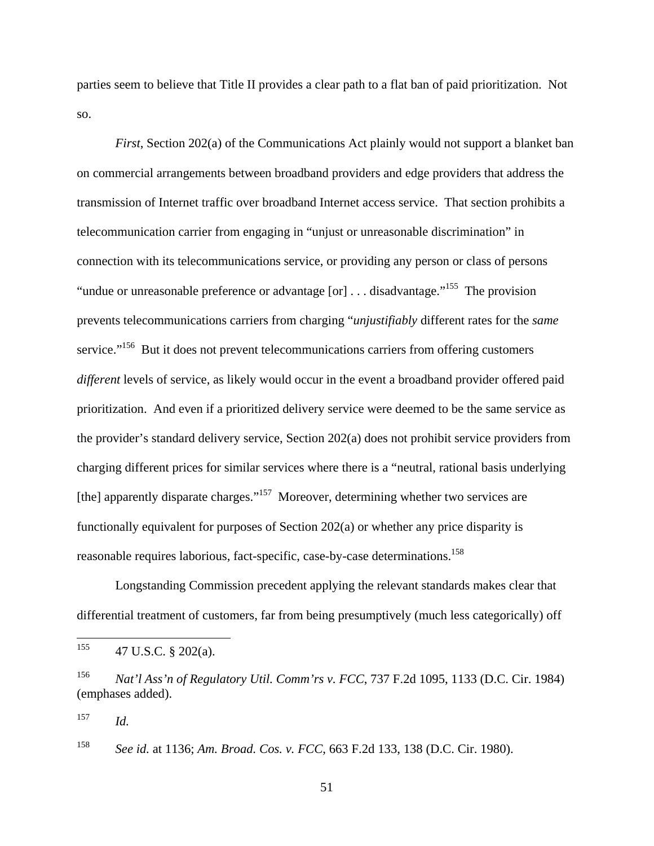parties seem to believe that Title II provides a clear path to a flat ban of paid prioritization. Not so.

*First*, Section 202(a) of the Communications Act plainly would not support a blanket ban on commercial arrangements between broadband providers and edge providers that address the transmission of Internet traffic over broadband Internet access service. That section prohibits a telecommunication carrier from engaging in "unjust or unreasonable discrimination" in connection with its telecommunications service, or providing any person or class of persons "undue or unreasonable preference or advantage  $[or] \dots$  disadvantage."<sup>155</sup> The provision prevents telecommunications carriers from charging "*unjustifiably* different rates for the *same*  service."<sup>156</sup> But it does not prevent telecommunications carriers from offering customers *different* levels of service, as likely would occur in the event a broadband provider offered paid prioritization. And even if a prioritized delivery service were deemed to be the same service as the provider's standard delivery service, Section 202(a) does not prohibit service providers from charging different prices for similar services where there is a "neutral, rational basis underlying [the] apparently disparate charges."<sup>157</sup> Moreover, determining whether two services are functionally equivalent for purposes of Section 202(a) or whether any price disparity is reasonable requires laborious, fact-specific, case-by-case determinations.<sup>158</sup>

Longstanding Commission precedent applying the relevant standards makes clear that differential treatment of customers, far from being presumptively (much less categorically) off

157 *Id.*

158 *See id.* at 1136; *Am. Broad. Cos. v. FCC*, 663 F.2d 133, 138 (D.C. Cir. 1980).

51

<sup>155</sup> 47 U.S.C. § 202(a).

<sup>156</sup> *Nat'l Ass'n of Regulatory Util. Comm'rs v. FCC*, 737 F.2d 1095, 1133 (D.C. Cir. 1984) (emphases added).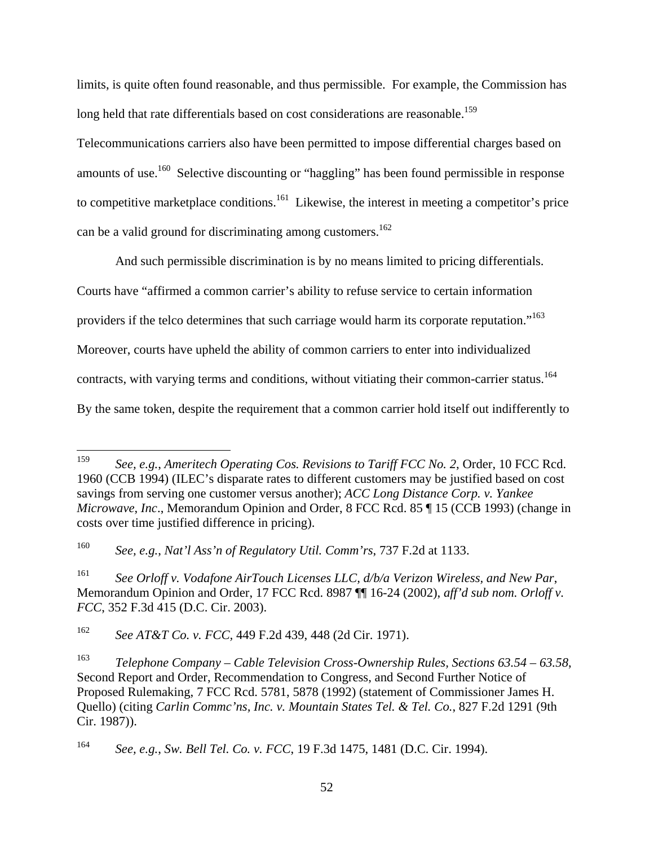limits, is quite often found reasonable, and thus permissible. For example, the Commission has long held that rate differentials based on cost considerations are reasonable.<sup>159</sup>

Telecommunications carriers also have been permitted to impose differential charges based on amounts of use.160 Selective discounting or "haggling" has been found permissible in response to competitive marketplace conditions.<sup>161</sup> Likewise, the interest in meeting a competitor's price can be a valid ground for discriminating among customers.<sup>162</sup>

And such permissible discrimination is by no means limited to pricing differentials. Courts have "affirmed a common carrier's ability to refuse service to certain information providers if the telco determines that such carriage would harm its corporate reputation."<sup>163</sup> Moreover, courts have upheld the ability of common carriers to enter into individualized contracts, with varying terms and conditions, without vitiating their common-carrier status.<sup>164</sup> By the same token, despite the requirement that a common carrier hold itself out indifferently to

162 *See AT&T Co. v. FCC,* 449 F.2d 439, 448 (2d Cir. 1971).

<sup>159</sup> 159 *See, e.g.*, *Ameritech Operating Cos. Revisions to Tariff FCC No. 2*, Order, 10 FCC Rcd. 1960 (CCB 1994) (ILEC's disparate rates to different customers may be justified based on cost savings from serving one customer versus another); *ACC Long Distance Corp. v. Yankee Microwave*, *Inc*., Memorandum Opinion and Order, 8 FCC Rcd. 85 ¶ 15 (CCB 1993) (change in costs over time justified difference in pricing).

<sup>160</sup> *See, e.g.*, *Nat'l Ass'n of Regulatory Util. Comm'rs*, 737 F.2d at 1133.

<sup>161</sup> *See Orloff v. Vodafone AirTouch Licenses LLC, d/b/a Verizon Wireless, and New Par*, Memorandum Opinion and Order, 17 FCC Rcd. 8987 ¶¶ 16-24 (2002), *aff'd sub nom. Orloff v. FCC*, 352 F.3d 415 (D.C. Cir. 2003).

<sup>163</sup> *Telephone Company – Cable Television Cross-Ownership Rules, Sections 63.54 – 63.58*, Second Report and Order, Recommendation to Congress, and Second Further Notice of Proposed Rulemaking, 7 FCC Rcd. 5781, 5878 (1992) (statement of Commissioner James H. Quello) (citing *Carlin Commc'ns, Inc. v. Mountain States Tel. & Tel. Co.*, 827 F.2d 1291 (9th Cir. 1987)).

<sup>164</sup> *See, e.g.*, *Sw. Bell Tel. Co. v. FCC*, 19 F.3d 1475, 1481 (D.C. Cir. 1994).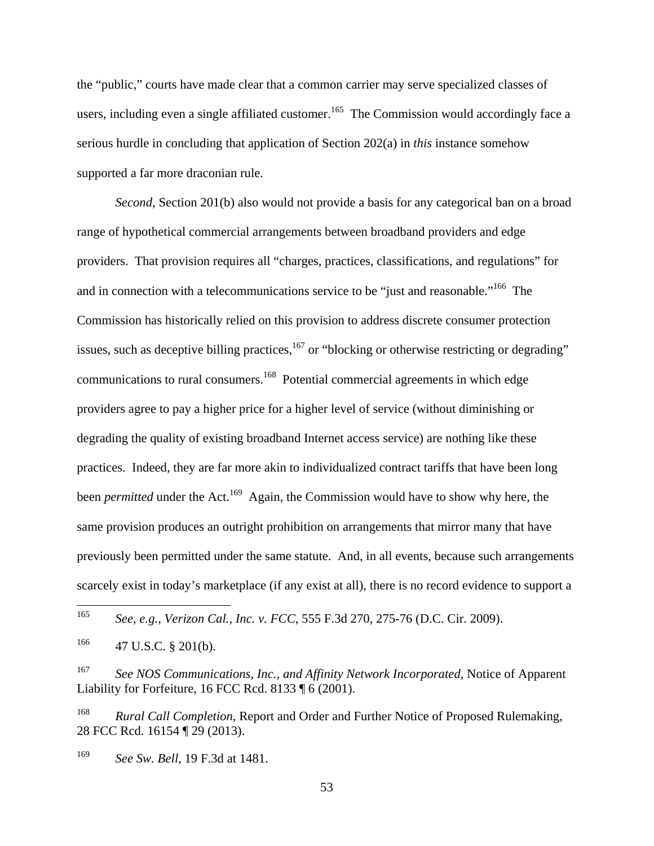the "public," courts have made clear that a common carrier may serve specialized classes of users, including even a single affiliated customer.<sup>165</sup> The Commission would accordingly face a serious hurdle in concluding that application of Section 202(a) in *this* instance somehow supported a far more draconian rule.

*Second*, Section 201(b) also would not provide a basis for any categorical ban on a broad range of hypothetical commercial arrangements between broadband providers and edge providers. That provision requires all "charges, practices, classifications, and regulations" for and in connection with a telecommunications service to be "just and reasonable."<sup>166</sup> The Commission has historically relied on this provision to address discrete consumer protection issues, such as deceptive billing practices,  $167$  or "blocking or otherwise restricting or degrading" communications to rural consumers.168 Potential commercial agreements in which edge providers agree to pay a higher price for a higher level of service (without diminishing or degrading the quality of existing broadband Internet access service) are nothing like these practices. Indeed, they are far more akin to individualized contract tariffs that have been long been *permitted* under the Act.<sup>169</sup> Again, the Commission would have to show why here, the same provision produces an outright prohibition on arrangements that mirror many that have previously been permitted under the same statute. And, in all events, because such arrangements scarcely exist in today's marketplace (if any exist at all), there is no record evidence to support a

165 165 *See, e.g.*, *Verizon Cal., Inc. v. FCC*, 555 F.3d 270, 275-76 (D.C. Cir. 2009).

167 *See NOS Communications, Inc., and Affinity Network Incorporated*, Notice of Apparent Liability for Forfeiture, 16 FCC Rcd. 8133 ¶ 6 (2001).

168 *Rural Call Completion*, Report and Order and Further Notice of Proposed Rulemaking, 28 FCC Rcd. 16154 ¶ 29 (2013).

169 *See Sw. Bell*, 19 F.3d at 1481.

53

 $^{166}$  47 U.S.C. § 201(b).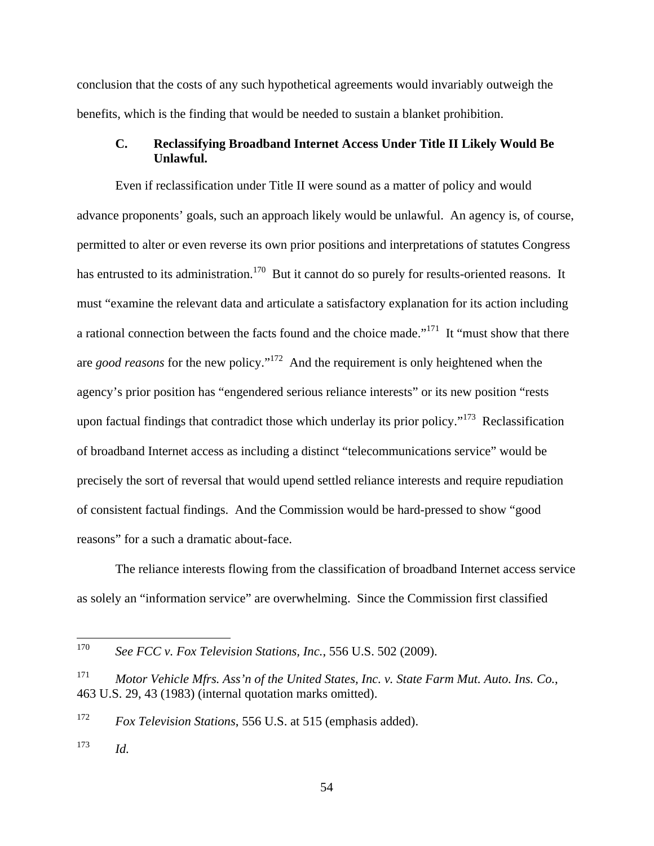conclusion that the costs of any such hypothetical agreements would invariably outweigh the benefits, which is the finding that would be needed to sustain a blanket prohibition.

## **C. Reclassifying Broadband Internet Access Under Title II Likely Would Be Unlawful.**

Even if reclassification under Title II were sound as a matter of policy and would advance proponents' goals, such an approach likely would be unlawful. An agency is, of course, permitted to alter or even reverse its own prior positions and interpretations of statutes Congress has entrusted to its administration.<sup>170</sup> But it cannot do so purely for results-oriented reasons. It must "examine the relevant data and articulate a satisfactory explanation for its action including a rational connection between the facts found and the choice made."171 It "must show that there are *good reasons* for the new policy."172 And the requirement is only heightened when the agency's prior position has "engendered serious reliance interests" or its new position "rests upon factual findings that contradict those which underlay its prior policy."<sup>173</sup> Reclassification of broadband Internet access as including a distinct "telecommunications service" would be precisely the sort of reversal that would upend settled reliance interests and require repudiation of consistent factual findings. And the Commission would be hard-pressed to show "good reasons" for a such a dramatic about-face.

The reliance interests flowing from the classification of broadband Internet access service as solely an "information service" are overwhelming. Since the Commission first classified

172 *Fox Television Stations*, 556 U.S. at 515 (emphasis added).

<sup>170</sup> See FCC v. Fox Television Stations, Inc., 556 U.S. 502 (2009).

<sup>171</sup> *Motor Vehicle Mfrs. Ass'n of the United States, Inc. v. State Farm Mut. Auto. Ins. Co.*, 463 U.S. 29, 43 (1983) (internal quotation marks omitted).

<sup>173</sup> *Id.*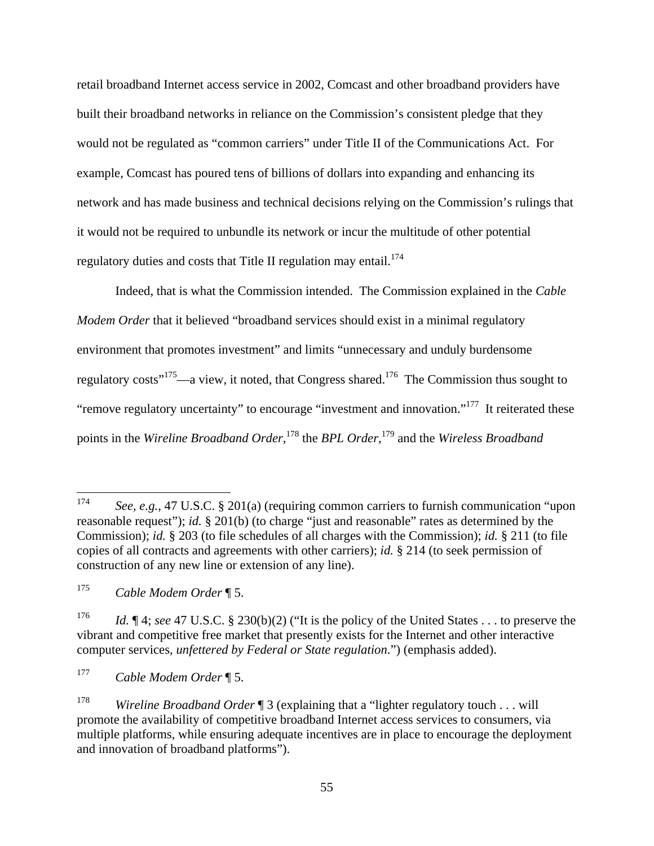retail broadband Internet access service in 2002, Comcast and other broadband providers have built their broadband networks in reliance on the Commission's consistent pledge that they would not be regulated as "common carriers" under Title II of the Communications Act. For example, Comcast has poured tens of billions of dollars into expanding and enhancing its network and has made business and technical decisions relying on the Commission's rulings that it would not be required to unbundle its network or incur the multitude of other potential regulatory duties and costs that Title II regulation may entail.<sup>174</sup>

Indeed, that is what the Commission intended. The Commission explained in the *Cable Modem Order* that it believed "broadband services should exist in a minimal regulatory environment that promotes investment" and limits "unnecessary and unduly burdensome regulatory costs"<sup>175</sup>—a view, it noted, that Congress shared.<sup>176</sup> The Commission thus sought to "remove regulatory uncertainty" to encourage "investment and innovation."<sup>177</sup> It reiterated these points in the *Wireline Broadband Order*, 178 the *BPL Order*, 179 and the *Wireless Broadband* 

<sup>174</sup> See, e.g., 47 U.S.C. § 201(a) (requiring common carriers to furnish communication "upon" reasonable request"); *id.* § 201(b) (to charge "just and reasonable" rates as determined by the Commission); *id.* § 203 (to file schedules of all charges with the Commission); *id.* § 211 (to file copies of all contracts and agreements with other carriers); *id.* § 214 (to seek permission of construction of any new line or extension of any line).

<sup>175</sup> *Cable Modem Order* ¶ 5.

<sup>176</sup> *Id.* ¶ 4; *see* 47 U.S.C. § 230(b)(2) ("It is the policy of the United States . . . to preserve the vibrant and competitive free market that presently exists for the Internet and other interactive computer services, *unfettered by Federal or State regulation*.") (emphasis added).

<sup>177</sup> *Cable Modem Order* ¶ 5.

<sup>178</sup> *Wireline Broadband Order* ¶ 3 (explaining that a "lighter regulatory touch . . . will promote the availability of competitive broadband Internet access services to consumers, via multiple platforms, while ensuring adequate incentives are in place to encourage the deployment and innovation of broadband platforms").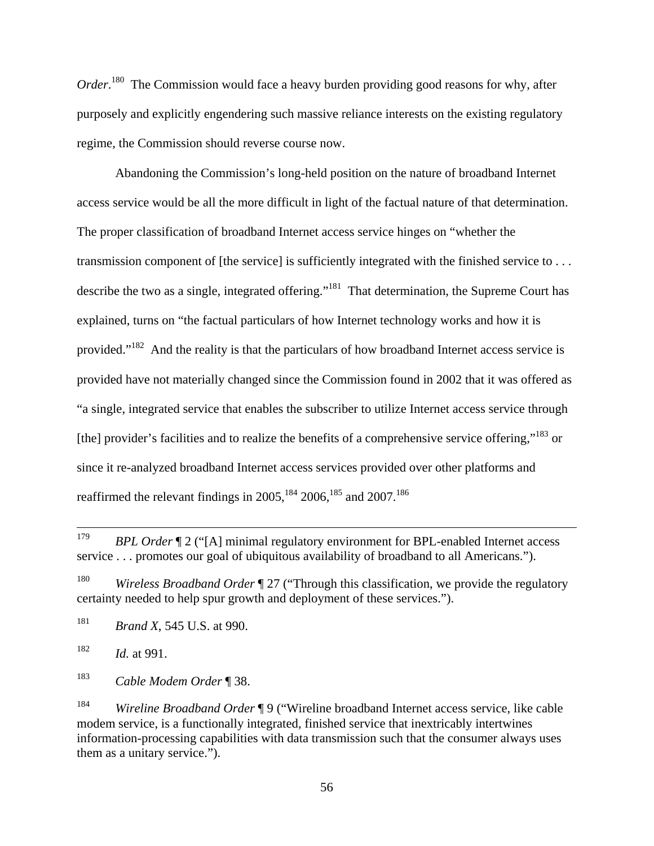Order.<sup>180</sup> The Commission would face a heavy burden providing good reasons for why, after purposely and explicitly engendering such massive reliance interests on the existing regulatory regime, the Commission should reverse course now.

Abandoning the Commission's long-held position on the nature of broadband Internet access service would be all the more difficult in light of the factual nature of that determination. The proper classification of broadband Internet access service hinges on "whether the transmission component of [the service] is sufficiently integrated with the finished service to . . . describe the two as a single, integrated offering."<sup>181</sup> That determination, the Supreme Court has explained, turns on "the factual particulars of how Internet technology works and how it is provided."182 And the reality is that the particulars of how broadband Internet access service is provided have not materially changed since the Commission found in 2002 that it was offered as "a single, integrated service that enables the subscriber to utilize Internet access service through [the] provider's facilities and to realize the benefits of a comprehensive service offering,"<sup>183</sup> or since it re-analyzed broadband Internet access services provided over other platforms and reaffirmed the relevant findings in 2005,<sup>184</sup> 2006,<sup>185</sup> and 2007.<sup>186</sup>

182 *Id.* at 991.

183 *Cable Modem Order* ¶ 38.

184 *Wireline Broadband Order* ¶ 9 ("Wireline broadband Internet access service, like cable modem service, is a functionally integrated, finished service that inextricably intertwines information-processing capabilities with data transmission such that the consumer always uses them as a unitary service.").

<sup>&</sup>lt;sup>179</sup> *BPL Order*  $\mathbb{I}$  2 ("[A] minimal regulatory environment for BPL-enabled Internet access service . . . promotes our goal of ubiquitous availability of broadband to all Americans.").

<sup>&</sup>lt;sup>180</sup> *Wireless Broadband Order*  $\sqrt{ }$  27 ("Through this classification, we provide the regulatory certainty needed to help spur growth and deployment of these services.").

<sup>181</sup> *Brand X*, 545 U.S. at 990.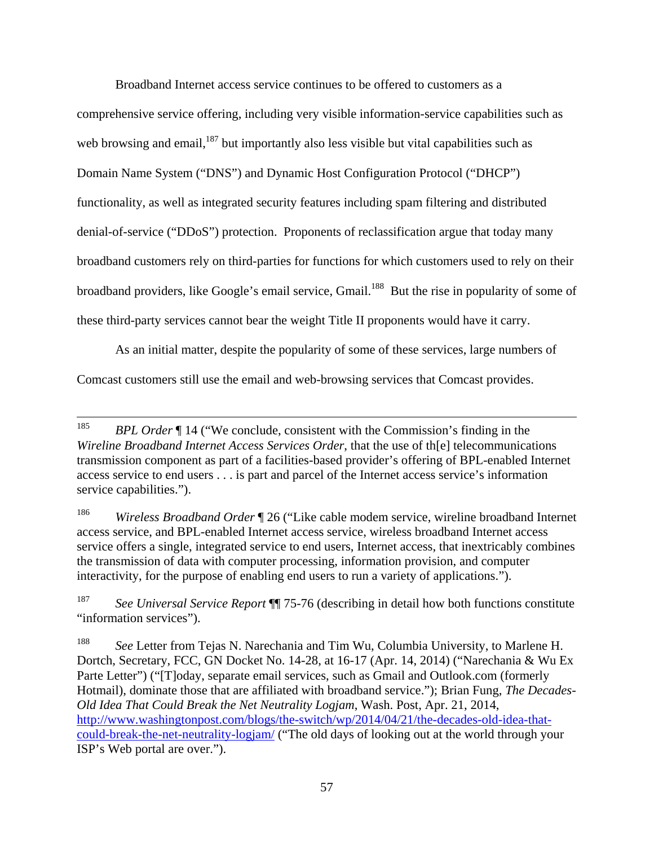Broadband Internet access service continues to be offered to customers as a

comprehensive service offering, including very visible information-service capabilities such as web browsing and email,  $187$  but importantly also less visible but vital capabilities such as Domain Name System ("DNS") and Dynamic Host Configuration Protocol ("DHCP") functionality, as well as integrated security features including spam filtering and distributed denial-of-service ("DDoS") protection. Proponents of reclassification argue that today many broadband customers rely on third-parties for functions for which customers used to rely on their broadband providers, like Google's email service, Gmail.<sup>188</sup> But the rise in popularity of some of these third-party services cannot bear the weight Title II proponents would have it carry.

As an initial matter, despite the popularity of some of these services, large numbers of

Comcast customers still use the email and web-browsing services that Comcast provides.

186 *Wireless Broadband Order* ¶ 26 ("Like cable modem service, wireline broadband Internet access service, and BPL-enabled Internet access service, wireless broadband Internet access service offers a single, integrated service to end users, Internet access, that inextricably combines the transmission of data with computer processing, information provision, and computer interactivity, for the purpose of enabling end users to run a variety of applications.").

187 *See Universal Service Report* ¶¶ 75-76 (describing in detail how both functions constitute "information services").

188 *See* Letter from Tejas N. Narechania and Tim Wu, Columbia University, to Marlene H. Dortch, Secretary, FCC, GN Docket No. 14-28, at 16-17 (Apr. 14, 2014) ("Narechania & Wu Ex Parte Letter") ("[T]oday, separate email services, such as Gmail and Outlook.com (formerly Hotmail), dominate those that are affiliated with broadband service."); Brian Fung, *The Decades-Old Idea That Could Break the Net Neutrality Logjam*, Wash. Post, Apr. 21, 2014, http://www.washingtonpost.com/blogs/the-switch/wp/2014/04/21/the-decades-old-idea-thatcould-break-the-net-neutrality-logjam/ ("The old days of looking out at the world through your ISP's Web portal are over.").

 <sup>185</sup> *BPL Order* ¶ 14 ("We conclude, consistent with the Commission's finding in the *Wireline Broadband Internet Access Services Order*, that the use of th[e] telecommunications transmission component as part of a facilities-based provider's offering of BPL-enabled Internet access service to end users . . . is part and parcel of the Internet access service's information service capabilities.").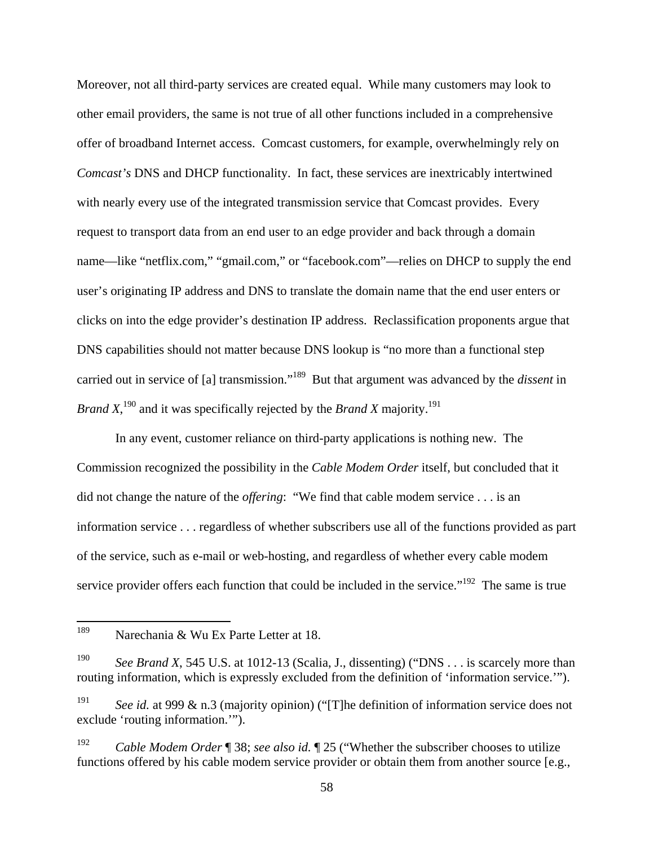Moreover, not all third-party services are created equal. While many customers may look to other email providers, the same is not true of all other functions included in a comprehensive offer of broadband Internet access. Comcast customers, for example, overwhelmingly rely on *Comcast's* DNS and DHCP functionality. In fact, these services are inextricably intertwined with nearly every use of the integrated transmission service that Comcast provides. Every request to transport data from an end user to an edge provider and back through a domain name—like "netflix.com," "gmail.com," or "facebook.com"—relies on DHCP to supply the end user's originating IP address and DNS to translate the domain name that the end user enters or clicks on into the edge provider's destination IP address. Reclassification proponents argue that DNS capabilities should not matter because DNS lookup is "no more than a functional step carried out in service of [a] transmission."189 But that argument was advanced by the *dissent* in *Brand X*,<sup>190</sup> and it was specifically rejected by the *Brand X* majority.<sup>191</sup>

In any event, customer reliance on third-party applications is nothing new. The Commission recognized the possibility in the *Cable Modem Order* itself, but concluded that it did not change the nature of the *offering*: "We find that cable modem service . . . is an information service . . . regardless of whether subscribers use all of the functions provided as part of the service, such as e-mail or web-hosting, and regardless of whether every cable modem service provider offers each function that could be included in the service."<sup>192</sup> The same is true

<sup>189</sup> Narechania & Wu Ex Parte Letter at 18.

<sup>190</sup> *See Brand X*, 545 U.S. at 1012-13 (Scalia, J., dissenting) ("DNS . . . is scarcely more than routing information, which is expressly excluded from the definition of 'information service.'").

<sup>191</sup> *See id.* at 999 & n.3 (majority opinion) ("[T]he definition of information service does not exclude 'routing information.'").

<sup>192</sup> *Cable Modem Order* ¶ 38; *see also id.* ¶ 25 ("Whether the subscriber chooses to utilize functions offered by his cable modem service provider or obtain them from another source [e.g.,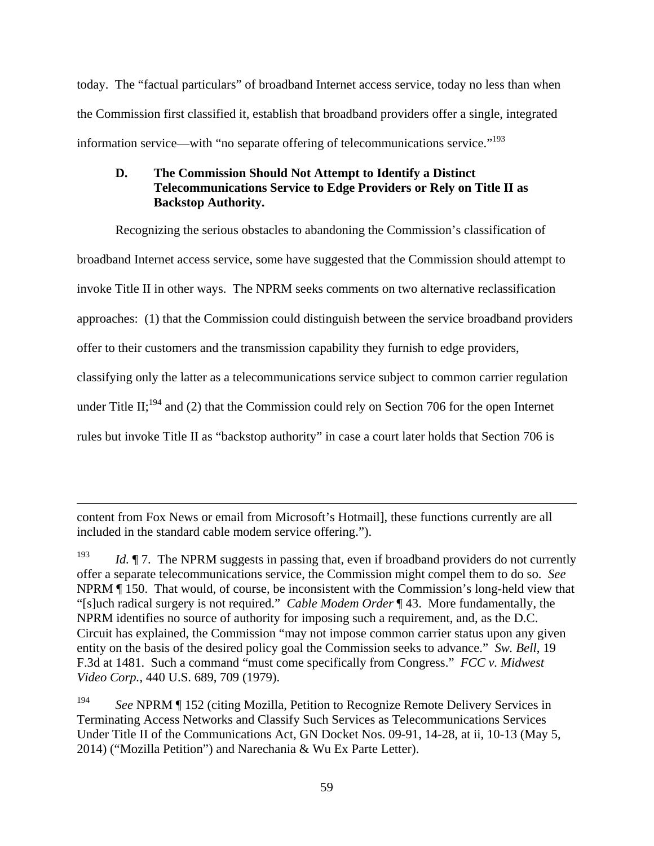today. The "factual particulars" of broadband Internet access service, today no less than when the Commission first classified it, establish that broadband providers offer a single, integrated information service—with "no separate offering of telecommunications service."<sup>193</sup>

# **D. The Commission Should Not Attempt to Identify a Distinct Telecommunications Service to Edge Providers or Rely on Title II as Backstop Authority.**

Recognizing the serious obstacles to abandoning the Commission's classification of broadband Internet access service, some have suggested that the Commission should attempt to invoke Title II in other ways. The NPRM seeks comments on two alternative reclassification approaches: (1) that the Commission could distinguish between the service broadband providers offer to their customers and the transmission capability they furnish to edge providers, classifying only the latter as a telecommunications service subject to common carrier regulation under Title  $II$ <sup>194</sup> and (2) that the Commission could rely on Section 706 for the open Internet rules but invoke Title II as "backstop authority" in case a court later holds that Section 706 is

content from Fox News or email from Microsoft's Hotmail], these functions currently are all included in the standard cable modem service offering.").

 $\overline{a}$ 

<sup>&</sup>lt;sup>193</sup> *Id.*  $\llbracket$  7. The NPRM suggests in passing that, even if broadband providers do not currently offer a separate telecommunications service, the Commission might compel them to do so. *See*  NPRM ¶ 150. That would, of course, be inconsistent with the Commission's long-held view that "[s]uch radical surgery is not required." *Cable Modem Order* ¶ 43. More fundamentally, the NPRM identifies no source of authority for imposing such a requirement, and, as the D.C. Circuit has explained, the Commission "may not impose common carrier status upon any given entity on the basis of the desired policy goal the Commission seeks to advance." *Sw. Bell*, 19 F.3d at 1481. Such a command "must come specifically from Congress." *FCC v. Midwest Video Corp.*, 440 U.S. 689, 709 (1979).

<sup>194</sup> *See* NPRM ¶ 152 (citing Mozilla, Petition to Recognize Remote Delivery Services in Terminating Access Networks and Classify Such Services as Telecommunications Services Under Title II of the Communications Act, GN Docket Nos. 09-91, 14-28, at ii, 10-13 (May 5, 2014) ("Mozilla Petition") and Narechania & Wu Ex Parte Letter).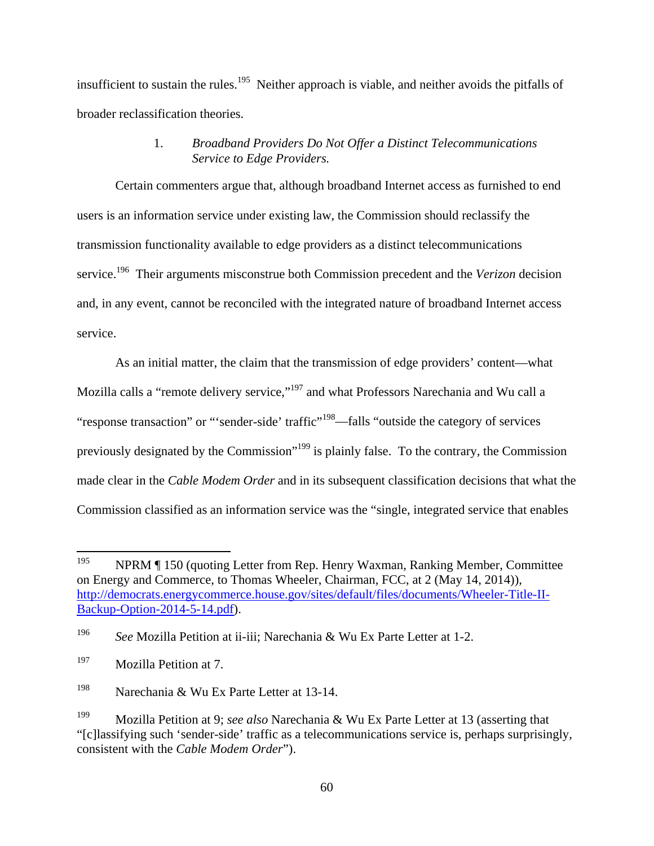insufficient to sustain the rules.<sup>195</sup> Neither approach is viable, and neither avoids the pitfalls of broader reclassification theories.

# 1. *Broadband Providers Do Not Offer a Distinct Telecommunications Service to Edge Providers.*

Certain commenters argue that, although broadband Internet access as furnished to end users is an information service under existing law, the Commission should reclassify the transmission functionality available to edge providers as a distinct telecommunications service.<sup>196</sup> Their arguments misconstrue both Commission precedent and the *Verizon* decision and, in any event, cannot be reconciled with the integrated nature of broadband Internet access service.

As an initial matter, the claim that the transmission of edge providers' content—what Mozilla calls a "remote delivery service,"197 and what Professors Narechania and Wu call a "response transaction" or "'sender-side' traffic"<sup>198</sup>—falls "outside the category of services previously designated by the Commission"<sup>199</sup> is plainly false. To the contrary, the Commission made clear in the *Cable Modem Order* and in its subsequent classification decisions that what the Commission classified as an information service was the "single, integrated service that enables

<sup>195</sup> NPRM ¶ 150 (quoting Letter from Rep. Henry Waxman, Ranking Member, Committee on Energy and Commerce, to Thomas Wheeler, Chairman, FCC, at 2 (May 14, 2014)), http://democrats.energycommerce.house.gov/sites/default/files/documents/Wheeler-Title-II-Backup-Option-2014-5-14.pdf).

<sup>196</sup> *See* Mozilla Petition at ii-iii; Narechania & Wu Ex Parte Letter at 1-2.

<sup>197</sup> Mozilla Petition at 7.

<sup>&</sup>lt;sup>198</sup> Narechania & Wu Ex Parte Letter at 13-14.

<sup>199</sup> Mozilla Petition at 9; *see also* Narechania & Wu Ex Parte Letter at 13 (asserting that "[c]lassifying such 'sender-side' traffic as a telecommunications service is, perhaps surprisingly, consistent with the *Cable Modem Order*").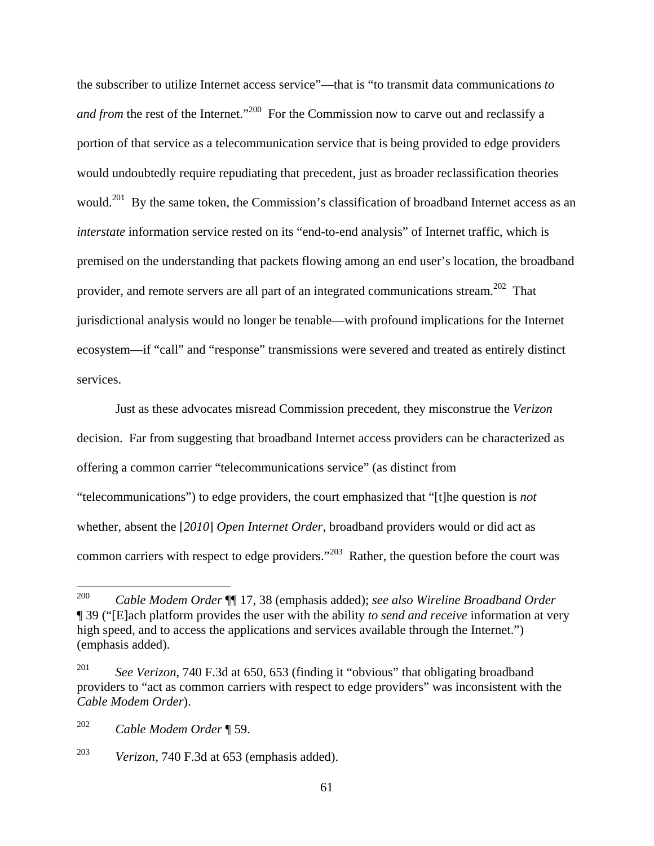the subscriber to utilize Internet access service"—that is "to transmit data communications *to and from* the rest of the Internet."<sup>200</sup> For the Commission now to carve out and reclassify a portion of that service as a telecommunication service that is being provided to edge providers would undoubtedly require repudiating that precedent, just as broader reclassification theories would.<sup>201</sup> By the same token, the Commission's classification of broadband Internet access as an *interstate* information service rested on its "end-to-end analysis" of Internet traffic, which is premised on the understanding that packets flowing among an end user's location, the broadband provider, and remote servers are all part of an integrated communications stream.<sup>202</sup> That jurisdictional analysis would no longer be tenable—with profound implications for the Internet ecosystem—if "call" and "response" transmissions were severed and treated as entirely distinct services.

Just as these advocates misread Commission precedent, they misconstrue the *Verizon* decision. Far from suggesting that broadband Internet access providers can be characterized as offering a common carrier "telecommunications service" (as distinct from "telecommunications") to edge providers, the court emphasized that "[t]he question is *not* whether, absent the [*2010*] *Open Internet Order*, broadband providers would or did act as common carriers with respect to edge providers."<sup>203</sup> Rather, the question before the court was

<sup>200</sup> 200 *Cable Modem Order* ¶¶ 17, 38 (emphasis added); *see also Wireline Broadband Order* ¶ 39 ("[E]ach platform provides the user with the ability *to send and receive* information at very high speed, and to access the applications and services available through the Internet.") (emphasis added).

<sup>201</sup> *See Verizon*, 740 F.3d at 650, 653 (finding it "obvious" that obligating broadband providers to "act as common carriers with respect to edge providers" was inconsistent with the *Cable Modem Order*).

<sup>202</sup> *Cable Modem Order* ¶ 59.

<sup>203</sup> *Verizon*, 740 F.3d at 653 (emphasis added).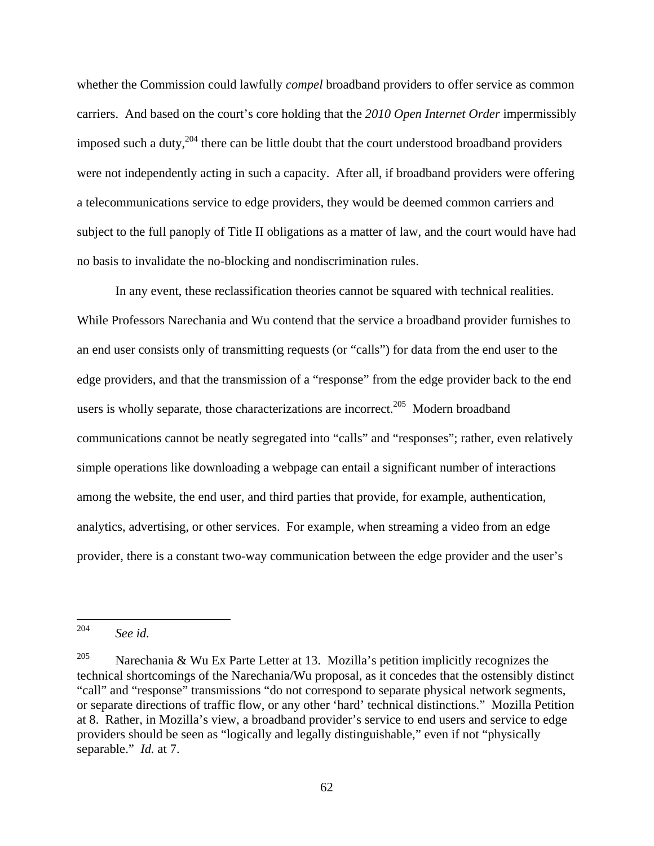whether the Commission could lawfully *compel* broadband providers to offer service as common carriers. And based on the court's core holding that the *2010 Open Internet Order* impermissibly imposed such a duty,  $204$  there can be little doubt that the court understood broadband providers were not independently acting in such a capacity. After all, if broadband providers were offering a telecommunications service to edge providers, they would be deemed common carriers and subject to the full panoply of Title II obligations as a matter of law, and the court would have had no basis to invalidate the no-blocking and nondiscrimination rules.

In any event, these reclassification theories cannot be squared with technical realities. While Professors Narechania and Wu contend that the service a broadband provider furnishes to an end user consists only of transmitting requests (or "calls") for data from the end user to the edge providers, and that the transmission of a "response" from the edge provider back to the end users is wholly separate, those characterizations are incorrect.<sup>205</sup> Modern broadband communications cannot be neatly segregated into "calls" and "responses"; rather, even relatively simple operations like downloading a webpage can entail a significant number of interactions among the website, the end user, and third parties that provide, for example, authentication, analytics, advertising, or other services. For example, when streaming a video from an edge provider, there is a constant two-way communication between the edge provider and the user's

<sup>204</sup> See *id.* 

<sup>&</sup>lt;sup>205</sup> Narechania & Wu Ex Parte Letter at 13. Mozilla's petition implicitly recognizes the technical shortcomings of the Narechania/Wu proposal, as it concedes that the ostensibly distinct "call" and "response" transmissions "do not correspond to separate physical network segments, or separate directions of traffic flow, or any other 'hard' technical distinctions." Mozilla Petition at 8. Rather, in Mozilla's view, a broadband provider's service to end users and service to edge providers should be seen as "logically and legally distinguishable," even if not "physically separable." *Id.* at 7.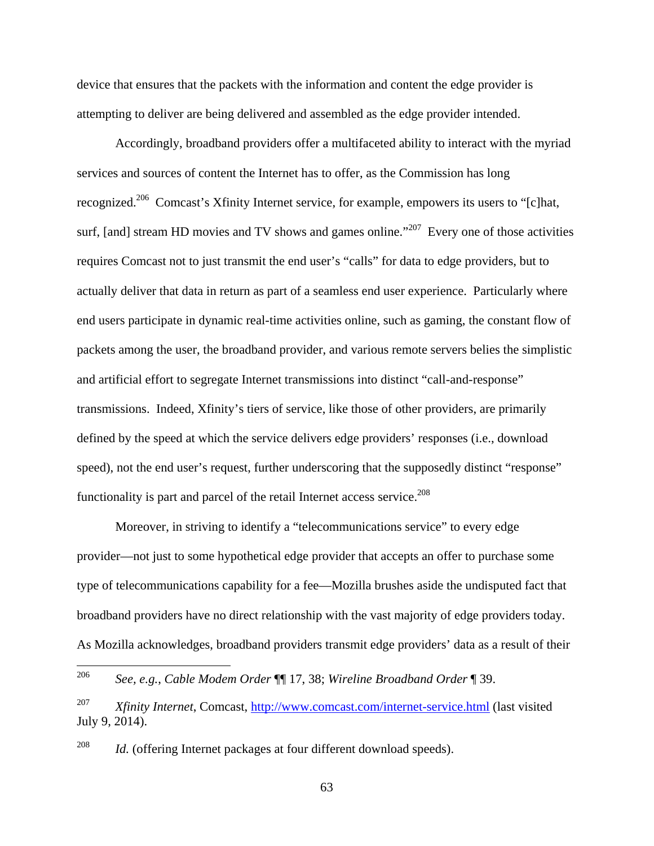device that ensures that the packets with the information and content the edge provider is attempting to deliver are being delivered and assembled as the edge provider intended.

Accordingly, broadband providers offer a multifaceted ability to interact with the myriad services and sources of content the Internet has to offer, as the Commission has long recognized.<sup>206</sup> Comcast's Xfinity Internet service, for example, empowers its users to "[c]hat, surf, [and] stream HD movies and TV shows and games online.<sup>2007</sup> Every one of those activities requires Comcast not to just transmit the end user's "calls" for data to edge providers, but to actually deliver that data in return as part of a seamless end user experience. Particularly where end users participate in dynamic real-time activities online, such as gaming, the constant flow of packets among the user, the broadband provider, and various remote servers belies the simplistic and artificial effort to segregate Internet transmissions into distinct "call-and-response" transmissions. Indeed, Xfinity's tiers of service, like those of other providers, are primarily defined by the speed at which the service delivers edge providers' responses (i.e., download speed), not the end user's request, further underscoring that the supposedly distinct "response" functionality is part and parcel of the retail Internet access service.<sup>208</sup>

Moreover, in striving to identify a "telecommunications service" to every edge provider—not just to some hypothetical edge provider that accepts an offer to purchase some type of telecommunications capability for a fee—Mozilla brushes aside the undisputed fact that broadband providers have no direct relationship with the vast majority of edge providers today. As Mozilla acknowledges, broadband providers transmit edge providers' data as a result of their

<sup>206</sup> 206 *See, e.g.*, *Cable Modem Order* ¶¶ 17, 38; *Wireline Broadband Order* ¶ 39.

<sup>207</sup> *Xfinity Internet*, Comcast, http://www.comcast.com/internet-service.html (last visited July 9, 2014).

<sup>&</sup>lt;sup>208</sup> *Id.* (offering Internet packages at four different download speeds).

<sup>63</sup>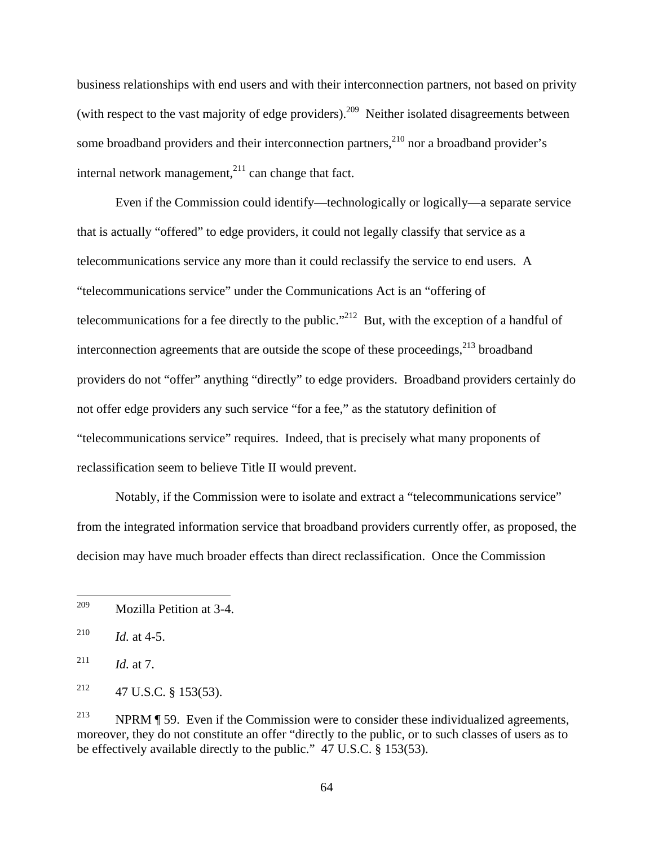business relationships with end users and with their interconnection partners, not based on privity (with respect to the vast majority of edge providers).<sup>209</sup> Neither isolated disagreements between some broadband providers and their interconnection partners,  $210$  nor a broadband provider's internal network management, $^{211}$  can change that fact.

Even if the Commission could identify—technologically or logically—a separate service that is actually "offered" to edge providers, it could not legally classify that service as a telecommunications service any more than it could reclassify the service to end users. A "telecommunications service" under the Communications Act is an "offering of telecommunications for a fee directly to the public."<sup>212</sup> But, with the exception of a handful of interconnection agreements that are outside the scope of these proceedings, $2^{13}$  broadband providers do not "offer" anything "directly" to edge providers. Broadband providers certainly do not offer edge providers any such service "for a fee," as the statutory definition of "telecommunications service" requires. Indeed, that is precisely what many proponents of reclassification seem to believe Title II would prevent.

Notably, if the Commission were to isolate and extract a "telecommunications service" from the integrated information service that broadband providers currently offer, as proposed, the decision may have much broader effects than direct reclassification. Once the Commission

<sup>209</sup> Mozilla Petition at 3-4.

 $^{210}$  *Id.* at 4-5.

<sup>&</sup>lt;sup>211</sup> *Id.* at 7.

 $^{212}$  47 U.S.C. § 153(53).

<sup>&</sup>lt;sup>213</sup> NPRM  $\P$  59. Even if the Commission were to consider these individualized agreements, moreover, they do not constitute an offer "directly to the public, or to such classes of users as to be effectively available directly to the public." 47 U.S.C. § 153(53).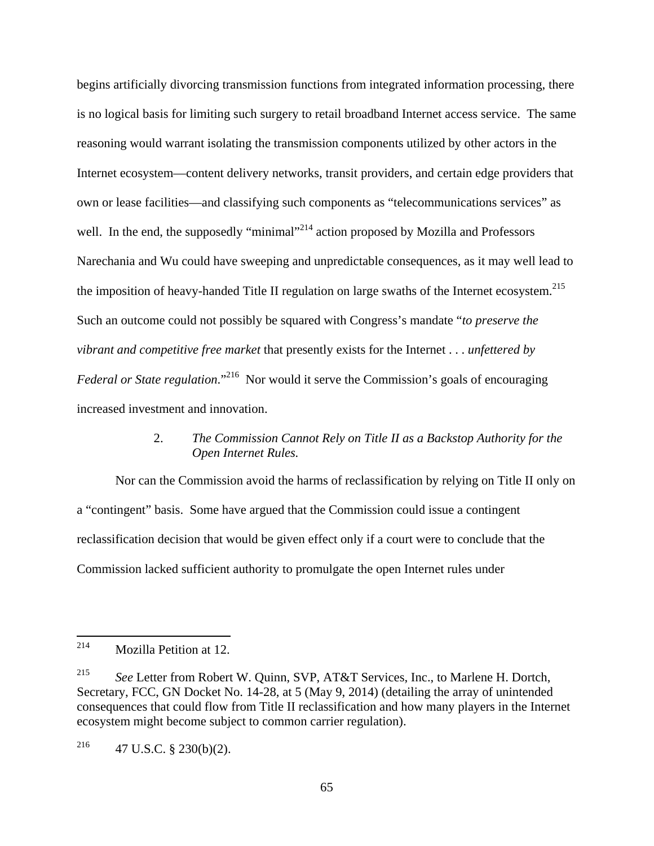begins artificially divorcing transmission functions from integrated information processing, there is no logical basis for limiting such surgery to retail broadband Internet access service. The same reasoning would warrant isolating the transmission components utilized by other actors in the Internet ecosystem—content delivery networks, transit providers, and certain edge providers that own or lease facilities—and classifying such components as "telecommunications services" as well. In the end, the supposedly "minimal"<sup>214</sup> action proposed by Mozilla and Professors Narechania and Wu could have sweeping and unpredictable consequences, as it may well lead to the imposition of heavy-handed Title II regulation on large swaths of the Internet ecosystem.<sup>215</sup> Such an outcome could not possibly be squared with Congress's mandate "*to preserve the vibrant and competitive free market* that presently exists for the Internet . . . *unfettered by Federal or State regulation.*"<sup>216</sup> Nor would it serve the Commission's goals of encouraging increased investment and innovation.

## 2. *The Commission Cannot Rely on Title II as a Backstop Authority for the Open Internet Rules.*

Nor can the Commission avoid the harms of reclassification by relying on Title II only on a "contingent" basis. Some have argued that the Commission could issue a contingent reclassification decision that would be given effect only if a court were to conclude that the Commission lacked sufficient authority to promulgate the open Internet rules under

<sup>214</sup> Mozilla Petition at 12.

<sup>215</sup> *See* Letter from Robert W. Quinn, SVP, AT&T Services, Inc., to Marlene H. Dortch, Secretary, FCC, GN Docket No. 14-28, at 5 (May 9, 2014) (detailing the array of unintended consequences that could flow from Title II reclassification and how many players in the Internet ecosystem might become subject to common carrier regulation).

 $^{216}$  47 U.S.C. § 230(b)(2).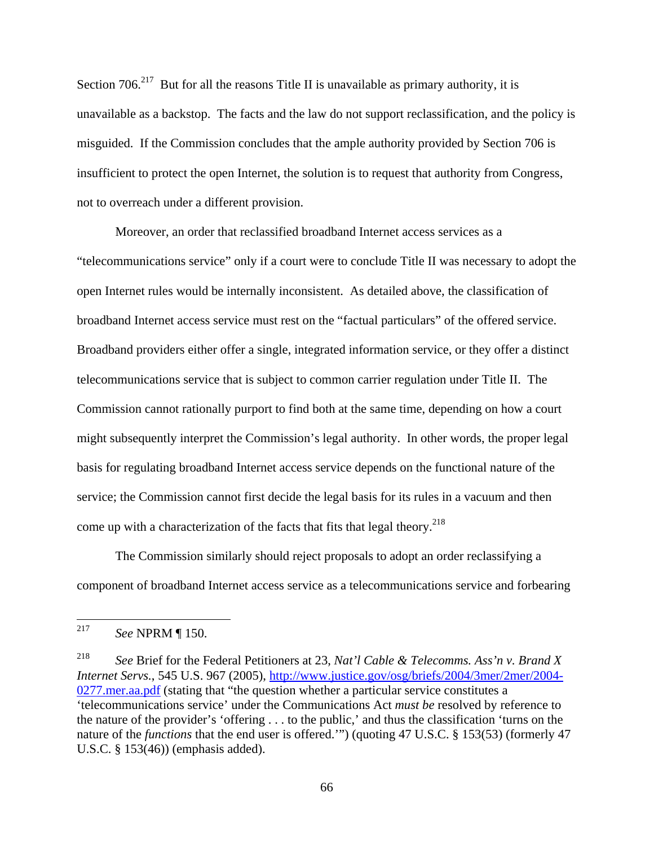Section  $706$ <sup>217</sup> But for all the reasons Title II is unavailable as primary authority, it is unavailable as a backstop. The facts and the law do not support reclassification, and the policy is misguided. If the Commission concludes that the ample authority provided by Section 706 is insufficient to protect the open Internet, the solution is to request that authority from Congress, not to overreach under a different provision.

Moreover, an order that reclassified broadband Internet access services as a "telecommunications service" only if a court were to conclude Title II was necessary to adopt the open Internet rules would be internally inconsistent. As detailed above, the classification of broadband Internet access service must rest on the "factual particulars" of the offered service. Broadband providers either offer a single, integrated information service, or they offer a distinct telecommunications service that is subject to common carrier regulation under Title II. The Commission cannot rationally purport to find both at the same time, depending on how a court might subsequently interpret the Commission's legal authority. In other words, the proper legal basis for regulating broadband Internet access service depends on the functional nature of the service; the Commission cannot first decide the legal basis for its rules in a vacuum and then come up with a characterization of the facts that fits that legal theory.<sup>218</sup>

The Commission similarly should reject proposals to adopt an order reclassifying a component of broadband Internet access service as a telecommunications service and forbearing

<sup>217</sup> 217 *See* NPRM ¶ 150.

<sup>218</sup> *See* Brief for the Federal Petitioners at 23, *Nat'l Cable & Telecomms. Ass'n v. Brand X Internet Servs.*, 545 U.S. 967 (2005), http://www.justice.gov/osg/briefs/2004/3mer/2mer/2004- 0277.mer.aa.pdf (stating that "the question whether a particular service constitutes a 'telecommunications service' under the Communications Act *must be* resolved by reference to the nature of the provider's 'offering . . . to the public,' and thus the classification 'turns on the nature of the *functions* that the end user is offered.'") (quoting 47 U.S.C. § 153(53) (formerly 47 U.S.C. § 153(46)) (emphasis added).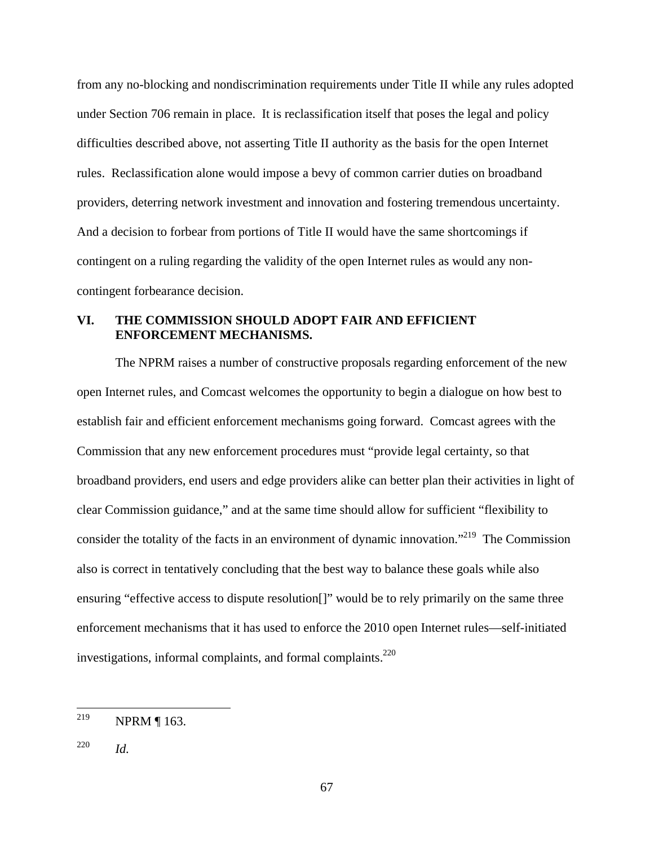from any no-blocking and nondiscrimination requirements under Title II while any rules adopted under Section 706 remain in place. It is reclassification itself that poses the legal and policy difficulties described above, not asserting Title II authority as the basis for the open Internet rules. Reclassification alone would impose a bevy of common carrier duties on broadband providers, deterring network investment and innovation and fostering tremendous uncertainty. And a decision to forbear from portions of Title II would have the same shortcomings if contingent on a ruling regarding the validity of the open Internet rules as would any noncontingent forbearance decision.

#### **VI. THE COMMISSION SHOULD ADOPT FAIR AND EFFICIENT ENFORCEMENT MECHANISMS.**

 The NPRM raises a number of constructive proposals regarding enforcement of the new open Internet rules, and Comcast welcomes the opportunity to begin a dialogue on how best to establish fair and efficient enforcement mechanisms going forward. Comcast agrees with the Commission that any new enforcement procedures must "provide legal certainty, so that broadband providers, end users and edge providers alike can better plan their activities in light of clear Commission guidance," and at the same time should allow for sufficient "flexibility to consider the totality of the facts in an environment of dynamic innovation."219 The Commission also is correct in tentatively concluding that the best way to balance these goals while also ensuring "effective access to dispute resolution[]" would be to rely primarily on the same three enforcement mechanisms that it has used to enforce the 2010 open Internet rules—self-initiated investigations, informal complaints, and formal complaints. $^{220}$ 

<sup>219</sup> NPRM ¶ 163.

<sup>220</sup> *Id.*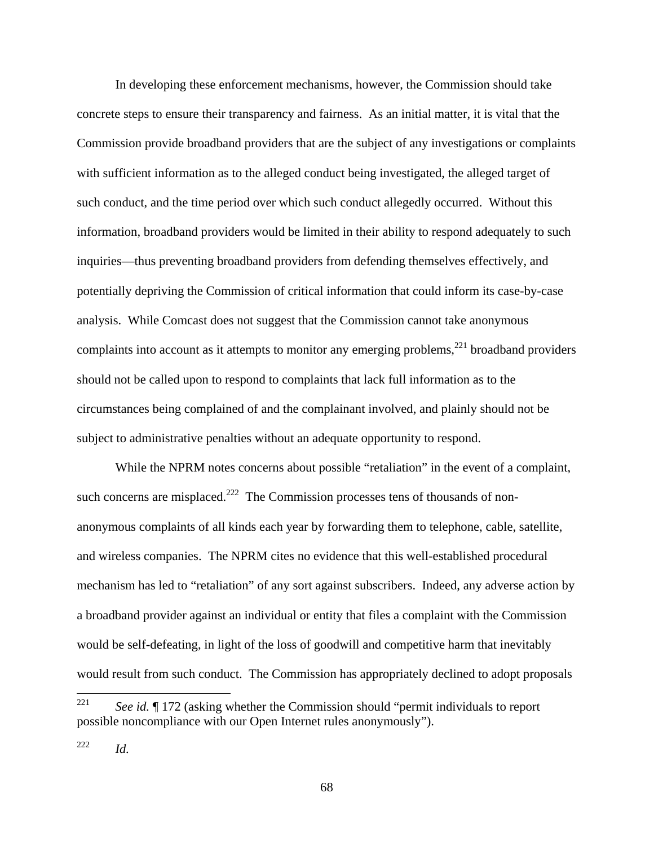In developing these enforcement mechanisms, however, the Commission should take concrete steps to ensure their transparency and fairness. As an initial matter, it is vital that the Commission provide broadband providers that are the subject of any investigations or complaints with sufficient information as to the alleged conduct being investigated, the alleged target of such conduct, and the time period over which such conduct allegedly occurred. Without this information, broadband providers would be limited in their ability to respond adequately to such inquiries—thus preventing broadband providers from defending themselves effectively, and potentially depriving the Commission of critical information that could inform its case-by-case analysis. While Comcast does not suggest that the Commission cannot take anonymous complaints into account as it attempts to monitor any emerging problems, $^{221}$  broadband providers should not be called upon to respond to complaints that lack full information as to the circumstances being complained of and the complainant involved, and plainly should not be subject to administrative penalties without an adequate opportunity to respond.

 While the NPRM notes concerns about possible "retaliation" in the event of a complaint, such concerns are misplaced.<sup>222</sup> The Commission processes tens of thousands of nonanonymous complaints of all kinds each year by forwarding them to telephone, cable, satellite, and wireless companies. The NPRM cites no evidence that this well-established procedural mechanism has led to "retaliation" of any sort against subscribers. Indeed, any adverse action by a broadband provider against an individual or entity that files a complaint with the Commission would be self-defeating, in light of the loss of goodwill and competitive harm that inevitably would result from such conduct. The Commission has appropriately declined to adopt proposals

<sup>221</sup> See id. ¶ 172 (asking whether the Commission should "permit individuals to report possible noncompliance with our Open Internet rules anonymously").

<sup>222</sup> *Id.*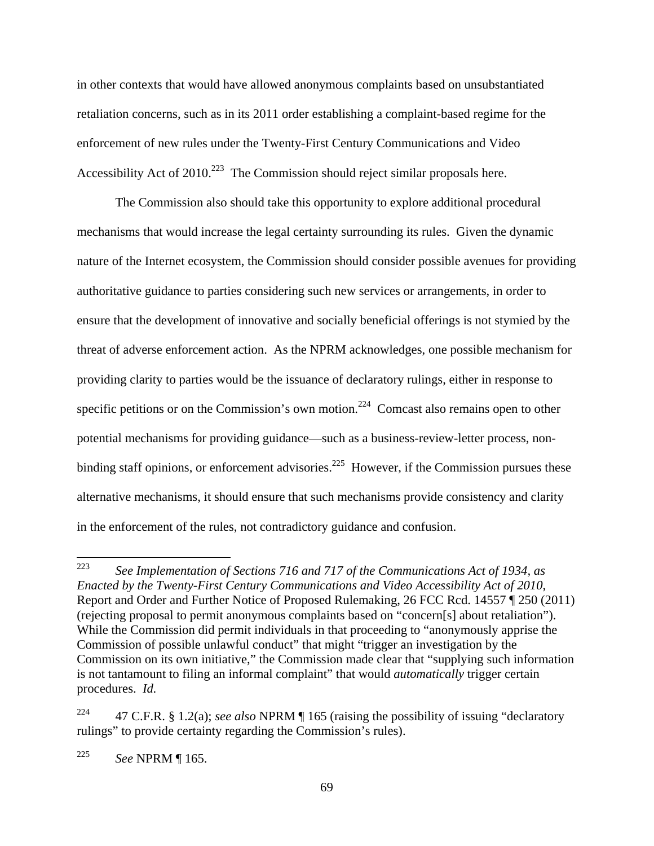in other contexts that would have allowed anonymous complaints based on unsubstantiated retaliation concerns, such as in its 2011 order establishing a complaint-based regime for the enforcement of new rules under the Twenty-First Century Communications and Video Accessibility Act of  $2010^{223}$  The Commission should reject similar proposals here.

 The Commission also should take this opportunity to explore additional procedural mechanisms that would increase the legal certainty surrounding its rules. Given the dynamic nature of the Internet ecosystem, the Commission should consider possible avenues for providing authoritative guidance to parties considering such new services or arrangements, in order to ensure that the development of innovative and socially beneficial offerings is not stymied by the threat of adverse enforcement action. As the NPRM acknowledges, one possible mechanism for providing clarity to parties would be the issuance of declaratory rulings, either in response to specific petitions or on the Commission's own motion.<sup>224</sup> Comcast also remains open to other potential mechanisms for providing guidance—such as a business-review-letter process, nonbinding staff opinions, or enforcement advisories.<sup>225</sup> However, if the Commission pursues these alternative mechanisms, it should ensure that such mechanisms provide consistency and clarity in the enforcement of the rules, not contradictory guidance and confusion.

<sup>223</sup> 223 *See Implementation of Sections 716 and 717 of the Communications Act of 1934, as Enacted by the Twenty-First Century Communications and Video Accessibility Act of 2010*, Report and Order and Further Notice of Proposed Rulemaking, 26 FCC Rcd. 14557 ¶ 250 (2011) (rejecting proposal to permit anonymous complaints based on "concern[s] about retaliation"). While the Commission did permit individuals in that proceeding to "anonymously apprise the Commission of possible unlawful conduct" that might "trigger an investigation by the Commission on its own initiative," the Commission made clear that "supplying such information is not tantamount to filing an informal complaint" that would *automatically* trigger certain procedures. *Id.*

<sup>224 47</sup> C.F.R. § 1.2(a); *see also* NPRM ¶ 165 (raising the possibility of issuing "declaratory rulings" to provide certainty regarding the Commission's rules).

<sup>225</sup> *See* NPRM ¶ 165.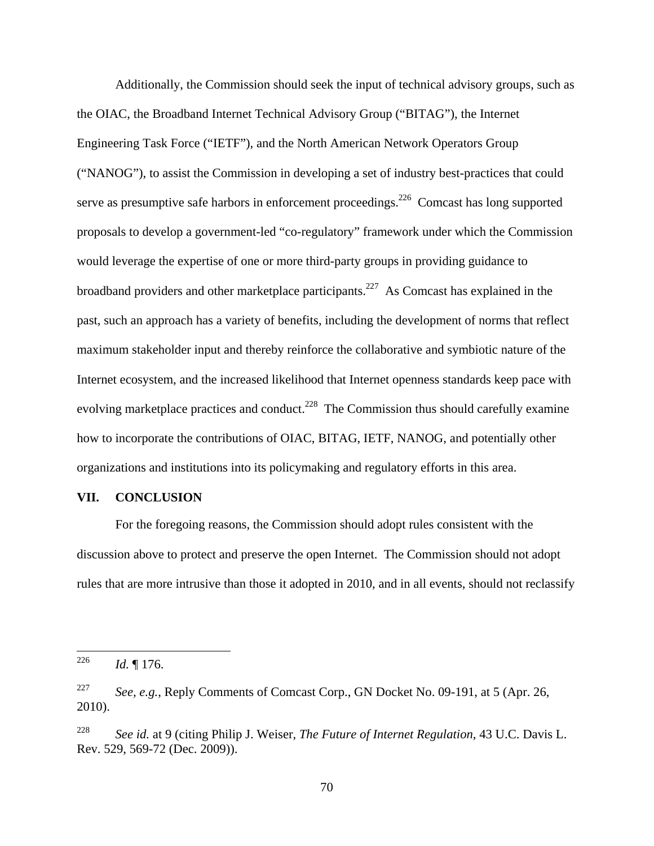Additionally, the Commission should seek the input of technical advisory groups, such as the OIAC, the Broadband Internet Technical Advisory Group ("BITAG"), the Internet Engineering Task Force ("IETF"), and the North American Network Operators Group ("NANOG"), to assist the Commission in developing a set of industry best-practices that could serve as presumptive safe harbors in enforcement proceedings.<sup>226</sup> Comcast has long supported proposals to develop a government-led "co-regulatory" framework under which the Commission would leverage the expertise of one or more third-party groups in providing guidance to broadband providers and other marketplace participants.<sup>227</sup> As Comcast has explained in the past, such an approach has a variety of benefits, including the development of norms that reflect maximum stakeholder input and thereby reinforce the collaborative and symbiotic nature of the Internet ecosystem, and the increased likelihood that Internet openness standards keep pace with evolving marketplace practices and conduct.<sup>228</sup> The Commission thus should carefully examine how to incorporate the contributions of OIAC, BITAG, IETF, NANOG, and potentially other organizations and institutions into its policymaking and regulatory efforts in this area.

## **VII. CONCLUSION**

For the foregoing reasons, the Commission should adopt rules consistent with the discussion above to protect and preserve the open Internet. The Commission should not adopt rules that are more intrusive than those it adopted in 2010, and in all events, should not reclassify

<sup>226</sup> *Id.* 176.

<sup>227</sup> *See, e.g.*, Reply Comments of Comcast Corp., GN Docket No. 09-191, at 5 (Apr. 26, 2010).

<sup>228</sup> *See id.* at 9 (citing Philip J. Weiser, *The Future of Internet Regulation*, 43 U.C. Davis L. Rev. 529, 569-72 (Dec. 2009)).